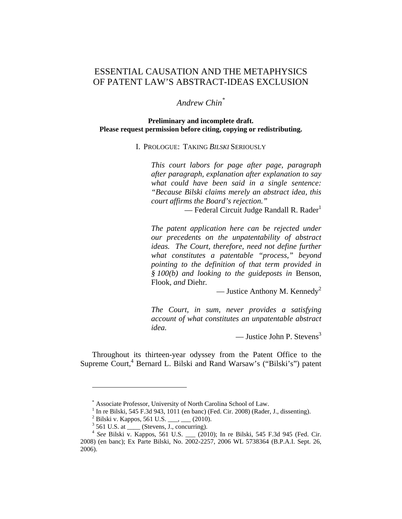# ESSENTIAL CAUSATION AND THE METAPHYSICS OF PATENT LAW'S ABSTRACT-IDEAS EXCLUSION

*Andrew Chin\**

**Preliminary and incomplete draft. Please request permission before citing, copying or redistributing.** 

I. PROLOGUE: TAKING *BILSKI* SERIOUSLY

*This court labors for page after page, paragraph after paragraph, explanation after explanation to say what could have been said in a single sentence: "Because Bilski claims merely an abstract idea, this court affirms the Board's rejection."* 

— Federal Circuit Judge Randall R. Rader<sup>1</sup>

*The patent application here can be rejected under our precedents on the unpatentability of abstract ideas. The Court, therefore, need not define further what constitutes a patentable "process," beyond pointing to the definition of that term provided in § 100(b) and looking to the guideposts in* Benson*,*  Flook*, and* Diehr*.* 

— Justice Anthony M. Kennedy<sup>2</sup>

*The Court, in sum, never provides a satisfying account of what constitutes an unpatentable abstract idea.* 

— Justice John P. Stevens<sup>3</sup>

Throughout its thirteen-year odyssey from the Patent Office to the Supreme Court,<sup>4</sup> Bernard L. Bilski and Rand Warsaw's ("Bilski's") patent

<sup>&</sup>lt;sup>\*</sup> Associate Professor, University of North Carolina School of Law.<br><sup>1</sup> In to Bilghi, 545 E 2d 042, 1011 (op hano) (Eed. Cir. 2008) (Beder.

<sup>&</sup>lt;sup>1</sup> In re Bilski, 545 F.3d 943, 1011 (en banc) (Fed. Cir. 2008) (Rader, J., dissenting).

 $^2$  Bilski v. Kappos, 561 U.S. <sub>\_\_\_</sub>, \_\_\_ (2010).<br><sup>3</sup> 561 U.S. at \_\_\_\_ (Stevens, J., concurring).

<sup>4</sup> *See* Bilski v. Kappos, 561 U.S. \_\_\_ (2010); In re Bilski, 545 F.3d 945 (Fed. Cir. 2008) (en banc); Ex Parte Bilski, No. 2002-2257, 2006 WL 5738364 (B.P.A.I. Sept. 26, 2006).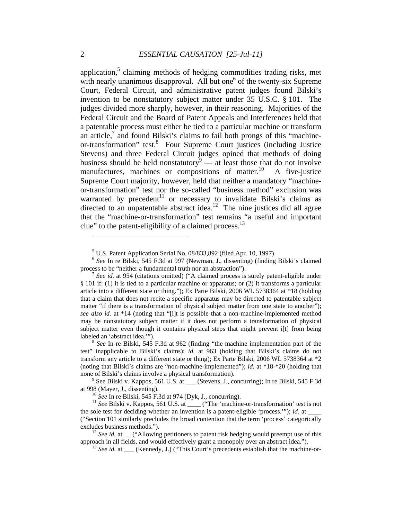application, $5$  claiming methods of hedging commodities trading risks, met with nearly unanimous disapproval. All but one<sup>6</sup> of the twenty-six Supreme Court, Federal Circuit, and administrative patent judges found Bilski's invention to be nonstatutory subject matter under 35 U.S.C. § 101. The judges divided more sharply, however, in their reasoning. Majorities of the Federal Circuit and the Board of Patent Appeals and Interferences held that a patentable process must either be tied to a particular machine or transform an article, $\frac{7}{7}$  and found Bilski's claims to fail both prongs of this "machineor-transformation" test.<sup>8</sup> Four Supreme Court justices (including Justice Stevens) and three Federal Circuit judges opined that methods of doing business should be held nonstatutory  $\frac{9}{2}$  at least those that do not involve manufactures, machines or compositions of matter.<sup>10</sup> A five-justice Supreme Court majority, however, held that neither a mandatory "machineor-transformation" test nor the so-called "business method" exclusion was warranted by precedent<sup>11</sup> or necessary to invalidate Bilski's claims as directed to an unpatentable abstract idea.<sup>12</sup> The nine justices did all agree that the "machine-or-transformation" test remains "a useful and important clue" to the patent-eligibility of a claimed process. $^{13}$ 

<sup>5</sup> U.S. Patent Application Serial No. 08/833,892 (filed Apr. 10, 1997).

<sup>6</sup> *See* In re Bilski, 545 F.3d at 997 (Newman, J., dissenting) (finding Bilski's claimed process to be "neither a fundamental truth nor an abstraction").<br><sup>7</sup> *See id.* at 954 (citations omitted) ("A claimed process is surely patent-eligible under

<sup>§ 101</sup> if: (1) it is tied to a particular machine or apparatus; or (2) it transforms a particular article into a different state or thing."); Ex Parte Bilski, 2006 WL 5738364 at \*18 (holding that a claim that does not recite a specific apparatus may be directed to patentable subject matter "if there is a transformation of physical subject matter from one state to another"); *see also id.* at \*14 (noting that "[i]t is possible that a non-machine-implemented method may be nonstatutory subject matter if it does not perform a transformation of physical subject matter even though it contains physical steps that might prevent i[t] from being labeled an 'abstract idea.'"). 8 *See* In re Bilski, 545 F.3d at 962 (finding "the machine implementation part of the

test" inapplicable to Bilski's claims); *id.* at 963 (holding that Bilski's claims do not transform any article to a different state or thing); Ex Parte Bilski, 2006 WL 5738364 at \*2 (noting that Bilski's claims are "non-machine-implemented"); *id.* at \*18-\*20 (holding that none of Bilski's claims involve a physical transformation). 9

<sup>&</sup>lt;sup>9</sup> See Bilski v. Kappos, 561 U.S. at  $\_\_\_\$  (Stevens, J., concurring); In re Bilski, 545 F.3d at 998 (Mayer, J., dissenting).

<sup>&</sup>lt;sup>10</sup> *See* In re Bilski, 545 F.3d at 974 (Dyk, J., concurring). <sup>11</sup> *See* Bilski v. Kappos, 561 U.S. at \_\_\_\_ ("The 'machine-or-transformation' test is not the sole test for deciding whether an invention is a patent-eligible 'process.'"); *id.* at \_\_\_\_ ("Section 101 similarly precludes the broad contention that the term 'process' categorically

excludes business methods.").<br><sup>12</sup> *See id.* at \_\_ ("Allowing petitioners to patent risk hedging would preempt use of this approach in all fields, and would effectively grant a monopoly over an abstract idea.").

<sup>&</sup>lt;sup>13</sup> *See id.* at (Kennedy, J.) ("This Court's precedents establish that the machine-or-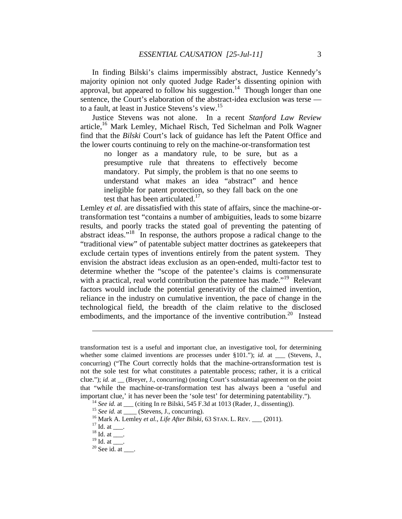In finding Bilski's claims impermissibly abstract, Justice Kennedy's majority opinion not only quoted Judge Rader's dissenting opinion with approval, but appeared to follow his suggestion.<sup>14</sup> Though longer than one sentence, the Court's elaboration of the abstract-idea exclusion was terse to a fault, at least in Justice Stevens's view.<sup>15</sup>

Justice Stevens was not alone. In a recent *Stanford Law Review* article,<sup>16</sup> Mark Lemley, Michael Risch, Ted Sichelman and Polk Wagner find that the *Bilski* Court's lack of guidance has left the Patent Office and the lower courts continuing to rely on the machine-or-transformation test

no longer as a mandatory rule, to be sure, but as a presumptive rule that threatens to effectively become mandatory. Put simply, the problem is that no one seems to understand what makes an idea "abstract" and hence ineligible for patent protection, so they fall back on the one test that has been articulated. $17$ 

Lemley *et al.* are dissatisfied with this state of affairs, since the machine-ortransformation test "contains a number of ambiguities, leads to some bizarre results, and poorly tracks the stated goal of preventing the patenting of abstract ideas."18 In response, the authors propose a radical change to the "traditional view" of patentable subject matter doctrines as gatekeepers that exclude certain types of inventions entirely from the patent system. They envision the abstract ideas exclusion as an open-ended, multi-factor test to determine whether the "scope of the patentee's claims is commensurate with a practical, real world contribution the patentee has made."<sup>19</sup> Relevant factors would include the potential generativity of the claimed invention, reliance in the industry on cumulative invention, the pace of change in the technological field, the breadth of the claim relative to the disclosed embodiments, and the importance of the inventive contribution.<sup>20</sup> Instead

transformation test is a useful and important clue, an investigative tool, for determining whether some claimed inventions are processes under §101."); *id.* at \_\_\_ (Stevens, J., concurring) ("The Court correctly holds that the machine-ortransformation test is not the sole test for what constitutes a patentable process; rather, it is a critical clue."); *id.* at (Breyer, J., concurring) (noting Court's substantial agreement on the point that "while the machine-or-transformation test has always been a 'useful and important clue,' it has never been the 'sole test' for determining patentability.").<br>
<sup>14</sup> See id. at \_\_\_ (citing In re Bilski, 545 F.3d at 1013 (Rader, J., dissenting)).<br>
<sup>15</sup> See id. at \_\_\_ (Stevens, J., concurring).<br>
<sup></sup>

 $^{18}$  Id. at \_\_\_.

 $^{19}$  Id. at \_\_\_.

 $20$  See id. at \_\_\_\_.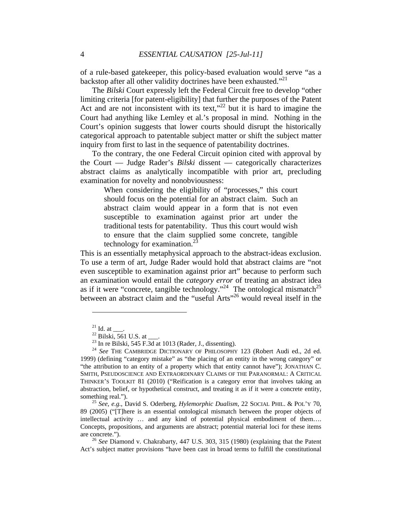of a rule-based gatekeeper, this policy-based evaluation would serve "as a backstop after all other validity doctrines have been exhausted."<sup>21</sup>

The *Bilski* Court expressly left the Federal Circuit free to develop "other limiting criteria [for patent-eligibility] that further the purposes of the Patent Act and are not inconsistent with its text," $^{22}$  but it is hard to imagine the Court had anything like Lemley et al.'s proposal in mind. Nothing in the Court's opinion suggests that lower courts should disrupt the historically categorical approach to patentable subject matter or shift the subject matter inquiry from first to last in the sequence of patentability doctrines.

To the contrary, the one Federal Circuit opinion cited with approval by the Court — Judge Rader's *Bilski* dissent — categorically characterizes abstract claims as analytically incompatible with prior art, precluding examination for novelty and nonobviousness:

When considering the eligibility of "processes," this court should focus on the potential for an abstract claim. Such an abstract claim would appear in a form that is not even susceptible to examination against prior art under the traditional tests for patentability. Thus this court would wish to ensure that the claim supplied some concrete, tangible technology for examination.<sup>23</sup>

This is an essentially metaphysical approach to the abstract-ideas exclusion. To use a term of art, Judge Rader would hold that abstract claims are "not even susceptible to examination against prior art" because to perform such an examination would entail the *category error* of treating an abstract idea as if it were "concrete, tangible technology."<sup>24</sup> The ontological mismatch<sup>25</sup> between an abstract claim and the "useful Arts"<sup>26</sup> would reveal itself in the

 $21$  Id. at \_\_\_\_.

<sup>&</sup>lt;sup>22</sup> Bilski, 561 U.S. at \_\_\_.

<sup>&</sup>lt;sup>23</sup> In re Bilski, 545 F.3d at 1013 (Rader, J., dissenting).

<sup>&</sup>lt;sup>24</sup> See THE CAMBRIDGE DICTIONARY OF PHILOSOPHY 123 (Robert Audi ed., 2d ed. 1999) (defining "category mistake" as "the placing of an entity in the wrong category" or "the attribution to an entity of a property which that entity cannot have"); JONATHAN C. SMITH, PSEUDOSCIENCE AND EXTRAORDINARY CLAIMS OF THE PARANORMAL: A CRITICAL THINKER'S TOOLKIT 81 (2010) ("Reification is a category error that involves taking an abstraction, belief, or hypothetical construct, and treating it as if it were a concrete entity, something real."). 25 *See, e.g.*, David S. Oderberg, *Hylemorphic Dualism*, 22 SOCIAL PHIL. & POL'Y 70,

<sup>89 (2005) (&</sup>quot;[T]here is an essential ontological mismatch between the proper objects of intellectual activity … and any kind of potential physical embodiment of them…. Concepts, propositions, and arguments are abstract; potential material loci for these items are concrete."). 26 *See* Diamond v. Chakrabarty, 447 U.S. 303, 315 (1980) (explaining that the Patent

Act's subject matter provisions "have been cast in broad terms to fulfill the constitutional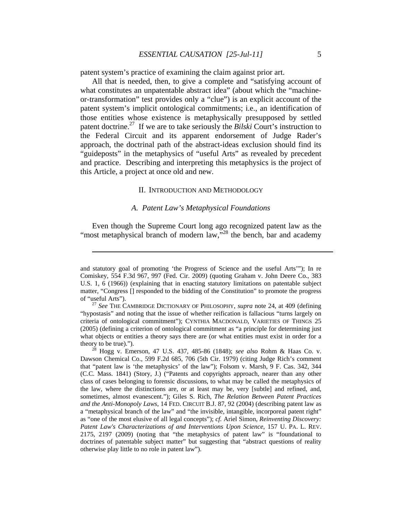patent system's practice of examining the claim against prior art.

All that is needed, then, to give a complete and "satisfying account of what constitutes an unpatentable abstract idea" (about which the "machineor-transformation" test provides only a "clue") is an explicit account of the patent system's implicit ontological commitments; i.e., an identification of those entities whose existence is metaphysically presupposed by settled patent doctrine.27 If we are to take seriously the *Bilski* Court's instruction to the Federal Circuit and its apparent endorsement of Judge Rader's approach, the doctrinal path of the abstract-ideas exclusion should find its "guideposts" in the metaphysics of "useful Arts" as revealed by precedent and practice. Describing and interpreting this metaphysics is the project of this Article, a project at once old and new.

#### II. INTRODUCTION AND METHODOLOGY

### *A. Patent Law's Metaphysical Foundations*

Even though the Supreme Court long ago recognized patent law as the "most metaphysical branch of modern law,"<sup>28</sup> the bench, bar and academy

and statutory goal of promoting 'the Progress of Science and the useful Arts'"); In re Comiskey, 554 F.3d 967, 997 (Fed. Cir. 2009) (quoting Graham v. John Deere Co., 383 U.S. 1, 6 (1966)) (explaining that in enacting statutory limitations on patentable subject matter, "Congress [] responded to the bidding of the Constitution" to promote the progress of "useful Arts"). 27 *See* THE CAMBRIDGE DICTIONARY OF PHILOSOPHY, *supra* note 24, at 409 (defining

<sup>&</sup>quot;hypostasis" and noting that the issue of whether reification is fallacious "turns largely on criteria of ontological commitment"); CYNTHIA MACDONALD, VARIETIES OF THINGS 25 (2005) (defining a criterion of ontological commitment as "a principle for determining just what objects or entities a theory says there are (or what entities must exist in order for a theory to be true)."). 28 Hogg v. Emerson, 47 U.S. 437, 485-86 (1848); *see also* Rohm & Haas Co. v.

Dawson Chemical Co., 599 F.2d 685, 706 (5th Cir. 1979) (citing Judge Rich's comment that "patent law is 'the metaphysics' of the law"); Folsom v. Marsh, 9 F. Cas. 342, 344 (C.C. Mass. 1841) (Story, J.) ("Patents and copyrights approach, nearer than any other class of cases belonging to forensic discussions, to what may be called the metaphysics of the law, where the distinctions are, or at least may be, very [subtle] and refined, and, sometimes, almost evanescent."); Giles S. Rich*, The Relation Between Patent Practices and the Anti-Monopoly Laws*, 14 FED. CIRCUIT B.J. 87, 92 (2004) (describing patent law as a "metaphysical branch of the law" and "the invisible, intangible, incorporeal patent right" as "one of the most elusive of all legal concepts"); *cf.* Ariel Simon, *Reinventing Discovery: Patent Law's Characterizations of and Interventions Upon Science*, 157 U. PA. L. REV. 2175, 2197 (2009) (noting that "the metaphysics of patent law" is "foundational to doctrines of patentable subject matter" but suggesting that "abstract questions of reality otherwise play little to no role in patent law").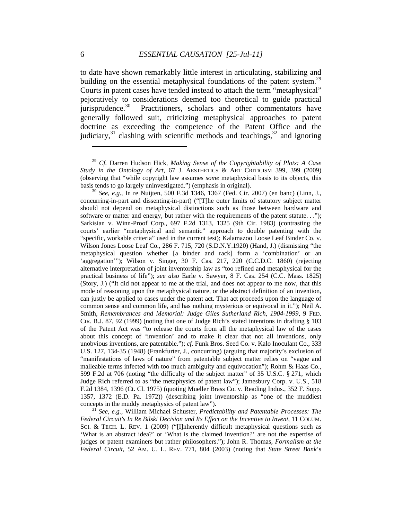to date have shown remarkably little interest in articulating, stabilizing and building on the essential metaphysical foundations of the patent system.<sup>29</sup> Courts in patent cases have tended instead to attach the term "metaphysical" pejoratively to considerations deemed too theoretical to guide practical jurisprudence.<sup>30</sup> Practitioners, scholars and other commentators have generally followed suit, criticizing metaphysical approaches to patent doctrine as exceeding the competence of the Patent Office and the judiciary, $31$  clashing with scientific methods and teachings, $32$  and ignoring

*Federal Circuit's In Re Bilski Decision and Its Effect on the Incentive to Invent*, 11 COLUM. SCI. & TECH. L. REV. 1 (2009) ("[I]nherently difficult metaphysical questions such as 'What is an abstract idea?' or 'What is the claimed invention?' are not the expertise of judges or patent examiners but rather philosophers."); John R. Thomas, *Formalism at the Federal Circuit,* 52 AM. U. L. REV. 771, 804 (2003) (noting that *State Street Bank*'s

<sup>29</sup> *Cf.* Darren Hudson Hick*, Making Sense of the Copyrightability of Plots: A Case Study in the Ontology of Art*, 67 J. AESTHETICS & ART CRITICISM 399, 399 (2009) (observing that "while copyright law assumes *some* metaphysical basis to its objects, this basis tends to go largely uninvestigated.") (emphasis in original). 30 *See, e.g.*, In re Nuijten, 500 F.3d 1346, 1367 (Fed. Cir. 2007) (en banc) (Linn, J.,

concurring-in-part and dissenting-in-part) ("[T]he outer limits of statutory subject matter should not depend on metaphysical distinctions such as those between hardware and software or matter and energy, but rather with the requirements of the patent statute. . ."); Sarkisian v. Winn-Proof Corp., 697 F.2d 1313, 1325 (9th Cir. 1983) (contrasting the courts' earlier "metaphysical and semantic" approach to double patenting with the "specific, workable criteria" used in the current test); Kalamazoo Loose Leaf Binder Co. v. Wilson Jones Loose Leaf Co., 286 F. 715, 720 (S.D.N.Y.1920) (Hand, J.) (dismissing "the metaphysical question whether [a binder and rack] form a 'combination' or an 'aggregation'"); Wilson v. Singer, 30 F. Cas. 217, 220 (C.C.D.C. 1860) (rejecting alternative interpretation of joint inventorship law as "too refined and metaphysical for the practical business of life"); *see also* Earle v. Sawyer, 8 F. Cas. 254 (C.C. Mass. 1825) (Story, J.) ("It did not appear to me at the trial, and does not appear to me now, that this mode of reasoning upon the metaphysical nature, or the abstract definition of an invention, can justly be applied to cases under the patent act. That act proceeds upon the language of common sense and common life, and has nothing mysterious or equivocal in it."); Neil A. Smith, *Remembrances and Memorial: Judge Giles Sutherland Rich, 1904-1999*, 9 FED. CIR. B.J. 87, 92 (1999) (noting that one of Judge Rich's stated intentions in drafting § 103 of the Patent Act was "to release the courts from all the metaphysical law of the cases about this concept of 'invention' and to make it clear that not all inventions, only unobvious inventions, are patentable."); *cf.* Funk Bros. Seed Co. v. Kalo Inoculant Co., 333 U.S. 127, 134-35 (1948) (Frankfurter, J., concurring) (arguing that majority's exclusion of "manifestations of laws of nature" from patentable subject matter relies on "vague and malleable terms infected with too much ambiguity and equivocation"); Rohm & Haas Co., 599 F.2d at 706 (noting "the difficulty of the subject matter" of 35 U.S.C. § 271, which Judge Rich referred to as "the metaphysics of patent law"); Jamesbury Corp. v. U.S., 518 F.2d 1384, 1396 (Ct. Cl. 1975) (quoting Mueller Brass Co. v. Reading Indus., 352 F. Supp. 1357, 1372 (E.D. Pa. 1972)) (describing joint inventorship as "one of the muddiest concepts in the muddy metaphysics of patent law"). 31 *See, e.g.*, William Michael Schuster, *Predictability and Patentable Processes: The*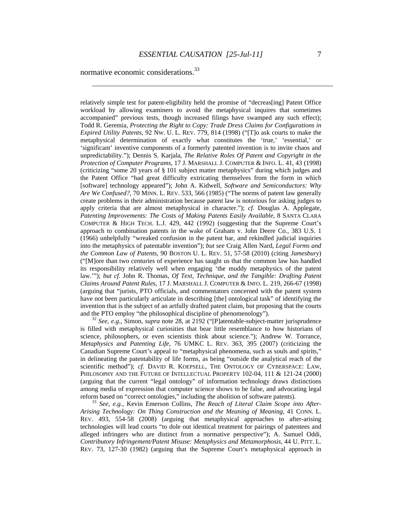normative economic considerations.<sup>33</sup>

 $\overline{a}$ 

relatively simple test for patent-eligibility held the promise of "decreas[ing] Patent Office workload by allowing examiners to avoid the metaphysical inquires that sometimes accompanied" previous tests, though increased filings have swamped any such effect); Todd R. Geremia, *Protecting the Right to Copy: Trade Dress Claims for Configurations in Expired Utility Patents*, 92 NW. U. L. REV. 779, 814 (1998) ("[T]o ask courts to make the metaphysical determination of exactly what constitutes the 'true,' 'essential,' or 'significant' inventive components of a formerly patented invention is to invite chaos and unpredictability."); Dennis S. Karjala, *The Relative Roles Of Patent and Copyright in the Protection of Computer Programs*, 17 J. MARSHALL J. COMPUTER & INFO. L. 41, 43 (1998) (criticizing "some 20 years of § 101 subject matter metaphysics" during which judges and the Patent Office "had great difficulty extricating themselves from the form in which [software] technology appeared"); John A. Kidwell, *Software and Semiconductors: Why Are We Confused?*, 70 MINN. L. REV. 533, 566 (1985) ("The norms of patent law generally create problems in their administration because patent law is notorious for asking judges to apply criteria that are almost metaphysical in character."); *cf.* Douglas A. Applegate, *Patenting Improvements: The Costs of Making Patents Easily Available*, 8 SANTA CLARA COMPUTER & HIGH TECH. L.J. 429, 442 (1992) (suggesting that the Supreme Court's approach to combination patents in the wake of Graham v. John Deere Co., 383 U.S. 1 (1966) unhelpfully "wreaked confusion in the patent bar, and rekindled judicial inquiries into the metaphysics of patentable invention"); *but see* Craig Allen Nard, *Legal Forms and the Common Law of Patents*, 90 BOSTON U. L. REV. 51, 57-58 (2010) (citing *Jamesbury*) ("[M]ore than two centuries of experience has taught us that the common law has handled its responsibility relatively well when engaging 'the muddy metaphysics of the patent law.'"); *but cf.* John R. Thomas, *Of Text, Technique, and the Tangible: Drafting Patent Claims Around Patent Rules*, 17 J. MARSHALL J. COMPUTER & INFO. L. 219, 266-67 (1998) (arguing that "jurists, PTO officials, and commentators concerned with the patent system have not been particularly articulate in describing [the] ontological task" of identifying the invention that is the subject of an artfully drafted patent claim, but proposing that the courts and the PTO employ "the philosophical discipline of phenomenology"). 32 *See, e.g.*, Simon, *supra* note 28, at 2192 ("[P]atentable-subject-matter jurisprudence

is filled with metaphysical curiosities that bear little resemblance to how historians of science, philosophers, or even scientists think about science."); Andrew W. Torrance, *Metaphysics and Patenting Life*, 76 UMKC L. REV. 363, 395 (2007) (criticizing the Canadian Supreme Court's appeal to "metaphysical phenomena, such as souls and spirits," in delineating the patentability of life forms, as being "outside the analytical reach of the scientific method"); *cf.* DAVID R. KOEPSELL, THE ONTOLOGY OF CYBERSPACE: LAW, PHILOSOPHY AND THE FUTURE OF INTELLECTUAL PROPERTY 102-04, 111 & 121-24 (2000) (arguing that the current "legal ontology" of information technology draws distinctions among media of expression that computer science shows to be false, and advocating legal reform based on "correct ontologies," including the abolition of software patents). 33 *See, e.g.*, Kevin Emerson Collins, *The Reach of Literal Claim Scope into After-*

*Arising Technology: On Thing Construction and the Meaning of Meaning*, 41 CONN. L. REV. 493, 554-58 (2008) (arguing that metaphysical approaches to after-arising technologies will lead courts "to dole out identical treatment for pairings of patentees and alleged infringers who are distinct from a normative perspective"); A. Samuel Oddi, *Contributory Infringement/Patent Misuse: Metaphysics and Metamorphosis*, 44 U. PITT. L. REV. 73, 127-30 (1982) (arguing that the Supreme Court's metaphysical approach in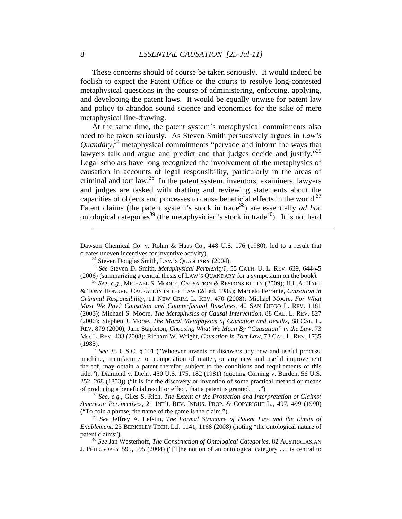These concerns should of course be taken seriously. It would indeed be foolish to expect the Patent Office or the courts to resolve long-contested metaphysical questions in the course of administering, enforcing, applying, and developing the patent laws. It would be equally unwise for patent law and policy to abandon sound science and economics for the sake of mere metaphysical line-drawing.

At the same time, the patent system's metaphysical commitments also need to be taken seriously. As Steven Smith persuasively argues in *Law's Quandary*, 34 metaphysical commitments "pervade and inform the ways that lawyers talk and argue and predict and that judges decide and justify."<sup>35</sup> Legal scholars have long recognized the involvement of the metaphysics of causation in accounts of legal responsibility, particularly in the areas of criminal and tort law.<sup>36</sup> In the patent system, inventors, examiners, lawyers and judges are tasked with drafting and reviewing statements about the capacities of objects and processes to cause beneficial effects in the world.<sup>37</sup> Patent claims (the patent system's stock in trade<sup>38</sup>) are essentially *ad hoc* ontological categories<sup>39</sup> (the metaphysician's stock in trade<sup>40</sup>). It is not hard

Dawson Chemical Co. v. Rohm & Haas Co., 448 U.S. 176 (1980), led to a result that

creates uneven incentives for inventive activity).<br><sup>34</sup> Steven Douglas Smith, LAW's QUANDARY (2004).<br><sup>35</sup> *See* Steven D. Smith, *Metaphysical Perplexity?*, 55 CATH. U. L. REV. 639, 644-45<br>(2006) (summarizing a central the

<sup>36</sup> See, e.g., MICHAEL S. MOORE, CAUSATION & RESPONSIBILITY (2009); H.L.A. HART & TONY HONORÉ, CAUSATION IN THE LAW (2d ed. 1985); Marcelo Ferrante, *Causation in Criminal Responsibility*, 11 NEW CRIM. L. REV. 470 (2008); Michael Moore, *For What Must We Pay? Causation and Counterfactual Baselines*, 40 SAN DIEGO L. REV. 1181 (2003); Michael S. Moore, *The Metaphysics of Causal Intervention*, 88 CAL. L. REV. 827 (2000); Stephen J. Morse, *The Moral Metaphysics of Causation and Results*, 88 CAL. L. REV. 879 (2000); Jane Stapleton, *Choosing What We Mean By "Causation" in the Law*, 73 MO. L. REV. 433 (2008); Richard W. Wright, *Causation in Tort Law*, 73 CAL. L. REV. 1735 (1985).<br><sup>37</sup> *See* 35 U.S.C. § 101 ("Whoever invents or discovers any new and useful process,

<sup>38</sup> See, e.g., Giles S. Rich, *The Extent of the Protection and Interpretation of Claims: American Perspectives*, 21 INT'L REV. INDUS. PROP. & COPYRIGHT L., 497, 499 (1990) ("To coin a phrase, the name of the game is the claim.").

<sup>39</sup> *See* Jeffrey A. Lefstin, *The Formal Structure of Patent Law and the Limits of Enablement*, 23 BERKELEY TECH. L.J. 1141, 1168 (2008) (noting "the ontological nature of patent claims"). 40 *See* Jan Westerhoff, *The Construction of Ontological Categories*, 82 AUSTRALASIAN

J. PHILOSOPHY 595, 595 (2004) ("[T]he notion of an ontological category . . . is central to

machine, manufacture, or composition of matter, or any new and useful improvement thereof, may obtain a patent therefor, subject to the conditions and requirements of this title."); Diamond v. Diehr, 450 U.S. 175, 182 (1981) (quoting Corning v. Burden, 56 U.S. 252, 268 (1853)) ("It is for the discovery or invention of some practical method or means of producing a beneficial result or effect, that a patent is granted....").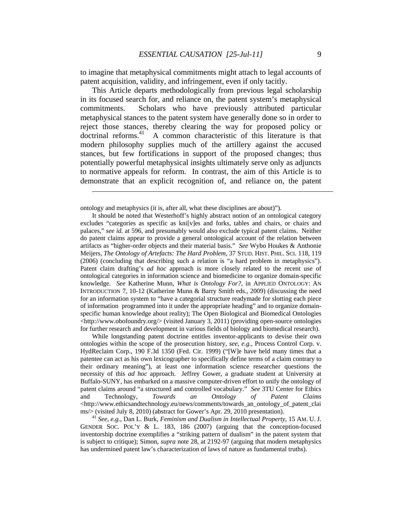to imagine that metaphysical commitments might attach to legal accounts of patent acquisition, validity, and infringement, even if only tacitly.

This Article departs methodologically from previous legal scholarship in its focused search for, and reliance on, the patent system's metaphysical commitments. Scholars who have previously attributed particular metaphysical stances to the patent system have generally done so in order to reject those stances, thereby clearing the way for proposed policy or doctrinal reforms.<sup>41</sup> A common characteristic of this literature is that modern philosophy supplies much of the artillery against the accused stances, but few fortifications in support of the proposed changes; thus potentially powerful metaphysical insights ultimately serve only as adjuncts to normative appeals for reform. In contrast, the aim of this Article is to demonstrate that an explicit recognition of, and reliance on, the patent

 $\overline{a}$ 

While longstanding patent doctrine entitles inventor-applicants to devise their own ontologies within the scope of the prosecution history, *see, e.g.*, Process Control Corp. v. HydReclaim Corp., 190 F.3d 1350 (Fed. Cir. 1999) ("[W]e have held many times that a patentee can act as his own lexicographer to specifically define terms of a claim contrary to their ordinary meaning"), at least one information science researcher questions the necessity of this *ad hoc* approach. Jeffrey Gower, a graduate student at University at Buffalo-SUNY, has embarked on a massive computer-driven effort to unify the ontology of patent claims around "a structured and controlled vocabulary." *See* 3TU Center for Ethics and Technology, *Towards an Ontology of Patent Claims* <http://www.ethicsandtechnology.eu/news/comments/towards\_an\_ontology\_of\_patent\_clai ms/> (visited July 8, 2010) (abstract for Gower's Apr. 29, 2010 presentation). 41 *See, e.g.*, Dan L. Burk, *Feminism and Dualism in Intellectual Property*, 15 AM. U. J.

GENDER SOC. POL'Y & L. 183, 186 (2007) (arguing that the conception-focused inventorship doctrine exemplifies a "striking pattern of dualism" in the patent system that is subject to critique); Simon, *supra* note 28, at 2192-97 (arguing that modern metaphysics has undermined patent law's characterization of laws of nature as fundamental truths).

ontology and metaphysics (it is, after all, what these disciplines are about)").

It should be noted that Westerhoff's highly abstract notion of an ontological category excludes "categories as specific as kni[v]es and forks, tables and chairs, or chairs and palaces," *see id.* at 596, and presumably would also exclude typical patent claims. Neither do patent claims appear to provide a general ontological account of the relation between artifacts as "higher-order objects and their material basis." *See* Wybo Houkes & Anthonie Meijers, *The Ontology of Artefacts: The Hard Problem*, 37 STUD. HIST. PHIL. SCI. 118, 119 (2006) (concluding that describing such a relation is "a hard problem in metaphysics"). Patent claim drafting's *ad hoc* approach is more closely related to the recent use of ontological categories in information science and biomedicine to organize domain-specific knowledge. *See* Katherine Munn, *What is Ontology For?*, in APPLIED ONTOLOGY: AN INTRODUCTION 7, 10-12 (Katherine Munn & Barry Smith eds., 2009) (discussing the need for an information system to "have a categorial structure readymade for slotting each piece of information programmed into it under the appropriate heading" and to organize domainspecific human knowledge about reality); The Open Biological and Biomedical Ontologies <http://www.obofoundry.org/> (visited January 3, 2011) (providing open-source ontologies for further research and development in various fields of biology and biomedical research).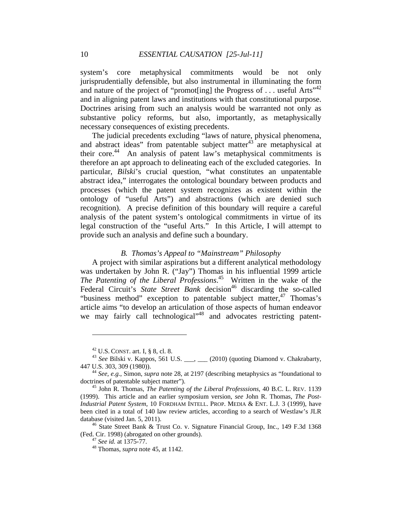system's core metaphysical commitments would be not only jurisprudentially defensible, but also instrumental in illuminating the form and nature of the project of "promot[ing] the Progress of  $\dots$  useful Arts<sup> $142$ </sup> and in aligning patent laws and institutions with that constitutional purpose. Doctrines arising from such an analysis would be warranted not only as substantive policy reforms, but also, importantly, as metaphysically necessary consequences of existing precedents.

The judicial precedents excluding "laws of nature, physical phenomena, and abstract ideas" from patentable subject matter $43$  are metaphysical at their core.<sup>44</sup> An analysis of patent law's metaphysical commitments is therefore an apt approach to delineating each of the excluded categories. In particular, *Bilski*'s crucial question, "what constitutes an unpatentable abstract idea," interrogates the ontological boundary between products and processes (which the patent system recognizes as existent within the ontology of "useful Arts") and abstractions (which are denied such recognition). A precise definition of this boundary will require a careful analysis of the patent system's ontological commitments in virtue of its legal construction of the "useful Arts." In this Article, I will attempt to provide such an analysis and define such a boundary.

## *B. Thomas's Appeal to "Mainstream" Philosophy*

A project with similar aspirations but a different analytical methodology was undertaken by John R. ("Jay") Thomas in his influential 1999 article *The Patenting of the Liberal Professions*. 45 Written in the wake of the Federal Circuit's *State Street Bank* decision<sup>46</sup> discarding the so-called "business method" exception to patentable subject matter, $47$  Thomas's article aims "to develop an articulation of those aspects of human endeavor we may fairly call technological"<sup>48</sup> and advocates restricting patent-

<sup>42</sup> U.S. CONST. art. I, § 8, cl. 8. 43 *See* Bilski v. Kappos, 561 U.S. \_\_\_, \_\_\_ (2010) (quoting Diamond v. Chakrabarty, 447 U.S. 303, 309 (1980)). 44 *See, e.g.*, Simon, *supra* note 28, at 2197 (describing metaphysics as "foundational to

doctrines of patentable subject matter"). 45 John R. Thomas, *The Patenting of the Liberal Professsions*, 40 B.C. L. REV. 1139

<sup>(1999).</sup> This article and an earlier symposium version, *see* John R. Thomas, *The Post-Industrial Patent System*, 10 FORDHAM INTELL. PROP. MEDIA & ENT. L.J. 3 (1999), have been cited in a total of 140 law review articles, according to a search of Westlaw's JLR

database (visited Jan. 5, 2011).<br><sup>46</sup> State Street Bank & Trust Co. v. Signature Financial Group, Inc., 149 F.3d 1368<br>(Fed. Cir. 1998) (abrogated on other grounds).

<sup>&</sup>lt;sup>47</sup> *See id.* at 1375-77.<br><sup>48</sup> Thomas, *supra* note 45, at 1142.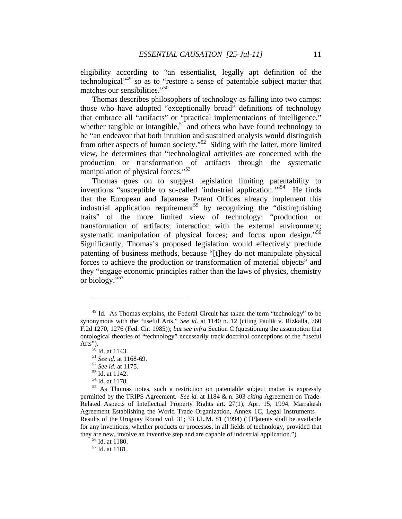eligibility according to "an essentialist, legally apt definition of the technological"49 so as to "restore a sense of patentable subject matter that matches our sensibilities."50

Thomas describes philosophers of technology as falling into two camps: those who have adopted "exceptionally broad" definitions of technology that embrace all "artifacts" or "practical implementations of intelligence," whether tangible or intangible,<sup>51</sup> and others who have found technology to be "an endeavor that both intuition and sustained analysis would distinguish from other aspects of human society."52 Siding with the latter, more limited view, he determines that "technological activities are concerned with the production or transformation of artifacts through the systematic manipulation of physical forces."<sup>53</sup>

Thomas goes on to suggest legislation limiting patentability to inventions "susceptible to so-called 'industrial application.'"<sup>54</sup> He finds that the European and Japanese Patent Offices already implement this industrial application requirement<sup>55</sup> by recognizing the "distinguishing" traits" of the more limited view of technology: "production or transformation of artifacts; interaction with the external environment; systematic manipulation of physical forces; and focus upon design."<sup>56</sup> Significantly, Thomas's proposed legislation would effectively preclude patenting of business methods, because "[t]hey do not manipulate physical forces to achieve the production or transformation of material objects" and they "engage economic principles rather than the laws of physics, chemistry or biology."57

 $\overline{a}$ 

57 Id. at 1181.

<sup>&</sup>lt;sup>49</sup> Id. As Thomas explains, the Federal Circuit has taken the term "technology" to be synonymous with the "useful Arts." *See id.* at 1140 n. 12 (citing Paulik v. Rizkalla, 760 F.2d 1270, 1276 (Fed. Cir. 1985)); *but see infra* Section C (questioning the assumption that ontological theories of "technology" necessarily track doctrinal conceptions of the "useful Arts").<br> $\frac{50}{50}$  Id. at 1143.

<sup>51</sup> *See id.* at 1168-69. 52 *See id.* at 1175. 53 Id. at 1142.

<sup>54</sup> Id. at 1178.

<sup>&</sup>lt;sup>55</sup> As Thomas notes, such a restriction on patentable subject matter is expressly permitted by the TRIPS Agreement. *See id.* at 1184 & n. 303 *citing* Agreement on Trade-Related Aspects of Intellectual Property Rights art. 27(1), Apr. 15, 1994, Marrakesh Agreement Establishing the World Trade Organization, Annex 1C, Legal Instruments— Results of the Uruguay Round vol. 31; 33 I.L.M. 81 (1994) ("[P]atents shall be available for any inventions, whether products or processes, in all fields of technology, provided that they are new, involve an inventive step and are capable of industrial application."). <sup>56</sup> Id. at 1180.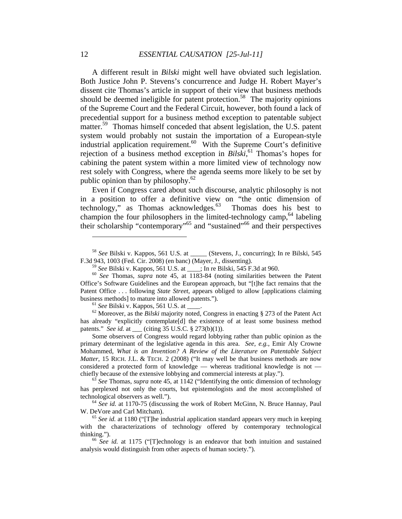A different result in *Bilski* might well have obviated such legislation. Both Justice John P. Stevens's concurrence and Judge H. Robert Mayer's dissent cite Thomas's article in support of their view that business methods should be deemed ineligible for patent protection.<sup>58</sup> The majority opinions of the Supreme Court and the Federal Circuit, however, both found a lack of precedential support for a business method exception to patentable subject matter.<sup>59</sup> Thomas himself conceded that absent legislation, the U.S. patent system would probably not sustain the importation of a European-style industrial application requirement.<sup>60</sup> With the Supreme Court's definitive rejection of a business method exception in *Bilski*, 61 Thomas's hopes for cabining the patent system within a more limited view of technology now rest solely with Congress, where the agenda seems more likely to be set by public opinion than by philosophy. $62$ 

Even if Congress cared about such discourse, analytic philosophy is not in a position to offer a definitive view on "the ontic dimension of technology," as Thomas acknowledges. $63$  Thomas does his best to champion the four philosophers in the limited-technology camp,  $64$  labeling their scholarship "contemporary"65 and "sustained"66 and their perspectives

has already "explicitly contemplate<sup>[d]</sup> the existence of at least some business method patents." *See id.* at \_\_\_ (citing 35 U.S.C. § 273(b)(1)).

Some observers of Congress would regard lobbying rather than public opinion as the primary determinant of the legislative agenda in this area. *See, e.g.*, Emir Aly Crowne Mohammed, *What is an Invention? A Review of the Literature on Patentable Subject Matter*, 15 RICH. J.L. & TECH. 2 (2008) ("It may well be that business methods are now considered a protected form of knowledge — whereas traditional knowledge is not chiefly because of the extensive lobbying and commercial interests at play."). 63 *See* Thomas, *supra* note 45, at 1142 ("Identifying the ontic dimension of technology

has perplexed not only the courts, but epistemologists and the most accomplished of

technological observers as well.").<br><sup>64</sup> *See id.* at 1170-75 (discussing the work of Robert McGinn, N. Bruce Hannay, Paul W. DeVore and Carl Mitcham).

 $<sup>65</sup>$  *See id.* at 1180 ("[T]he industrial application standard appears very much in keeping</sup> with the characterizations of technology offered by contemporary technological thinking."). 66 *See id.* at 1175 ("[T]echnology is an endeavor that both intuition and sustained

analysis would distinguish from other aspects of human society.").

<sup>58</sup> *See* Bilski v. Kappos, 561 U.S. at \_\_\_\_\_ (Stevens, J., concurring); In re Bilski, 545 F.3d 943, 1003 (Fed. Cir. 2008) (en banc) (Mayer, J., dissenting).

<sup>59</sup> *See* Bilski v. Kappos, 561 U.S. at \_\_\_\_; In re Bilski, 545 F.3d at 960. 60 *See* Thomas, *supra* note 45, at 1183-84 (noting similarities between the Patent Office's Software Guidelines and the European approach, but "[t]he fact remains that the Patent Office . . . following *State Street*, appears obliged to allow [applications claiming business methods] to mature into allowed patents.").<br><sup>61</sup> *See* Bilski v. Kappos, 561 U.S. at \_\_\_\_.<br><sup>62</sup> Moreover, as the *Bilski* majority noted, Congress in enacting § 273 of the Patent Act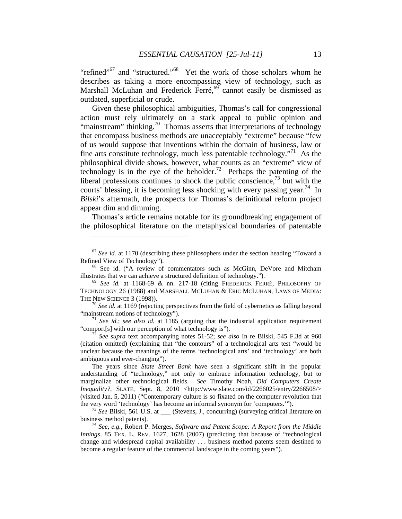"refined"<sup>67</sup> and "structured."<sup>68</sup> Yet the work of those scholars whom he describes as taking a more encompassing view of technology, such as Marshall McLuhan and Frederick Ferré, $69$  cannot easily be dismissed as outdated, superficial or crude.

Given these philosophical ambiguities, Thomas's call for congressional action must rely ultimately on a stark appeal to public opinion and "mainstream" thinking.<sup>70</sup> Thomas asserts that interpretations of technology that encompass business methods are unacceptably "extreme" because "few of us would suppose that inventions within the domain of business, law or fine arts constitute technology, much less patentable technology.<sup>"71</sup> As the philosophical divide shows, however, what counts as an "extreme" view of technology is in the eye of the beholder.<sup>72</sup> Perhaps the patenting of the liberal professions continues to shock the public conscience,  $\frac{73}{3}$  but with the courts' blessing, it is becoming less shocking with every passing year.<sup>74</sup> In *Bilski*'s aftermath, the prospects for Thomas's definitional reform project appear dim and dimming.

Thomas's article remains notable for its groundbreaking engagement of the philosophical literature on the metaphysical boundaries of patentable

<sup>67</sup> *See id.* at 1170 (describing these philosophers under the section heading "Toward a Refined View of Technology").<br><sup>68</sup> See id. ("A review of commentators such as McGinn, DeVore and Mitcham

illustrates that we can achieve a structured definition of technology."). 69 *See id.* at 1168-69 & nn. 217-18 (citing FREDERICK FERRÉ, PHILOSOPHY OF

TECHNOLOGY 26 (1988) and MARSHALL MCLUHAN & ERIC MCLUHAN, LAWS OF MEDIA: THE NEW SCIENCE 3 (1998)).<br><sup>70</sup> *See id.* at 1169 (rejecting perspectives from the field of cybernetics as falling beyond

<sup>&</sup>quot;mainstream notions of technology").<br><sup>71</sup> *See id.*; *see also id.* at 1185 (arguing that the industrial application requirement

<sup>&</sup>quot;comport[s] with our perception of what technology is"). 72 *See supra* text accompanying notes 51-52; *see also* In re Bilski, 545 F.3d at 960

<sup>(</sup>citation omitted) (explaining that "the contours" of a technological arts test "would be unclear because the meanings of the terms 'technological arts' and 'technology' are both ambiguous and ever-changing").

The years since *State Street Bank* have seen a significant shift in the popular understanding of "technology," not only to embrace information technology, but to marginalize other technological fields. *See* Timothy Noah, *Did Computers Create Inequality?*, SLATE, Sept. 8, 2010 <http://www.slate.com/id/2266025/entry/2266508/> (visited Jan. 5, 2011) ("Contemporary culture is so fixated on the computer revolution that

the very word 'technology' has become an informal synonym for 'computers.'").<br><sup>73</sup> *See* Bilski, 561 U.S. at \_\_\_ (Stevens, J., concurring) (surveying critical literature on business method patents).

<sup>&</sup>lt;sup>74</sup> See, e.g., Robert P. Merges, *Software and Patent Scope: A Report from the Middle Innings*, 85 TEX. L. REV. 1627, 1628 (2007) (predicting that because of "technological change and widespread capital availability . . . business method patents seem destined to become a regular feature of the commercial landscape in the coming years").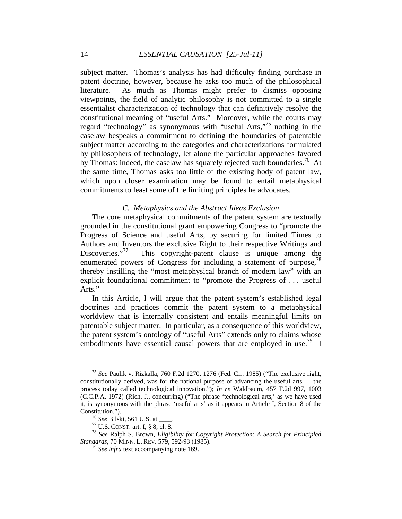subject matter. Thomas's analysis has had difficulty finding purchase in patent doctrine, however, because he asks too much of the philosophical literature. As much as Thomas might prefer to dismiss opposing viewpoints, the field of analytic philosophy is not committed to a single essentialist characterization of technology that can definitively resolve the constitutional meaning of "useful Arts." Moreover, while the courts may regard "technology" as synonymous with "useful Arts,"75 nothing in the caselaw bespeaks a commitment to defining the boundaries of patentable subject matter according to the categories and characterizations formulated by philosophers of technology, let alone the particular approaches favored by Thomas: indeed, the caselaw has squarely rejected such boundaries.<sup>76</sup> At the same time, Thomas asks too little of the existing body of patent law, which upon closer examination may be found to entail metaphysical commitments to least some of the limiting principles he advocates.

### *C. Metaphysics and the Abstract Ideas Exclusion*

The core metaphysical commitments of the patent system are textually grounded in the constitutional grant empowering Congress to "promote the Progress of Science and useful Arts, by securing for limited Times to Authors and Inventors the exclusive Right to their respective Writings and Discoveries.<sup>77</sup> This convright-patent clause is unique among the This copyright-patent clause is unique among the enumerated powers of Congress for including a statement of purpose,  $78$ thereby instilling the "most metaphysical branch of modern law" with an explicit foundational commitment to "promote the Progress of . . . useful Arts."

In this Article, I will argue that the patent system's established legal doctrines and practices commit the patent system to a metaphysical worldview that is internally consistent and entails meaningful limits on patentable subject matter. In particular, as a consequence of this worldview, the patent system's ontology of "useful Arts" extends only to claims whose embodiments have essential causal powers that are employed in use.<sup>79</sup> I

<sup>75</sup> *See* Paulik v. Rizkalla, 760 F.2d 1270, 1276 (Fed. Cir. 1985) ("The exclusive right, constitutionally derived, was for the national purpose of advancing the useful arts — the process today called technological innovation."); *In re* Waldbaum, 457 F.2d 997, 1003 (C.C.P.A. 1972) (Rich, J., concurring) ("The phrase 'technological arts,' as we have used it, is synonymous with the phrase 'useful arts' as it appears in Article I, Section 8 of the Constitution.").<br><sup>76</sup> *See* Bilski, 561 U.S. at \_\_\_\_.<br><sup>77</sup> U.S. CONST. art. I, § 8, cl. 8.<br><sup>78</sup> *See* Ralph S. Brown, *Eligibility for Copyright Protection: A Search for Principled* 

*Standards*, 70 MINN. L. REV. 579, 592-93 (1985).<br><sup>79</sup> *See infra* text accompanying note 169.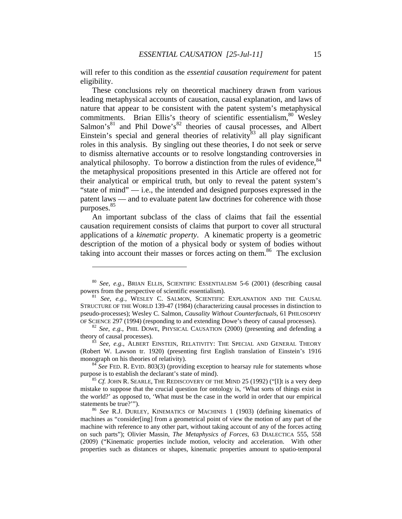will refer to this condition as the *essential causation requirement* for patent eligibility.

These conclusions rely on theoretical machinery drawn from various leading metaphysical accounts of causation, causal explanation, and laws of nature that appear to be consistent with the patent system's metaphysical commitments. Brian Ellis's theory of scientific essentialism,  $80$  Wesley Salmon's<sup>81</sup> and Phil Dowe's<sup>82</sup> theories of causal processes, and Albert Einstein's special and general theories of relativity<sup>83</sup> all play significant roles in this analysis. By singling out these theories, I do not seek or serve to dismiss alternative accounts or to resolve longstanding controversies in analytical philosophy. To borrow a distinction from the rules of evidence,  $84$ the metaphysical propositions presented in this Article are offered not for their analytical or empirical truth, but only to reveal the patent system's "state of mind"  $\frac{d}{dx}$  i.e., the intended and designed purposes expressed in the patent laws — and to evaluate patent law doctrines for coherence with those purposes.<sup>85</sup>

An important subclass of the class of claims that fail the essential causation requirement consists of claims that purport to cover all structural applications of a *kinematic property*. A kinematic property is a geometric description of the motion of a physical body or system of bodies without taking into account their masses or forces acting on them.<sup>86</sup> The exclusion

<sup>80</sup> *See, e.g.*, BRIAN ELLIS, SCIENTIFIC ESSENTIALISM 5-6 (2001) (describing causal powers from the perspective of scientific essentialism). 81 *See, e.g.*, WESLEY C. SALMON, SCIENTIFIC EXPLANATION AND THE CAUSAL

STRUCTURE OF THE WORLD 139-47 (1984) (characterizing causal processes in distinction to pseudo-processes); Wesley C. Salmon, *Causality Without Counterfactuals*, 61 PHILOSOPHY

OF SCIENCE 297 (1994) (responding to and extending Dowe's theory of causal processes).<br><sup>82</sup> *See, e.g.*, PHIL DOWE, PHYSICAL CAUSATION (2000) (presenting and defending a theory of causal processes).

See, e.g., ALBERT EINSTEIN, RELATIVITY: THE SPECIAL AND GENERAL THEORY (Robert W. Lawson tr. 1920) (presenting first English translation of Einstein's 1916 monograph on his theories of relativity).<br><sup>84</sup> *See* FED. R. EVID. 803(3) (providing exception to hearsay rule for statements whose

purpose is to establish the declarant's state of mind).<br><sup>85</sup> *Cf.* JOHN R. SEARLE, THE REDISCOVERY OF THE MIND 25 (1992) ("II is a very deep

mistake to suppose that the crucial question for ontology is, 'What sorts of things exist in the world?' as opposed to, 'What must be the case in the world in order that our empirical statements be true?'").<br><sup>86</sup> *See* R.J. DURLEY, KINEMATICS OF MACHINES 1 (1903) (defining kinematics of

machines as "consider[ing] from a geometrical point of view the motion of any part of the machine with reference to any other part, without taking account of any of the forces acting on such parts"); Olivier Massin, *The Metaphysics of Forces*, 63 DIALECTICA 555, 558 (2009) ("Kinematic properties include motion, velocity and acceleration. With other properties such as distances or shapes, kinematic properties amount to spatio-temporal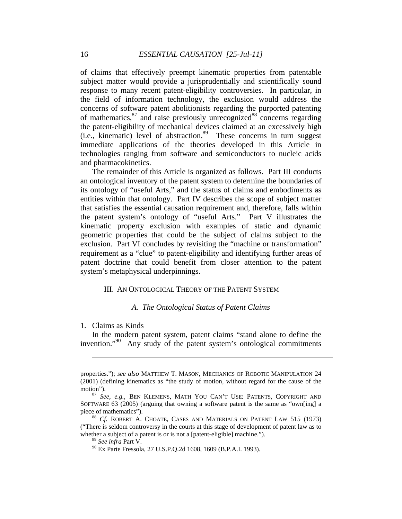of claims that effectively preempt kinematic properties from patentable subject matter would provide a jurisprudentially and scientifically sound response to many recent patent-eligibility controversies. In particular, in the field of information technology, the exclusion would address the concerns of software patent abolitionists regarding the purported patenting of mathematics,  $87$  and raise previously unrecognized  $88$  concerns regarding the patent-eligibility of mechanical devices claimed at an excessively high  $(i.e., kinematic)$  level of abstraction.<sup>89</sup> These concerns in turn suggest immediate applications of the theories developed in this Article in technologies ranging from software and semiconductors to nucleic acids and pharmacokinetics.

The remainder of this Article is organized as follows. Part III conducts an ontological inventory of the patent system to determine the boundaries of its ontology of "useful Arts," and the status of claims and embodiments as entities within that ontology. Part IV describes the scope of subject matter that satisfies the essential causation requirement and, therefore, falls within the patent system's ontology of "useful Arts." Part V illustrates the kinematic property exclusion with examples of static and dynamic geometric properties that could be the subject of claims subject to the exclusion. Part VI concludes by revisiting the "machine or transformation" requirement as a "clue" to patent-eligibility and identifying further areas of patent doctrine that could benefit from closer attention to the patent system's metaphysical underpinnings.

# III. AN ONTOLOGICAL THEORY OF THE PATENT SYSTEM

## *A. The Ontological Status of Patent Claims*

## 1. Claims as Kinds

 $\overline{a}$ 

In the modern patent system, patent claims "stand alone to define the invention."<sup>90</sup> Any study of the patent system's ontological commitments

properties."); *see also* MATTHEW T. MASON, MECHANICS OF ROBOTIC MANIPULATION 24 (2001) (defining kinematics as "the study of motion, without regard for the cause of the motion").<br><sup>87</sup> *See, e.g.*, Ben Klemens, Math You Can't Use: Patents, Copyright and

SOFTWARE 63 (2005) (arguing that owning a software patent is the same as "own[ing] a piece of mathematics").<br><sup>88</sup> *Cf.* ROBERT A. CHOATE, CASES AND MATERIALS ON PATENT LAW 515 (1973)

<sup>(&</sup>quot;There is seldom controversy in the courts at this stage of development of patent law as to whether a subject of a patent is or is not a [patent-eligible] machine.").

<sup>89</sup> *See infra* Part V.

<sup>90</sup> Ex Parte Fressola, 27 U.S.P.Q.2d 1608, 1609 (B.P.A.I. 1993).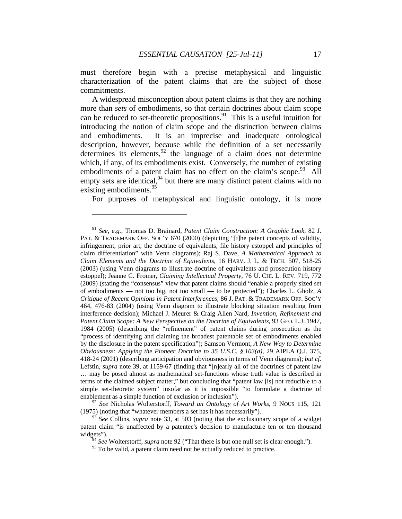must therefore begin with a precise metaphysical and linguistic characterization of the patent claims that are the subject of those commitments.

A widespread misconception about patent claims is that they are nothing more than *sets* of embodiments, so that certain doctrines about claim scope can be reduced to set-theoretic propositions.<sup>91</sup> This is a useful intuition for introducing the notion of claim scope and the distinction between claims and embodiments. It is an imprecise and inadequate ontological description, however, because while the definition of a set necessarily determines its elements,  $92$  the language of a claim does not determine which, if any, of its embodiments exist. Conversely, the number of existing embodiments of a patent claim has no effect on the claim's scope.<sup>93</sup> All empty sets are identical,  $94$  but there are many distinct patent claims with no existing embodiments.<sup>95</sup>

For purposes of metaphysical and linguistic ontology, it is more

<sup>91</sup> *See, e.g.*, Thomas D. Brainard, *Patent Claim Construction: A Graphic Look,* 82 J. PAT. & TRADEMARK OFF. SOC'Y 670 (2000) (depicting "[t]he patent concepts of validity, infringement, prior art, the doctrine of equivalents, file history estoppel and principles of claim differentiation" with Venn diagrams); Raj S. Dave, *A Mathematical Approach to Claim Elements and the Doctrine of Equivalents*, 16 HARV. J. L. & TECH. 507, 518-25 (2003) (using Venn diagrams to illustrate doctrine of equivalents and prosecution history estoppel); Jeanne C. Fromer, *Claiming Intellectual Property*, 76 U. CHI. L. REV. 719, 772 (2009) (stating the "consensus" view that patent claims should "enable a properly sized set of embodiments — not too big, not too small — to be protected"); Charles L. Gholz, *A Critique of Recent Opinions in Patent Interferences*, 86 J. PAT. & TRADEMARK OFF. SOC'Y 464, 476-83 (2004) (using Venn diagram to illustrate blocking situation resulting from interference decision); Michael J. Meurer & Craig Allen Nard, *Invention, Refinement and Patent Claim Scope: A New Perspective on the Doctrine of Equivalents*, 93 GEO. L.J. 1947, 1984 (2005) (describing the "refinement" of patent claims during prosecution as the "process of identifying and claiming the broadest patentable set of embodiments enabled by the disclosure in the patent specification"); Samson Vermont, *A New Way to Determine Obviousness: Applying the Pioneer Doctrine to 35 U.S.C. § 103(a)*, 29 AIPLA Q.J. 375, 418-24 (2001) (describing anticipation and obviousness in terms of Venn diagrams); *but cf.* Lefstin, *supra* note 39, at 1159-67 (finding that "[n]early all of the doctrines of patent law … may be posed almost as mathematical set-functions whose truth value is described in terms of the claimed subject matter," but concluding that "patent law [is] not reducible to a simple set-theoretic system" insofar as it is impossible "to formulate a doctrine of enablement as a simple function of exclusion or inclusion").

<sup>92</sup> *See* Nicholas Wolterstorff, *Toward an Ontology of Art Works*, 9 NOUS 115, 121 (1975) (noting that "whatever members a set has it has necessarily").

<sup>93</sup> *See* Collins, *supra* note 33, at 503 (noting that the exclusionary scope of a widget patent claim "is unaffected by a patentee's decision to manufacture ten or ten thousand widgets").

<sup>94</sup> *See* Wolterstorff, *supra* note 92 ("That there is but one null set is clear enough.").

<sup>&</sup>lt;sup>95</sup> To be valid, a patent claim need not be actually reduced to practice.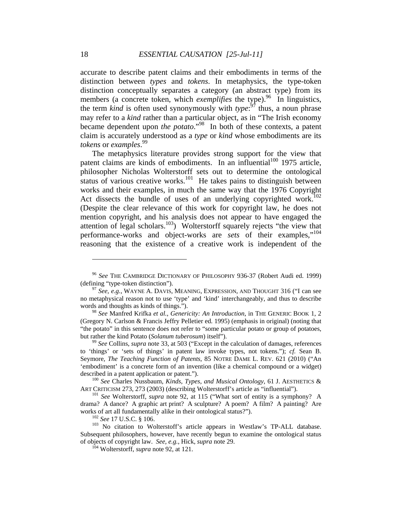accurate to describe patent claims and their embodiments in terms of the distinction between *types* and *tokens*. In metaphysics, the type-token distinction conceptually separates a category (an abstract type) from its members (a concrete token, which *exemplifies* the type).<sup>96</sup> In linguistics, the term *kind* is often used synonymously with  $type: \frac{5}{7}$  thus, a noun phrase may refer to a *kind* rather than a particular object, as in "The Irish economy became dependent upon *the potato*."98 In both of these contexts, a patent claim is accurately understood as a *type* or *kind* whose embodiments are its *tokens* or *examples*. 99

The metaphysics literature provides strong support for the view that patent claims are kinds of embodiments. In an influential<sup>100</sup> 1975 article, philosopher Nicholas Wolterstorff sets out to determine the ontological status of various creative works.<sup>101</sup> He takes pains to distinguish between works and their examples, in much the same way that the 1976 Copyright Act dissects the bundle of uses of an underlying copyrighted work.<sup>102</sup> (Despite the clear relevance of this work for copyright law, he does not mention copyright, and his analysis does not appear to have engaged the attention of legal scholars.<sup>103</sup>) Wolterstorff squarely rejects "the view that performance-works and object-works are *sets* of their examples,"104 reasoning that the existence of a creative work is independent of the

<sup>&</sup>lt;sup>96</sup> *See* THE CAMBRIDGE DICTIONARY OF PHILOSOPHY 936-37 (Robert Audi ed. 1999) (defining "type-token distinction").

<sup>&</sup>lt;sup>97</sup> See, e.g., WAYNE A. DAVIS, MEANING, EXPRESSION, AND THOUGHT 316 ("I can see no metaphysical reason not to use 'type' and 'kind' interchangeably, and thus to describe words and thoughts as kinds of things.").

<sup>98</sup> *See* Manfred Krifka *et al.*, *Genericity: An Introduction*, in THE GENERIC BOOK 1, 2 (Gregory N. Carlson & Francis Jeffry Pelletier ed. 1995) (emphasis in original) (noting that "the potato" in this sentence does not refer to "some particular potato or group of potatoes, but rather the kind Potato (*Solanum tuberosum*) itself"). 99 *See* Collins, *supra* note 33, at 503 ("Except in the calculation of damages, references

to 'things' or 'sets of things' in patent law invoke types, not tokens."); *cf.* Sean B. Seymore*, The Teaching Function of Patents*, 85 NOTRE DAME L. REV. 621 (2010) ("An 'embodiment' is a concrete form of an invention (like a chemical compound or a widget)

described in a patent application or patent.").<br><sup>100</sup> *See* Charles Nussbaum, *Kinds, Types, and Musical Ontology*, 61 J. AESTHETICS &<br>ART CRITICISM 273, 273 (2003) (describing Wolterstorff's article as "influential").

<sup>&</sup>lt;sup>101</sup> See Wolterstorff, *supra* note 92, at 115 ("What sort of entity is a symphony? A drama? A dance? A graphic art print? A sculpture? A poem? A film? A painting? Are

works of art all fundamentally alike in their ontological status?").<br><sup>102</sup> *See* 17 U.S.C. § 106.<br><sup>103</sup> No citation to Wolterstoff's article appears in Westlaw's TP-ALL database. Subsequent philosophers, however, have recently begun to examine the ontological status of objects of copyright law. *See, e.g.*, Hick, *supra* note 29. 104 Wolterstorff, *supra* note 92, at 121.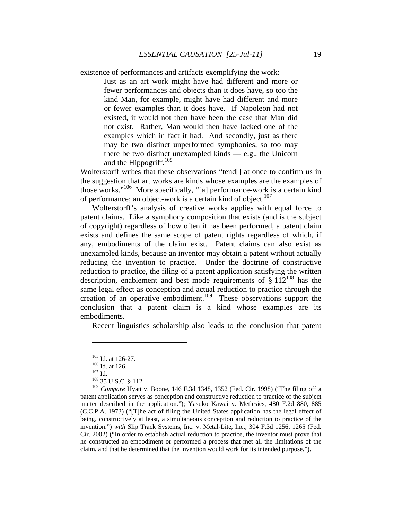existence of performances and artifacts exemplifying the work:

Just as an art work might have had different and more or fewer performances and objects than it does have, so too the kind Man, for example, might have had different and more or fewer examples than it does have. If Napoleon had not existed, it would not then have been the case that Man did not exist. Rather, Man would then have lacked one of the examples which in fact it had. And secondly, just as there may be two distinct unperformed symphonies, so too may there be two distinct unexampled kinds — e.g., the Unicorn and the Hippogriff.<sup>105</sup>

Wolterstorff writes that these observations "tend[] at once to confirm us in the suggestion that art works are kinds whose examples are the examples of those works."106 More specifically, "[a] performance-work is a certain kind of performance; an object-work is a certain kind of object.<sup>107</sup>

Wolterstorff's analysis of creative works applies with equal force to patent claims. Like a symphony composition that exists (and is the subject of copyright) regardless of how often it has been performed, a patent claim exists and defines the same scope of patent rights regardless of which, if any, embodiments of the claim exist. Patent claims can also exist as unexampled kinds, because an inventor may obtain a patent without actually reducing the invention to practice. Under the doctrine of constructive reduction to practice, the filing of a patent application satisfying the written description, enablement and best mode requirements of  $\S 112^{108}$  has the same legal effect as conception and actual reduction to practice through the creation of an operative embodiment.109 These observations support the conclusion that a patent claim is a kind whose examples are its embodiments.

Recent linguistics scholarship also leads to the conclusion that patent

<sup>&</sup>lt;sup>105</sup> Id. at 126-27.<br><sup>106</sup> Id. at 126.<br><sup>107</sup> Id. <sup>108</sup> 35 U.S.C. § 112.

<sup>109</sup> *Compare* Hyatt v. Boone, 146 F.3d 1348, 1352 (Fed. Cir. 1998) ("The filing off a patent application serves as conception and constructive reduction to practice of the subject matter described in the application."); Yasuko Kawai v. Metlesics, 480 F.2d 880, 885 (C.C.P.A. 1973) ("[T]he act of filing the United States application has the legal effect of being, constructively at least, a simultaneous conception and reduction to practice of the invention.") *with* Slip Track Systems, Inc. v. Metal-Lite, Inc., 304 F.3d 1256, 1265 (Fed. Cir. 2002) ("In order to establish actual reduction to practice, the inventor must prove that he constructed an embodiment or performed a process that met all the limitations of the claim, and that he determined that the invention would work for its intended purpose.").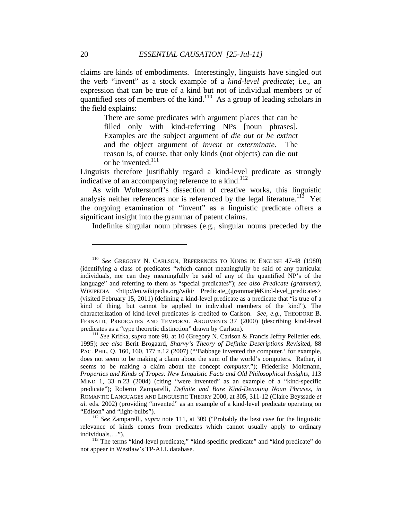claims are kinds of embodiments. Interestingly, linguists have singled out the verb "invent" as a stock example of a *kind-level predicate*; i.e., an expression that can be true of a kind but not of individual members or of quantified sets of members of the kind.<sup>110</sup> As a group of leading scholars in the field explains:

There are some predicates with argument places that can be filled only with kind-referring NPs [noun phrases]. Examples are the subject argument of *die out* or *be extinct* and the object argument of *invent* or *exterminate*. The reason is, of course, that only kinds (not objects) can die out or be invented.<sup>111</sup>

Linguists therefore justifiably regard a kind-level predicate as strongly indicative of an accompanying reference to a kind. $112$ 

As with Wolterstorff's dissection of creative works, this linguistic analysis neither references nor is referenced by the legal literature.<sup>113</sup> Yet the ongoing examination of "invent" as a linguistic predicate offers a significant insight into the grammar of patent claims.

Indefinite singular noun phrases (e.g., singular nouns preceded by the

<sup>110</sup> *See* GREGORY N. CARLSON, REFERENCES TO KINDS IN ENGLISH 47-48 (1980) (identifying a class of predicates "which cannot meaningfully be said of any particular individuals, nor can they meaningfully be said of any of the quantified NP's of the language" and referring to them as "special predicates"); *see also Predicate (grammar)*, WIKIPEDIA <http://en.wikipedia.org/wiki/ Predicate\_(grammar)#Kind-level\_predicates> (visited February 15, 2011) (defining a kind-level predicate as a predicate that "is true of a kind of thing, but cannot be applied to individual members of the kind"). The characterization of kind-level predicates is credited to Carlson. *See, e.g.*, THEODORE B. FERNALD, PREDICATES AND TEMPORAL ARGUMENTS 37 (2000) (describing kind-level predicates as a "type theoretic distinction" drawn by Carlson).<br><sup>111</sup> *See* Krifka, *supra* note 98, at 10 (Gregory N. Carlson & Francis Jeffry Pelletier eds.

<sup>1995);</sup> *see also* Berit Brogaard, *Sharvy's Theory of Definite Descriptions Revisited*, 88 PAC. PHIL. Q. 160, 160, 177 n.12 (2007) ("Babbage invented the computer,' for example, does not seem to be making a claim about the sum of the world's computers. Rather, it seems to be making a claim about the concept *computer*."); Friederike Moltmann, *Properties and Kinds of Tropes: New Linguistic Facts and Old Philosophical Insights*, 113 MIND 1, 33 n.23 (2004) (citing "were invented" as an example of a "kind-specific predicate"); Roberto Zamparelli, *Definite and Bare Kind-Denoting Noun Phrases*, *in* ROMANTIC LANGUAGES AND LINGUISTIC THEORY 2000, at 305, 311-12 (Claire Beyssade *et al.* eds. 2002) (providing "invented" as an example of a kind-level predicate operating on "Edison" and "light-bulbs").

<sup>&</sup>lt;sup>112</sup> See Zamparelli, *supra* note 111, at 309 ("Probably the best case for the linguistic relevance of kinds comes from predicates which cannot usually apply to ordinary individuals….").<br><sup>113</sup> The terms "kind-level predicate," "kind-specific predicate" and "kind predicate" do

not appear in Westlaw's TP-ALL database.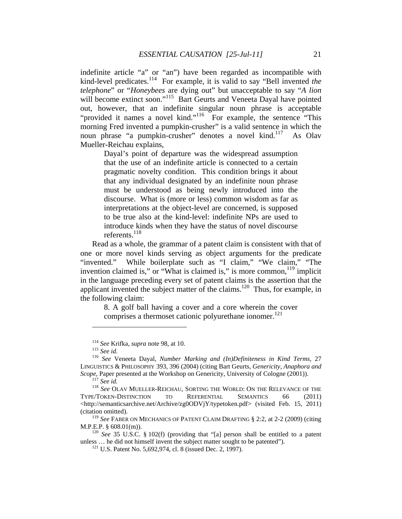indefinite article "a" or "an") have been regarded as incompatible with kind-level predicates.<sup>114</sup> For example, it is valid to say "Bell invented *the telephone*" or "*Honeybees* are dying out" but unacceptable to say "*A lion* will become extinct soon."<sup>115</sup> Bart Geurts and Veneeta Dayal have pointed out, however, that an indefinite singular noun phrase is acceptable "provided it names a novel kind."<sup>116</sup> For example, the sentence "This morning Fred invented a pumpkin-crusher" is a valid sentence in which the noun phrase "a pumpkin-crusher" denotes a novel kind.<sup>117</sup> As Olav Mueller-Reichau explains,

Dayal's point of departure was the widespread assumption that the use of an indefinite article is connected to a certain pragmatic novelty condition. This condition brings it about that any individual designated by an indefinite noun phrase must be understood as being newly introduced into the discourse. What is (more or less) common wisdom as far as interpretations at the object-level are concerned, is supposed to be true also at the kind-level: indefinite NPs are used to introduce kinds when they have the status of novel discourse referents. $^{118}$ 

Read as a whole, the grammar of a patent claim is consistent with that of one or more novel kinds serving as object arguments for the predicate "invented." While boilerplate such as "I claim," "We claim," "The invention claimed is," or "What is claimed is," is more common, $119$  implicit in the language preceding every set of patent claims is the assertion that the applicant invented the subject matter of the claims.120 Thus, for example, in the following claim:

8. A golf ball having a cover and a core wherein the cover comprises a thermoset cationic polyurethane ionomer.<sup>121</sup>

 $\overline{a}$ 

<sup>119</sup> *See* FABER ON MECHANICS OF PATENT CLAIM DRAFTING § 2:2, at 2-2 (2009) (citing M.P.E.P. § 608.01(m)). 120 *See* 35 U.S.C. § 102(f) (providing that "[a] person shall be entitled to a patent

<sup>&</sup>lt;sup>114</sup> *See* Krifka, *supra* note 98, at 10.<br><sup>115</sup> *See id.* <sup>115</sup> *See* Veneeta Dayal, *Number Marking and (In)Definiteness in Kind Terms*, 27 LINGUISTICS & PHILOSOPHY 393, 396 (2004) (citing Bart Geurts, *Genericity, Anaphora and Scope*, Paper presented at the Workshop on Genericity, University of Cologne (2001)).<br><sup>117</sup> *See id.* 218 *See* OLAV MUELLER-REICHAU, SORTING THE WORLD: ON THE RELEVANCE OF THE

TYPE/TOKEN-DISTINCTION TO REFERENTIAL SEMANTICS 66 (2011) <http://semanticsarchive.net/Archive/zg0ODVjY/typetoken.pdf> (visited Feb. 15, 2011) (citation omitted).

unless ... he did not himself invent the subject matter sought to be patented").<br><sup>121</sup> U.S. Patent No. 5,692,974, cl. 8 (issued Dec. 2, 1997).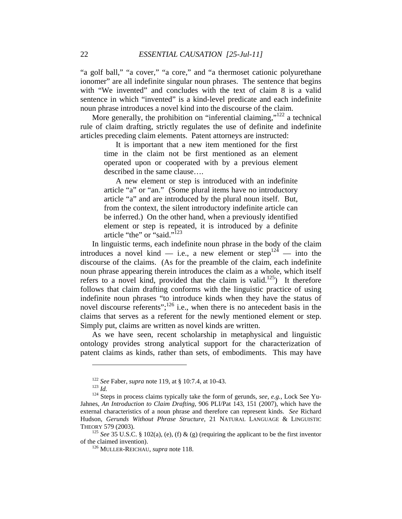"a golf ball," "a cover," "a core," and "a thermoset cationic polyurethane ionomer" are all indefinite singular noun phrases. The sentence that begins with "We invented" and concludes with the text of claim 8 is a valid sentence in which "invented" is a kind-level predicate and each indefinite noun phrase introduces a novel kind into the discourse of the claim.

More generally, the prohibition on "inferential claiming,"<sup>122</sup> a technical rule of claim drafting, strictly regulates the use of definite and indefinite articles preceding claim elements. Patent attorneys are instructed:

It is important that a new item mentioned for the first time in the claim not be first mentioned as an element operated upon or cooperated with by a previous element described in the same clause….

A new element or step is introduced with an indefinite article "a" or "an." (Some plural items have no introductory article "a" and are introduced by the plural noun itself. But, from the context, the silent introductory indefinite article can be inferred.) On the other hand, when a previously identified element or step is repeated, it is introduced by a definite article "the" or "said."<sup>123</sup>

In linguistic terms, each indefinite noun phrase in the body of the claim introduces a novel kind — i.e., a new element or step<sup>124</sup> — into the discourse of the claims. (As for the preamble of the claim, each indefinite noun phrase appearing therein introduces the claim as a whole, which itself refers to a novel kind, provided that the claim is valid.<sup>125</sup>) It therefore follows that claim drafting conforms with the linguistic practice of using indefinite noun phrases "to introduce kinds when they have the status of novel discourse referents"; $^{126}$  i.e., when there is no antecedent basis in the claims that serves as a referent for the newly mentioned element or step. Simply put, claims are written as novel kinds are written.

As we have seen, recent scholarship in metaphysical and linguistic ontology provides strong analytical support for the characterization of patent claims as kinds, rather than sets, of embodiments. This may have

<sup>&</sup>lt;sup>122</sup> *See* Faber, *supra* note 119, at § 10:7.4, at 10-43.<br><sup>123</sup> *Id.* 124 Steps in process claims typically take the form of gerunds, *see, e.g.*, Lock See Yu-Jahnes, *An Introduction to Claim Drafting*, 906 PLI/Pat 143, 151 (2007), which have the external characteristics of a noun phrase and therefore can represent kinds. *See* Richard Hudson, *Gerunds Without Phrase Structure*, 21 NATURAL LANGUAGE & LINGUISTIC

THEORY 579 (2003).<br><sup>125</sup> *See* 35 U.S.C. § 102(a), (e), (f) & (g) (requiring the applicant to be the first inventor of the claimed invention).

<sup>&</sup>lt;sup>126</sup> MULLER-REICHAU, *supra* note 118.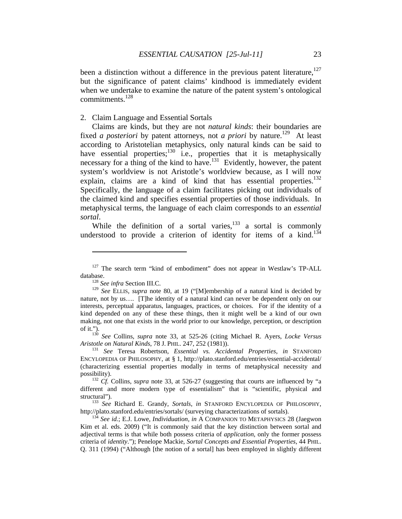been a distinction without a difference in the previous patent literature.<sup>127</sup> but the significance of patent claims' kindhood is immediately evident when we undertake to examine the nature of the patent system's ontological commitments.<sup>128</sup>

## 2. Claim Language and Essential Sortals

Claims are kinds, but they are not *natural kinds*: their boundaries are fixed *a posteriori* by patent attorneys, not *a priori* by nature.<sup>129</sup> At least according to Aristotelian metaphysics, only natural kinds can be said to have essential properties; $^{130}$  i.e., properties that it is metaphysically necessary for a thing of the kind to have.<sup>131</sup> Evidently, however, the patent system's worldview is not Aristotle's worldview because, as I will now explain, claims are a kind of kind that has essential properties.<sup>132</sup> Specifically, the language of a claim facilitates picking out individuals of the claimed kind and specifies essential properties of those individuals. In metaphysical terms, the language of each claim corresponds to an *essential sortal*.

While the definition of a sortal varies, $133$  a sortal is commonly understood to provide a criterion of identity for items of a kind.<sup>134</sup>

 $\overline{a}$ 

of it."). 130 *See* Collins, *supra* note 33, at 525-26 (citing Michael R. Ayers, *Locke Versus* 

 $127$  The search term "kind of embodiment" does not appear in Westlaw's TP-ALL database. 128 *See infra* Section III.C.

<sup>129</sup> *See* ELLIS, *supra* note 80, at 19 ("[M]embership of a natural kind is decided by nature, not by us…. [T]he identity of a natural kind can never be dependent only on our interests, perceptual apparatus, languages, practices, or choices. For if the identity of a kind depended on any of these these things, then it might well be a kind of our own making, not one that exists in the world prior to our knowledge, perception, or description

<sup>&</sup>lt;sup>131</sup> See Teresa Robertson, *Essential vs. Accidental Properties*, *in* STANFORD ENCYLOPEDIA OF PHILOSOPHY, at § 1, http://plato.stanford.edu/entries/essential-accidental/ (characterizing essential properties modally in terms of metaphysical necessity and possibility). 132 *Cf.* Collins, *supra* note 33, at 526-27 (suggesting that courts are influenced by "a

different and more modern type of essentialism" that is "scientific, physical and

structural").<br><sup>133</sup> *See* Richard E. Grandy, *Sortals*, *in* STANFORD ENCYLOPEDIA OF PHILOSOPHY,<br>http://plato.stanford.edu/entries/sortals/ (surveying characterizations of sortals).

<sup>&</sup>lt;sup>134</sup> See id.; E.J. Lowe, *Individuation*, *in* A COMPANION TO METAPHYSICS 28 (Jaegwon Kim et al. eds. 2009) ("It is commonly said that the key distinction between sortal and adjectival terms is that while both possess criteria of *application*, only the former possess criteria of *identity*."); Penelope Mackie, *Sortal Concepts and Essential Properties*, 44 PHIL. Q. 311 (1994) ("Although [the notion of a sortal] has been employed in slightly different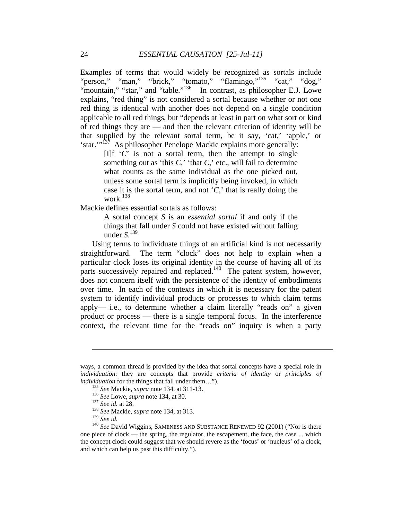Examples of terms that would widely be recognized as sortals include "person," "man," "brick," "tomato," "flamingo,"<sup>135</sup> "cat," "dog," "mountain," "star," and "table."<sup>136</sup> In contrast, as philosopher E.J. Lowe explains, "red thing" is not considered a sortal because whether or not one red thing is identical with another does not depend on a single condition applicable to all red things, but "depends at least in part on what sort or kind of red things they are — and then the relevant criterion of identity will be that supplied by the relevant sortal term, be it say, 'cat,' 'apple,' or 'star.'"<sup>137</sup> As philosopher Penelope Mackie explains more generally:

 $[II]$ f ' $C$ ' is not a sortal term, then the attempt to single something out as 'this *C*,' 'that *C*,' etc., will fail to determine what counts as the same individual as the one picked out, unless some sortal term is implicitly being invoked, in which case it is the sortal term, and not '*C*,' that is really doing the work. $138$ 

Mackie defines essential sortals as follows:

A sortal concept *S* is an *essential sortal* if and only if the things that fall under *S* could not have existed without falling under *S*. 139

Using terms to individuate things of an artificial kind is not necessarily straightforward. The term "clock" does not help to explain when a particular clock loses its original identity in the course of having all of its parts successively repaired and replaced.<sup>140</sup> The patent system, however, does not concern itself with the persistence of the identity of embodiments over time. In each of the contexts in which it is necessary for the patent system to identify individual products or processes to which claim terms apply— i.e., to determine whether a claim literally "reads on" a given product or process — there is a single temporal focus. In the interference context, the relevant time for the "reads on" inquiry is when a party

ways, a common thread is provided by the idea that sortal concepts have a special role in *individuation*: they are concepts that provide *criteria of identity* or *principles of individuation* for the things that fall under them...").<br>
<sup>135</sup> *See* Mackie, *supra* note 134, at 311-13.<br>
<sup>136</sup> *See* Lowe, *supra* note 134, at 30.<br>
<sup>137</sup> *See id.* at 28.<br>
<sup>138</sup> *See* Mackie, *supra* note 134, at 313

<sup>&</sup>lt;sup>140</sup> See David Wiggins, SAMENESS AND SUBSTANCE RENEWED 92 (2001) ("Nor is there one piece of clock — the spring, the regulator, the escapement, the face, the case  $\ldots$  which the concept clock could suggest that we should revere as the 'focus' or 'nucleus' of a clock, and which can help us past this difficulty.").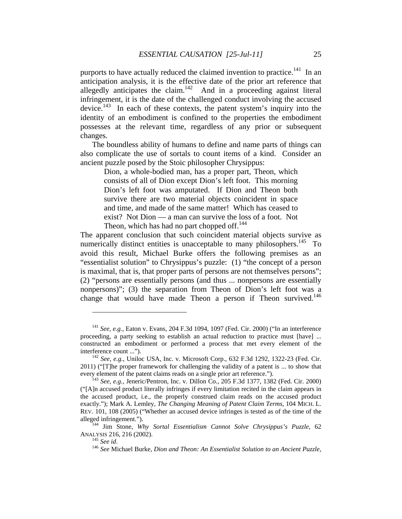purports to have actually reduced the claimed invention to practice.<sup>141</sup> In an anticipation analysis, it is the effective date of the prior art reference that allegedly anticipates the claim.<sup>142</sup> And in a proceeding against literal infringement, it is the date of the challenged conduct involving the accused device.<sup>143</sup> In each of these contexts, the patent system's inquiry into the identity of an embodiment is confined to the properties the embodiment possesses at the relevant time, regardless of any prior or subsequent changes.

The boundless ability of humans to define and name parts of things can also complicate the use of sortals to count items of a kind. Consider an ancient puzzle posed by the Stoic philosopher Chrysippus:

Dion, a whole-bodied man, has a proper part, Theon, which consists of all of Dion except Dion's left foot. This morning Dion's left foot was amputated. If Dion and Theon both survive there are two material objects coincident in space and time, and made of the same matter! Which has ceased to exist? Not Dion — a man can survive the loss of a foot. Not Theon, which has had no part chopped off. $144$ 

The apparent conclusion that such coincident material objects survive as numerically distinct entities is unacceptable to many philosophers.<sup>145</sup> To avoid this result, Michael Burke offers the following premises as an "essentialist solution" to Chrysippus's puzzle: (1) "the concept of a person is maximal, that is, that proper parts of persons are not themselves persons"; (2) "persons are essentially persons (and thus ... nonpersons are essentially nonpersons)"; (3) the separation from Theon of Dion's left foot was a change that would have made Theon a person if Theon survived.<sup>146</sup>

<sup>141</sup> *See, e.g.*, Eaton v. Evans, 204 F.3d 1094, 1097 (Fed. Cir. 2000) ("In an interference proceeding, a party seeking to establish an actual reduction to practice must [have] ... constructed an embodiment or performed a process that met every element of the interference count ..."). 142 *See, e.g.*, Uniloc USA, Inc. v. Microsoft Corp., 632 F.3d 1292, 1322-23 (Fed. Cir.

<sup>2011) (&</sup>quot;[T]he proper framework for challenging the validity of a patent is ... to show that every element of the patent claims reads on a single prior art reference.").

<sup>&</sup>lt;sup>143</sup> *See, e.g., Jeneric/Pentron, Inc. v. Dillon Co., 205 F.3d 1377, 1382 (Fed. Cir. 2000)* ("[A]n accused product literally infringes if every limitation recited in the claim appears in the accused product, i.e., the properly construed claim reads on the accused product exactly."); Mark A. Lemley, *The Changing Meaning of Patent Claim Terms*, 104 MICH. L. REV. 101, 108 (2005) ("Whether an accused device infringes is tested as of the time of the

alleged infringement.").<br><sup>144</sup> Jim Stone, *Why Sortal Essentialism Cannot Solve Chrysippus's Puzzle*, 62<br>ANALYSIS 216, 216 (2002).<br><sup>145</sup> See id.

<sup>&</sup>lt;sup>146</sup> See Michael Burke, *Dion and Theon: An Essentialist Solution to an Ancient Puzzle*,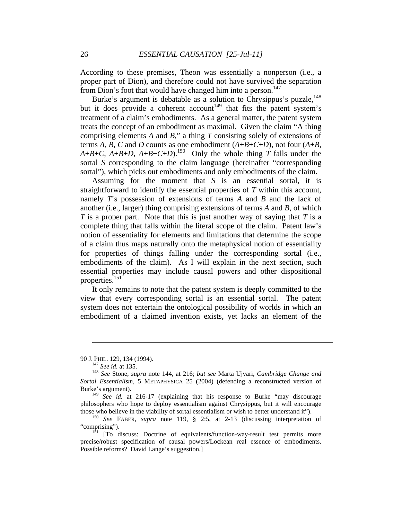According to these premises, Theon was essentially a nonperson (i.e., a proper part of Dion), and therefore could not have survived the separation from Dion's foot that would have changed him into a person.<sup>147</sup>

Burke's argument is debatable as a solution to Chrysippus's puzzle,  $^{148}$ but it does provide a coherent account<sup>149</sup> that fits the patent system's treatment of a claim's embodiments. As a general matter, the patent system treats the concept of an embodiment as maximal. Given the claim "A thing comprising elements *A* and *B*," a thing *T* consisting solely of extensions of terms *A*, *B*, *C* and *D* counts as one embodiment  $(A+B+C+D)$ , not four  $(A+B,$  $A+B+C$ ,  $A+B+D$ ,  $A+B+C+D$ ).<sup>150</sup> Only the whole thing *T* falls under the sortal *S* corresponding to the claim language (hereinafter "corresponding sortal"), which picks out embodiments and only embodiments of the claim.

Assuming for the moment that *S* is an essential sortal, it is straightforward to identify the essential properties of *T* within this account, namely *T*'s possession of extensions of terms *A* and *B* and the lack of another (i.e., larger) thing comprising extensions of terms *A* and *B*, of which *T* is a proper part. Note that this is just another way of saying that *T* is a complete thing that falls within the literal scope of the claim. Patent law's notion of essentiality for elements and limitations that determine the scope of a claim thus maps naturally onto the metaphysical notion of essentiality for properties of things falling under the corresponding sortal (i.e., embodiments of the claim). As I will explain in the next section, such essential properties may include causal powers and other dispositional properties.<sup>151</sup>

It only remains to note that the patent system is deeply committed to the view that every corresponding sortal is an essential sortal. The patent system does not entertain the ontological possibility of worlds in which an embodiment of a claimed invention exists, yet lacks an element of the

<sup>90</sup> J. PHIL. 129, 134 (1994). 147 *See id.* at 135. 148 *See* Stone, *supra* note 144, at 216; *but see* Marta Ujvari, *Cambridge Change and Sortal Essentialism*, 5 METAPHYSICA 25 (2004) (defending a reconstructed version of Burke's argument).

<sup>&</sup>lt;sup>149</sup> *See id.* at 216-17 (explaining that his response to Burke "may discourage philosophers who hope to deploy essentialism against Chrysippus, but it will encourage those who believe in the viability of sortal essentialism or wish to better understand it"). 150 *See* FABER, *supra* note 119, § 2:5, at 2-13 (discussing interpretation of

<sup>&</sup>quot;comprising").<br><sup>151</sup> [To discuss: Doctrine of equivalents/function-way-result test permits more

precise/robust specification of causal powers/Lockean real essence of embodiments. Possible reforms? David Lange's suggestion.]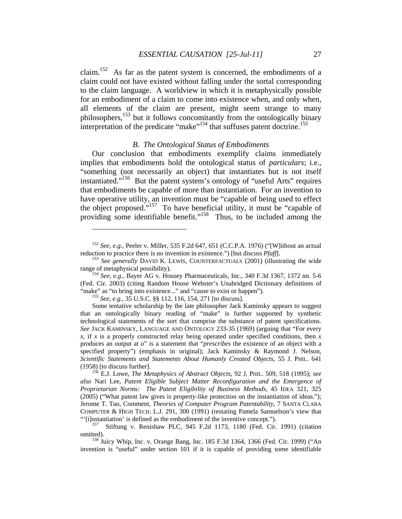claim.<sup>152</sup> As far as the patent system is concerned, the embodiments of a claim could not have existed without falling under the sortal corresponding to the claim language. A worldview in which it is metaphysically possible for an embodiment of a claim to come into existence when, and only when, all elements of the claim are present, might seem strange to many philosophers,153 but it follows concomitantly from the ontologically binary interpretation of the predicate "make"<sup>154</sup> that suffuses patent doctrine.<sup>155</sup>

## *B. The Ontological Status of Embodiments*

Our conclusion that embodiments exemplify claims immediately implies that embodiments hold the ontological status of *particulars*; i.e., "something (not necessarily an object) that instantiates but is not itself instantiated."<sup>156</sup> But the patent system's ontology of "useful Arts" requires that embodiments be capable of more than instantiation. For an invention to have operative utility, an invention must be "capable of being used to effect the object proposed."157 To have beneficial utility, it must be "capable of providing some identifiable benefit."<sup>158</sup> Thus, to be included among the

<sup>&</sup>lt;sup>152</sup> *See, e.g.*, Peeler v. Miller, 535 F.2d 647, 651 (C.C.P.A. 1976) ("[W]ithout an actual reduction to practice there is no invention in existence.") [but discuss *Pfaff*].

<sup>&</sup>lt;sup>153</sup> *See generally* DAVID K. LEWIS, COUNTERFACTUALS (2001) (illustrating the wide range of metaphysical possibility).

<sup>&</sup>lt;sup>154</sup> *See, e.g.*, Bayer AG v. Housey Pharmaceuticals, Inc., 340 F.3d 1367, 1372 nn. 5-6 (Fed. Cir. 2003) (citing Random House Webster's Unabridged Dictionary definitions of "make" as "to bring into existence..." and "cause to exist or happen").<br><sup>155</sup> *See, e.g.*, 35 U.S.C. §§ 112, 116, 154, 271 [to discuss].

Some tentative scholarship by the late philosopher Jack Kaminsky appears to suggest that an ontologically binary reading of "make" is further supported by synthetic technological statements of the sort that comprise the substance of patent specifications. *See* JACK KAMINSKY, LANGUAGE AND ONTOLOGY 233-35 (1969) (arguing that "For every  $x$ , if  $x$  is a properly constructed relay being operated under specified conditions, then  $x$ produces an output at *o*" is a statement that "*prescribes* the existence of an object with a specified property") (emphasis in original); Jack Kaminsky & Raymond J. Nelson, *Scientific Statements and Statements About Humanly Created Objects*, 55 J. PHIL. 641 (1958) [to discuss further]. 156 E.J. Lowe, *The Metaphysics of Abstract Objects*, 92 J. PHIL. 509, 518 (1995); *see* 

*also* Nari Lee, *Patent Eligible Subject Matter Reconfiguration and the Emergence of Proprietarian Norms: The Patent Eligibility of Business Methods*, 45 IDEA 321, 325 (2005) ("What patent law gives is property-like protection on the instantiation of ideas."); Jerome T. Tao, Comment, *Theories of Computer Program Patentability*, 7 SANTA CLARA COMPUTER & HIGH TECH. L.J. 291, 300 (1991) (restating Pamela Samuelson's view that "'[i]nstantiation' is defined as the embodiment of the inventive concept.").<br><sup>157</sup> Stiftung v. Renishaw PLC, 945 F.2d 1173, 1180 (Fed. Cir. 1991) (citation

omitted).<br><sup>158</sup> Juicy Whip, Inc. v. Orange Bang, Inc. 185 F.3d 1364, 1366 (Fed. Cir. 1999) ("An

invention is "useful" under section 101 if it is capable of providing some identifiable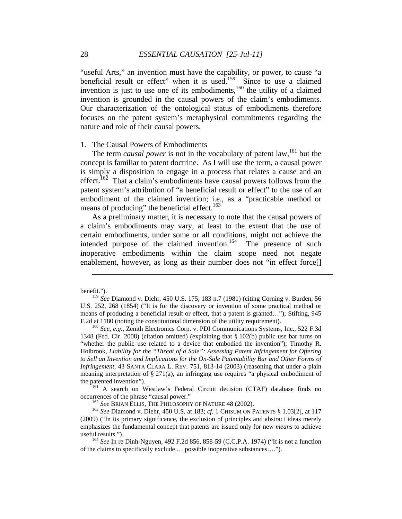"useful Arts," an invention must have the capability, or power, to cause "a beneficial result or effect" when it is used.<sup>159</sup> Since to use a claimed invention is just to use one of its embodiments, $160$  the utility of a claimed invention is grounded in the causal powers of the claim's embodiments. Our characterization of the ontological status of embodiments therefore focuses on the patent system's metaphysical commitments regarding the nature and role of their causal powers.

### 1. The Causal Powers of Embodiments

The term *causal power* is not in the vocabulary of patent law,<sup>161</sup> but the concept is familiar to patent doctrine. As I will use the term, a causal power is simply a disposition to engage in a process that relates a cause and an effect.<sup>162</sup> That a claim's embodiments have causal powers follows from the patent system's attribution of "a beneficial result or effect" to the use of an embodiment of the claimed invention; i.e., as a "practicable method or means of producing" the beneficial effect.<sup>163</sup>

As a preliminary matter, it is necessary to note that the causal powers of a claim's embodiments may vary, at least to the extent that the use of certain embodiments, under some or all conditions, might not achieve the intended purpose of the claimed invention.<sup>164</sup> The presence of such inoperative embodiments within the claim scope need not negate enablement, however, as long as their number does not "in effect force.

benefit.").

<sup>159</sup> *See* Diamond v. Diehr, 450 U.S. 175, 183 n.7 (1981) (citing Corning v. Burden, 56 U.S. 252, 268 (1854) ("It is for the discovery or invention of some practical method or means of producing a beneficial result or effect, that a patent is granted…"); Stifting, 945 F.2d at 1180 (noting the constitutional dimension of the utility requirement). 160 *See, e.g.*, Zenith Electronics Corp. v. PDI Communications Systems, Inc., 522 F.3d

<sup>1348 (</sup>Fed. Cir. 2008) (citation omitted) (explaining that § 102(b) public use bar turns on "whether the public use related to a device that embodied the invention"); Timothy R. Holbrook, *Liability for the "Threat of a Sale": Assessing Patent Infringement for Offering*  to Sell an Invention and Implications for the On-Sale Patentability Bar and Other Forms of *Infringement*, 43 SANTA CLARA L. REV. 751, 813-14 (2003) (reasoning that under a plain meaning interpretation of  $\S 271(a)$ , an infringing use requires "a physical embodiment of

the patented invention").<br><sup>161</sup> A search on Westlaw's Federal Circuit decision (CTAF) database finds no<br>occurrences of the phrase "causal power."

<sup>&</sup>lt;sup>162</sup> See BRIAN ELLIS, THE PHILOSOPHY OF NATURE 48 (2002).<br><sup>163</sup> See Diamond v. Diehr, 450 U.S. at 183; *cf.* 1 CHISUM ON PATENTS § 1.03[2], at 117 (2009) ("In its primary significance, the exclusion of principles and abstract ideas merely emphasizes the fundamental concept that patents are issued only for new *means* to achieve useful results."). 164 *See* In re Dinh-Nguyen, 492 F.2d 856, 858-59 (C.C.P.A. 1974) ("It is not a function

of the claims to specifically exclude … possible inoperative substances….").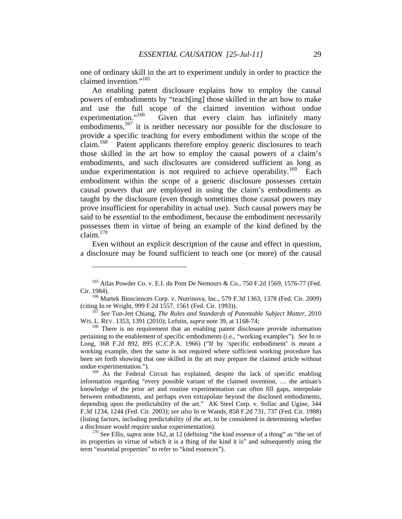one of ordinary skill in the art to experiment unduly in order to practice the claimed invention."165

An enabling patent disclosure explains how to employ the causal powers of embodiments by "teach[ing] those skilled in the art how to make and use the full scope of the claimed invention without undue<br>experimentation.<sup>166</sup> Given that every claim has infinitely many Given that every claim has infinitely many embodiments,<sup>167</sup> it is neither necessary nor possible for the disclosure to provide a specific teaching for every embodiment within the scope of the claim.<sup>168</sup> Patent applicants therefore employ generic disclosures to teach those skilled in the art how to employ the causal powers of a claim's embodiments, and such disclosures are considered sufficient as long as undue experimentation is not required to achieve operability.<sup>169</sup> Each embodiment within the scope of a generic disclosure possesses certain causal powers that are employed in using the claim's embodiments as taught by the disclosure (even though sometimes those causal powers may prove insufficient for operability in actual use). Such causal powers may be said to be *essential* to the embodiment, because the embodiment necessarily possesses them in virtue of being an example of the kind defined by the claim.170

Even without an explicit description of the cause and effect in question, a disclosure may be found sufficient to teach one (or more) of the causal

<sup>&</sup>lt;sup>165</sup> Atlas Powder Co. v. E.I. du Pont De Nemours & Co., 750 F.2d 1569, 1576-77 (Fed. Cir. 1984). 166 Martek Biosciences Corp. v. Nutrinova, Inc., 579 F.3d 1363, 1378 (Fed. Cir. 2009)

<sup>(</sup>citing In re Wright, 999 F.2d 1557, 1561 (Fed. Cir. 1993)).<br><sup>167</sup> *See* Tun-Jen Chiang, *The Rules and Standards of Patentable Subject Matter*, 2010<br>WIS. L. REV. 1353, 1391 (2010); Lefstin, *supra* note 39, at 1168-74;

<sup>&</sup>lt;sup>168</sup> There is no requirement that an enabling patent disclosure provide information pertaining to the enablement of specific embodiments (i.e., "working examples"). *See* In re Long, 368 F.2d 892, 895 (C.C.P.A. 1966) ("If by 'specific embodiment' is meant a working example, then the same is not required where sufficient working procedure has been set forth showing that one skilled in the art may prepare the claimed article without undue experimentation.").

<sup>&</sup>lt;sup>169</sup> As the Federal Circuit has explained, despite the lack of specific enabling information regarding "every possible variant of the claimed invention, … the artisan's knowledge of the prior art and routine experimentation can often fill gaps, interpolate between embodiments, and perhaps even extrapolate beyond the disclosed embodiments, depending upon the predictability of the art." AK Steel Corp. v. Sollac and Ugine, 344 F.3d 1234, 1244 (Fed. Cir. 2003); *see also* In re Wands, 858 F.2d 731, 737 (Fed. Cir. 1988) (listing factors, including predictability of the art, to be considered in determining whether a disclosure would require undue experimentation). 170 See Ellis, *supra* note 162, at 12 (defining "the kind essence of a thing" as "the set of

its properties in virtue of which it is a thing of the kind it is" and subsequently using the term "essential properties" to refer to "kind essences").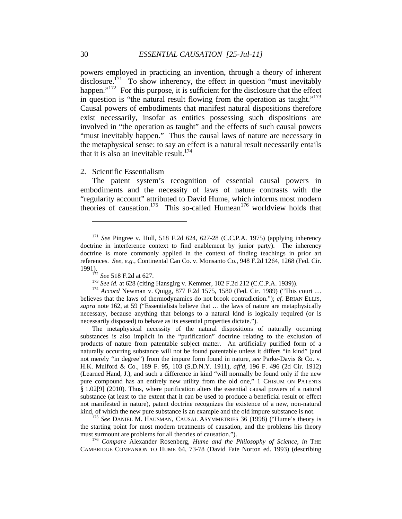powers employed in practicing an invention, through a theory of inherent disclosure.<sup>171</sup> To show inherency, the effect in question "must inevitably" happen."<sup>172</sup> For this purpose, it is sufficient for the disclosure that the effect in question is "the natural result flowing from the operation as taught."<sup>173</sup> Causal powers of embodiments that manifest natural dispositions therefore exist necessarily, insofar as entities possessing such dispositions are involved in "the operation as taught" and the effects of such causal powers "must inevitably happen." Thus the causal laws of nature are necessary in the metaphysical sense: to say an effect is a natural result necessarily entails that it is also an inevitable result.<sup>174</sup>

### 2. Scientific Essentialism

 $\overline{a}$ 

The patent system's recognition of essential causal powers in embodiments and the necessity of laws of nature contrasts with the "regularity account" attributed to David Hume, which informs most modern theories of causation.<sup>175</sup> This so-called Humean<sup>176</sup> worldview holds that

<sup>173</sup> *See id.* at 628 (citing Hansgirg v. Kemmer, 102 F.2d 212 (C.C.P.A. 1939)).<br><sup>174</sup> *Accord* Newman v. Quigg, 877 F.2d 1575, 1580 (Fed. Cir. 1989) ("This court ... believes that the laws of thermodynamics do not brook contradiction."); *cf.* BRIAN ELLIS, *supra* note 162, at 59 ("Essentialists believe that … the laws of nature are metaphysically necessary, because anything that belongs to a natural kind is logically required (or is necessarily disposed) to behave as its essential properties dictate.").

The metaphysical necessity of the natural dispositions of naturally occurring substances is also implicit in the "purification" doctrine relating to the exclusion of products of nature from patentable subject matter. An artificially purified form of a naturally occurring substance will not be found patentable unless it differs "in kind" (and not merely "in degree") from the impure form found in nature, *see* Parke-Davis & Co. v. H.K. Mulford & Co., 189 F. 95, 103 (S.D.N.Y. 1911), *aff'd*, 196 F. 496 (2d Cir. 1912) (Learned Hand, J.), and such a difference in kind "will normally be found only if the new pure compound has an entirely new utility from the old one," 1 CHISUM ON PATENTS § 1.02[9] (2010). Thus, where purification alters the essential causal powers of a natural substance (at least to the extent that it can be used to produce a beneficial result or effect not manifested in nature), patent doctrine recognizes the existence of a new, non-natural kind, of which the new pure substance is an example and the old impure substance is not.

<sup>175</sup> See DANIEL M. HAUSMAN, CAUSAL ASYMMETRIES 36 (1998) ("Hume's theory is the starting point for most modern treatments of causation, and the problems his theory must surmount are problems for all theories of causation."). 176 *Compare* Alexander Rosenberg, *Hume and the Philosophy of Science*, *in* THE

CAMBRIDGE COMPANION TO HUME 64, 73-78 (David Fate Norton ed. 1993) (describing

<sup>171</sup> *See* Pingree v. Hull, 518 F.2d 624, 627-28 (C.C.P.A. 1975) (applying inherency doctrine in interference context to find enablement by junior party). The inherency doctrine is more commonly applied in the context of finding teachings in prior art references. *See, e.g.*, Continental Can Co. v. Monsanto Co., 948 F.2d 1264, 1268 (Fed. Cir. 1991).<br><sup>172</sup> *See* 518 F.2d at 627.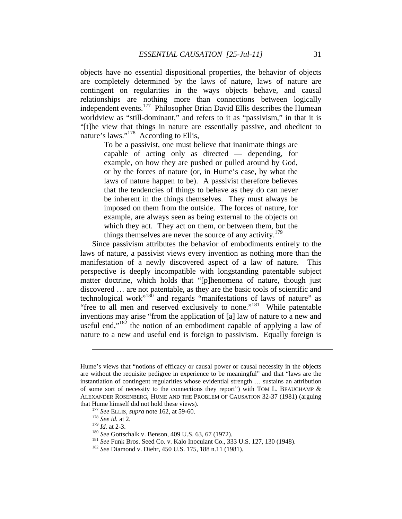objects have no essential dispositional properties, the behavior of objects are completely determined by the laws of nature, laws of nature are contingent on regularities in the ways objects behave, and causal relationships are nothing more than connections between logically independent events.<sup>177</sup> Philosopher Brian David Ellis describes the Humean worldview as "still-dominant," and refers to it as "passivism," in that it is "[t]he view that things in nature are essentially passive, and obedient to nature's laws."178 According to Ellis,

To be a passivist, one must believe that inanimate things are capable of acting only as directed — depending, for example, on how they are pushed or pulled around by God, or by the forces of nature (or, in Hume's case, by what the laws of nature happen to be). A passivist therefore believes that the tendencies of things to behave as they do can never be inherent in the things themselves. They must always be imposed on them from the outside. The forces of nature, for example, are always seen as being external to the objects on which they act. They act on them, or between them, but the things themselves are never the source of any activity.<sup>179</sup>

Since passivism attributes the behavior of embodiments entirely to the laws of nature, a passivist views every invention as nothing more than the manifestation of a newly discovered aspect of a law of nature. This perspective is deeply incompatible with longstanding patentable subject matter doctrine, which holds that "[p]henomena of nature, though just discovered … are not patentable, as they are the basic tools of scientific and technological work"<sup>180</sup> and regards "manifestations of laws of nature" as "free to all men and reserved exclusively to none."<sup>181</sup> While patentable inventions may arise "from the application of [a] law of nature to a new and useful end, $\frac{182}{182}$  the notion of an embodiment capable of applying a law of nature to a new and useful end is foreign to passivism. Equally foreign is

Hume's views that "notions of efficacy or causal power or causal necessity in the objects are without the requisite pedigree in experience to be meaningful" and that "laws are the instantiation of contingent regularities whose evidential strength … sustains an attribution of some sort of necessity to the connections they report") with TOM L. BEAUCHAMP  $\&$ ALEXANDER ROSENBERG, HUME AND THE PROBLEM OF CAUSATION 32-37 (1981) (arguing that Hume himself did not hold these views).<br><sup>177</sup> *See* ELLIS, *supra* note 162, at 59-60.<br><sup>178</sup> *See id.* at 2.<br><sup>179</sup> *Id.* at 2-3.

<sup>&</sup>lt;sup>180</sup> See Gottschalk v. Benson, 409 U.S. 63, 67 (1972).<br><sup>181</sup> See Funk Bros. Seed Co. v. Kalo Inoculant Co., 333 U.S. 127, 130 (1948).<br><sup>182</sup> See Diamond v. Diehr, 450 U.S. 175, 188 n.11 (1981).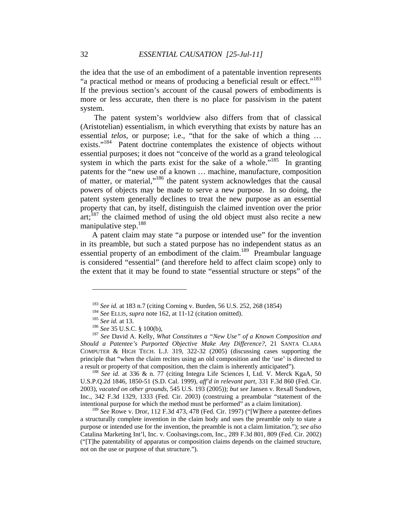the idea that the use of an embodiment of a patentable invention represents "a practical method or means of producing a beneficial result or effect."<sup>183</sup> If the previous section's account of the causal powers of embodiments is more or less accurate, then there is no place for passivism in the patent system.

 The patent system's worldview also differs from that of classical (Aristotelian) essentialism, in which everything that exists by nature has an essential *telos*, or purpose; i.e., "that for the sake of which a thing … exists."<sup>184</sup> Patent doctrine contemplates the existence of objects without essential purposes; it does not "conceive of the world as a grand teleological system in which the parts exist for the sake of a whole.<sup> $185$ </sup> In granting patents for the "new use of a known … machine, manufacture, composition of matter, or material,"186 the patent system acknowledges that the causal powers of objects may be made to serve a new purpose. In so doing, the patent system generally declines to treat the new purpose as an essential property that can, by itself, distinguish the claimed invention over the prior  $art;$ <sup>187</sup> the claimed method of using the old object must also recite a new manipulative step. $188$ 

A patent claim may state "a purpose or intended use" for the invention in its preamble, but such a stated purpose has no independent status as an essential property of an embodiment of the claim.<sup>189</sup> Preambular language is considered "essential" (and therefore held to affect claim scope) only to the extent that it may be found to state "essential structure or steps" of the

 $\overline{a}$ 

U.S.P.Q.2d 1846, 1850-51 (S.D. Cal. 1999), *aff'd in relevant part*, 331 F.3d 860 (Fed. Cir. 2003), *vacated on other grounds*, 545 U.S. 193 (2005)); *but see* Jansen v. Rexall Sundown, Inc., 342 F.3d 1329, 1333 (Fed. Cir. 2003) (construing a preambular "statement of the intentional purpose for which the method must be performed" as a claim limitation).

<sup>189</sup> *See* Rowe v. Dror, 112 F.3d 473, 478 (Fed. Cir. 1997) ("[W]here a patentee defines a structurally complete invention in the claim body and uses the preamble only to state a purpose or intended use for the invention, the preamble is not a claim limitation."); *see also* Catalina Marketing Int'l, Inc. v. Coolsavings.com, Inc., 289 F.3d 801, 809 (Fed. Cir. 2002) ("[T]he patentability of apparatus or composition claims depends on the claimed structure, not on the use or purpose of that structure.").

<sup>&</sup>lt;sup>183</sup> See id. at 183 n.7 (citing Corning v. Burden, 56 U.S. 252, 268 (1854)<br><sup>184</sup> See ELLIS, *supra* note 162, at 11-12 (citation omitted).<br><sup>185</sup> See id. at 13.<br><sup>186</sup> See 35 U.S.C. § 100(b),<br><sup>187</sup> See David A. Kelly, *Wha Should a Patentee's Purported Objective Make Any Difference?*, 21 SANTA CLARA COMPUTER & HIGH TECH. L.J. 319, 322-32 (2005) (discussing cases supporting the principle that "when the claim recites using an old composition and the 'use' is directed to a result or property of that composition, then the claim is inherently anticipated").<br><sup>188</sup> *See id.* at 336 & n. 77 (citing Integra Life Sciences I, Ltd. V. Merck KgaA, 50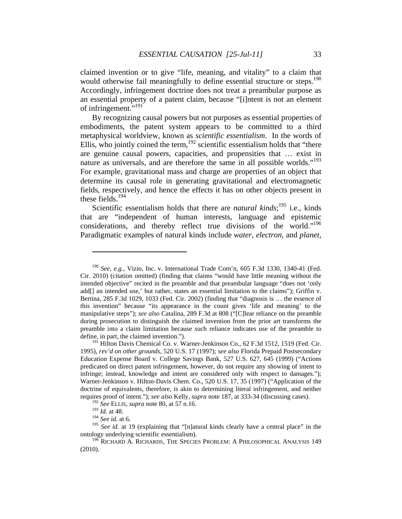claimed invention or to give "life, meaning, and vitality" to a claim that would otherwise fail meaningfully to define essential structure or steps.<sup>190</sup> Accordingly, infringement doctrine does not treat a preambular purpose as an essential property of a patent claim, because "[i]ntent is not an element of infringement."<sup>191</sup>

By recognizing causal powers but not purposes as essential properties of embodiments, the patent system appears to be committed to a third metaphysical worldview, known as *scientific essentialism*. In the words of Ellis, who jointly coined the term,  $192$  scientific essentialism holds that "there are genuine causal powers, capacities, and propensities that … exist in nature as universals, and are therefore the same in all possible worlds."<sup>193</sup> For example, gravitational mass and charge are properties of an object that determine its causal role in generating gravitational and electromagnetic fields, respectively, and hence the effects it has on other objects present in these fields.194

Scientific essentialism holds that there are *natural kinds*;<sup>195</sup> i.e., kinds that are "independent of human interests, language and epistemic considerations, and thereby reflect true divisions of the world."<sup>196</sup> Paradigmatic examples of natural kinds include *water*, *electron*, and *planet*,

<sup>190</sup> *See, e.g.*, Vizio, Inc. v. International Trade Com'n, 605 F.3d 1330, 1340-41 (Fed. Cir. 2010) (citation omitted) (finding that claims "would have little meaning without the intended objective" recited in the preamble and that preambular language "does not 'only add[] an intended use,' but rather, states an essential limitation to the claims"); Griffin v. Bertina, 285 F.3d 1029, 1033 (Fed. Cir. 2002) (finding that "diagnosis is … the essence of this invention" because "its appearance in the count gives 'life and meaning' to the manipulative steps"); *see also* Catalina, 289 F.3d at 808 ("[C]lear reliance on the preamble during prosecution to distinguish the claimed invention from the prior art transforms the preamble into a claim limitation because such reliance indicates use of the preamble to define, in part, the claimed invention.").

<sup>&</sup>lt;sup>191</sup> Hilton Davis Chemical Co. v. Warner-Jenkinson Co., 62 F.3d 1512, 1519 (Fed. Cir. 1995), *rev'd on other grounds*, 520 U.S. 17 (1997); *see also* Florida Prepaid Postsecondary Education Expense Board v. College Savings Bank, 527 U.S. 627, 645 (1999) ("Actions predicated on direct patent infringement, however, do not require any showing of intent to infringe; instead, knowledge and intent are considered only with respect to damages."); Warner-Jenkinson v. Hilton-Davis Chem. Co., 520 U.S. 17, 35 (1997) ("Application of the doctrine of equivalents, therefore, is akin to determining literal infringement, and neither requires proof of intent."); *see also* Kelly, *supra* note 187, at 333-34 (discussing cases).

<sup>192</sup> *See* ELLIS, *supra* note 80, at 57 n.16.

<sup>193</sup> *Id.* at 48.

<sup>194</sup> *See id.* at 6.

<sup>&</sup>lt;sup>195</sup> *See id.* at 19 (explaining that "[n]atural kinds clearly have a central place" in the ontology underlying scientific essentialism).

<sup>&</sup>lt;sup>196</sup> RICHARD A. RICHARDS, THE SPECIES PROBLEM: A PHILOSOPHICAL ANALYSIS 149 (2010).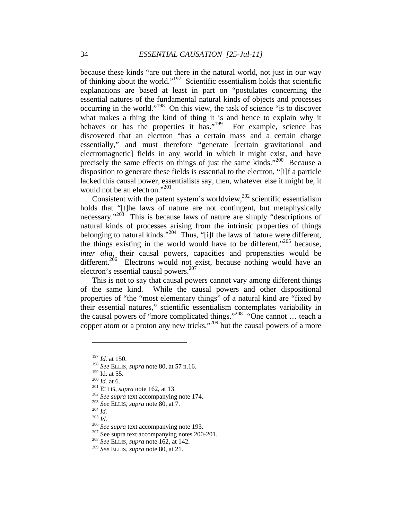because these kinds "are out there in the natural world, not just in our way of thinking about the world."197 Scientific essentialism holds that scientific explanations are based at least in part on "postulates concerning the essential natures of the fundamental natural kinds of objects and processes occurring in the world."198 On this view, the task of science "is to discover what makes a thing the kind of thing it is and hence to explain why it behaves or has the properties it has."<sup>199</sup> For example, science has discovered that an electron "has a certain mass and a certain charge essentially," and must therefore "generate [certain gravitational and electromagnetic] fields in any world in which it might exist, and have precisely the same effects on things of just the same kinds."<sup>200</sup> Because a disposition to generate these fields is essential to the electron, "[i]f a particle lacked this causal power, essentialists say, then, whatever else it might be, it would not be an electron."<sup>201</sup>

Consistent with the patent system's worldview, $^{202}$  scientific essentialism holds that "[t]he laws of nature are not contingent, but metaphysically necessary."203 This is because laws of nature are simply "descriptions of natural kinds of processes arising from the intrinsic properties of things belonging to natural kinds."<sup>204</sup> Thus, "[i]f the laws of nature were different, the things existing in the world would have to be different,"<sup>205</sup> because, *inter alia*, their causal powers, capacities and propensities would be different.<sup>206</sup> Electrons would not exist, because nothing would have an electron's essential causal powers.<sup>207</sup>

This is not to say that causal powers cannot vary among different things of the same kind. While the causal powers and other dispositional properties of "the "most elementary things" of a natural kind are "fixed by their essential natures," scientific essentialism contemplates variability in the causal powers of "more complicated things."<sup>208</sup> "One cannot ... teach a copper atom or a proton any new tricks,"<sup>209</sup> but the causal powers of a more

<sup>197</sup> *Id.* at 150.

<sup>&</sup>lt;sup>198</sup> *See* ELLIS, *supra* note 80, at 57 n.16.<br><sup>199</sup> Id. at 55.

<sup>&</sup>lt;sup>200</sup> *Id.* at 6.<br>
<sup>201</sup> ELLIS, *supra* note 162, at 13.<br>
<sup>202</sup> *See supra* text accompanying note 174.<br>
<sup>203</sup> *See* ELLIS, *supra* note 80, at 7.<br>
<sup>204</sup> *Id.*<br>
<sup>206</sup> *See supra* text accompanying note 193.<br>
<sup>207</sup> See sup

<sup>209</sup> *See* ELLIS, *supra* note 80, at 21.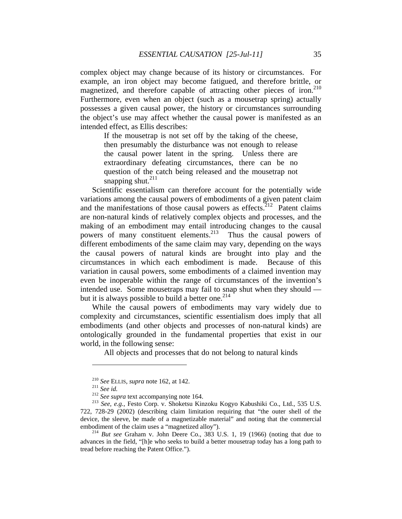complex object may change because of its history or circumstances. For example, an iron object may become fatigued, and therefore brittle, or magnetized, and therefore capable of attracting other pieces of iron.<sup>210</sup> Furthermore, even when an object (such as a mousetrap spring) actually possesses a given causal power, the history or circumstances surrounding the object's use may affect whether the causal power is manifested as an intended effect, as Ellis describes:

If the mousetrap is not set off by the taking of the cheese, then presumably the disturbance was not enough to release the causal power latent in the spring. Unless there are extraordinary defeating circumstances, there can be no question of the catch being released and the mousetrap not snapping shut. $^{211}$ 

Scientific essentialism can therefore account for the potentially wide variations among the causal powers of embodiments of a given patent claim and the manifestations of those causal powers as effects.<sup>212</sup> Patent claims are non-natural kinds of relatively complex objects and processes, and the making of an embodiment may entail introducing changes to the causal powers of many constituent elements.<sup>213</sup> Thus the causal powers of different embodiments of the same claim may vary, depending on the ways the causal powers of natural kinds are brought into play and the circumstances in which each embodiment is made. Because of this variation in causal powers, some embodiments of a claimed invention may even be inoperable within the range of circumstances of the invention's intended use. Some mousetraps may fail to snap shut when they should but it is always possible to build a better one. $^{214}$ 

While the causal powers of embodiments may vary widely due to complexity and circumstances, scientific essentialism does imply that all embodiments (and other objects and processes of non-natural kinds) are ontologically grounded in the fundamental properties that exist in our world, in the following sense:

All objects and processes that do not belong to natural kinds

<sup>210</sup> *See* ELLIS, *supra* note 162, at 142. 211 *See id.* <sup>212</sup> *See supra* text accompanying note 164. 213 *See, e.g.*, Festo Corp. v. Shoketsu Kinzoku Kogyo Kabushiki Co., Ltd., 535 U.S. 722, 728-29 (2002) (describing claim limitation requiring that "the outer shell of the device, the sleeve, be made of a magnetizable material" and noting that the commercial embodiment of the claim uses a "magnetized alloy").

<sup>&</sup>lt;sup>214</sup> *But see* Graham v. John Deere Co., 383 U.S. 1, 19 (1966) (noting that due to advances in the field, "[h]e who seeks to build a better mousetrap today has a long path to tread before reaching the Patent Office.").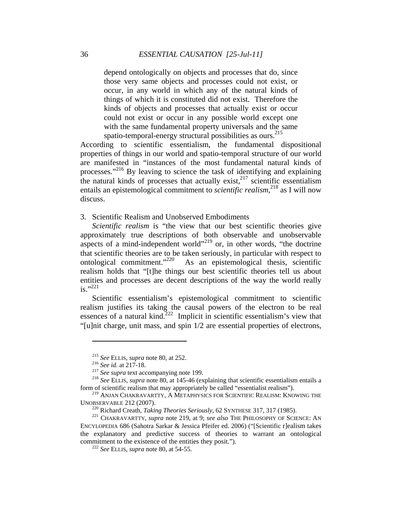depend ontologically on objects and processes that do, since those very same objects and processes could not exist, or occur, in any world in which any of the natural kinds of things of which it is constituted did not exist. Therefore the kinds of objects and processes that actually exist or occur could not exist or occur in any possible world except one with the same fundamental property universals and the same spatio-temporal-energy structural possibilities as ours.<sup>215</sup>

According to scientific essentialism, the fundamental dispositional properties of things in our world and spatio-temporal structure of our world are manifested in "instances of the most fundamental natural kinds of processes."216 By leaving to science the task of identifying and explaining the natural kinds of processes that actually exist, $217$  scientific essentialism entails an epistemological commitment to *scientific realism*,<sup>218</sup> as I will now discuss.

3. Scientific Realism and Unobserved Embodiments

*Scientific realism* is "the view that our best scientific theories give approximately true descriptions of both observable and unobservable aspects of a mind-independent world"<sup>219</sup> or, in other words, "the doctrine that scientific theories are to be taken seriously, in particular with respect to ontological commitment." $220$  As an epistemological thesis, scientific As an epistemological thesis, scientific realism holds that "[t]he things our best scientific theories tell us about entities and processes are decent descriptions of the way the world really  $i$ s."<sup>221</sup>

Scientific essentialism's epistemological commitment to scientific realism justifies its taking the causal powers of the electron to be real essences of a natural kind.<sup>222</sup> Implicit in scientific essentialism's view that "[u]nit charge, unit mass, and spin 1/2 are essential properties of electrons,

<sup>&</sup>lt;sup>215</sup> See ELLIS, *supra* note 80, at 252.<br><sup>216</sup> See id. at 217-18.<br><sup>217</sup> See *supra* text accompanying note 199.<br><sup>218</sup> See ELLIS, *supra* note 80, at 145-46 (explaining that scientific essentialism entails a form of scientific realism that may appropriately be called "essentialist realism").

<sup>219</sup> ANJAN CHAKRAVARTTY, A METAPHYSICS FOR SCIENTIFIC REALISM: KNOWING THE UNOBSERVABLE 212 (2007). 220 Richard Creath, *Taking Theories Seriously*, 62 SYNTHESE 317, 317 (1985). 221 CHAKRAVARTTY, *supra* note 219, at 9; *see also* THE PHILOSOPHY OF SCIENCE: AN

ENCYLOPEDIA 686 (Sahotra Sarkar & Jessica Pfeifer ed. 2006) ("[Scientific r]ealism takes the explanatory and predictive success of theories to warrant an ontological commitment to the existence of the entities they posit."). 222 *See* ELLIS, *supra* note 80, at 54-55.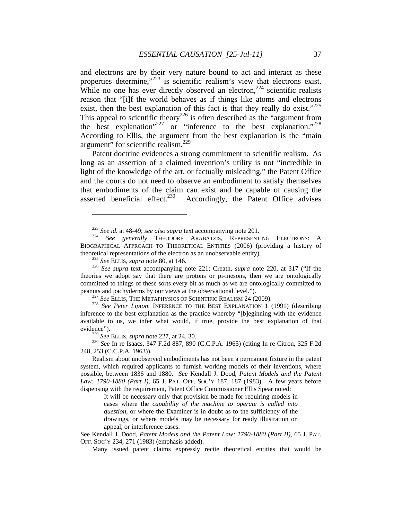and electrons are by their very nature bound to act and interact as these properties determine,"<sup>223</sup> is scientific realism's view that electrons exist. While no one has ever directly observed an electron,  $224$  scientific realists reason that "[i]f the world behaves as if things like atoms and electrons exist, then the best explanation of this fact is that they really do exist."<sup>225</sup> This appeal to scientific theory<sup>226</sup> is often described as the "argument from the best explanation"227 or "inference to the best explanation."228 According to Ellis, the argument from the best explanation is the "main argument" for scientific realism. $^{229}$ 

Patent doctrine evidences a strong commitment to scientific realism. As long as an assertion of a claimed invention's utility is not "incredible in light of the knowledge of the art, or factually misleading," the Patent Office and the courts do not need to observe an embodiment to satisfy themselves that embodiments of the claim can exist and be capable of causing the asserted beneficial effect. $230$  Accordingly, the Patent Office advises

 $\overline{a}$ 

It will be necessary only that provision be made for requiring models in cases where the *capability of the machine to operate is called into question*, or where the Examiner is in doubt as to the sufficiency of the drawings, or where models may be necessary for ready illustration on appeal, or interference cases.

See Kendall J. Dood, *Patent Models and the Patent Law: 1790-1880 (Part II)*, 65 J. PAT. OFF. SOC'Y 234, 271 (1983) (emphasis added).

Many issued patent claims expressly recite theoretical entities that would be

<sup>&</sup>lt;sup>223</sup> *See id.* at 48-49; *see also supra* text accompanying note 201.<br><sup>224</sup> *See generally* THEODORE ARABATZIS, REPRESENTING ELECTRONS: A BIOGRAPHICAL APPROACH TO THEORETICAL ENTITIES (2006) (providing a history of theoretical representations of the electron as an unobservable entity).<br><sup>225</sup> *See* ELLIS, *supra* note 80, at 146.<br><sup>226</sup> *See supra* text accompanying note 221; Creath, *supra* note 220, at 317 ("If the

theories we adopt say that there are protons or pi-mesons, then we are ontologically committed to things of these sorts every bit as much as we are ontologically committed to

peanuts and pachyderms by our views at the observational level.").<br><sup>227</sup> See ELLIS, THE METAPHYSICS OF SCIENTIFIC REALISM 24 (2009).<br><sup>228</sup> See Peter Lipton, INFERENCE TO THE BEST EXPLANATION 1 (1991) (describing inference to the best explanation as the practice whereby "[b]eginning with the evidence available to us, we infer what would, if true, provide the best explanation of that evidence").<br><sup>229</sup> See ELLIS, *supra* note 227, at 24, 30.

<sup>&</sup>lt;sup>230</sup> *See* In re Isaacs, 347 F.2d 887, 890 (C.C.P.A. 1965) (citing In re Citron, 325 F.2d 248, 253 (C.C.P.A. 1963)).

Realism about unobserved embodiments has not been a permanent fixture in the patent system, which required applicants to furnish working models of their inventions, where possible, between 1836 and 1880. *See* Kendall J. Dood, *Patent Models and the Patent Law: 1790-1880 (Part I)*, 65 J. PAT. OFF. SOC'Y 187, 187 (1983). A few years before dispensing with the requirement, Patent Office Commissioner Ellis Spear noted: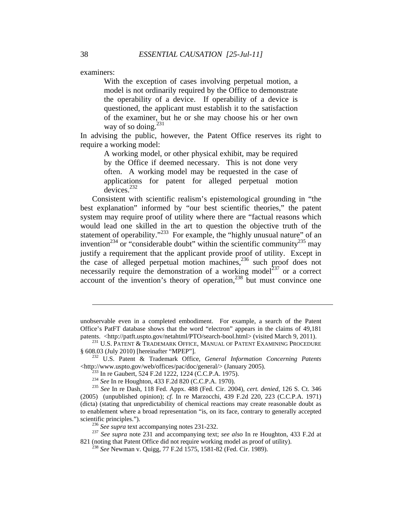examiners:

 $\overline{a}$ 

With the exception of cases involving perpetual motion, a model is not ordinarily required by the Office to demonstrate the operability of a device. If operability of a device is questioned, the applicant must establish it to the satisfaction of the examiner, but he or she may choose his or her own way of so doing.<sup>231</sup>

In advising the public, however, the Patent Office reserves its right to require a working model:

A working model, or other physical exhibit, may be required by the Office if deemed necessary. This is not done very often. A working model may be requested in the case of applications for patent for alleged perpetual motion devices.232

Consistent with scientific realism's epistemological grounding in "the best explanation" informed by "our best scientific theories," the patent system may require proof of utility where there are "factual reasons which would lead one skilled in the art to question the objective truth of the statement of operability."<sup>233</sup> For example, the "highly unusual nature" of an invention<sup>234</sup> or "considerable doubt" within the scientific community<sup>235</sup> may justify a requirement that the applicant provide proof of utility. Except in the case of alleged perpetual motion machines,<sup>236</sup> such proof does not necessarily require the demonstration of a working model $237$  or a correct account of the invention's theory of operation,<sup>238</sup> but must convince one

unobservable even in a completed embodiment. For example, a search of the Patent Office's PatFT database shows that the word "electron" appears in the claims of 49,181 patents. <http://patft.uspto.gov/netahtml/PTO/search-bool.html> (visited March 9, 2011).<br><sup>231</sup> U.S. PATENT & TRADEMARK OFFICE, MANUAL OF PATENT EXAMINING PROCEDURE

<sup>§ 608.03 (</sup>July 2010) [hereinafter "MPEP"]. 232 U.S. Patent & Trademark Office, *General Information Concerning Patents*

<sup>&</sup>lt;sup>233</sup> In re Gaubert, 524 F.2d 1222, 1224 (C.C.P.A. 1975).<br><sup>234</sup> See In re Houghton, 433 F.2d 820 (C.C.P.A. 1970).<br><sup>235</sup> See In re Dash, 118 Fed. Appx. 488 (Fed. Cir. 2004), cert. denied, 126 S. Ct. 346 (2005) (unpublished opinion); *cf.* In re Marzocchi, 439 F.2d 220, 223 (C.C.P.A. 1971) (dicta) (stating that unpredictability of chemical reactions may create reasonable doubt as to enablement where a broad representation "is, on its face, contrary to generally accepted scientific principles."). 236 *See supra* text accompanying notes 231-232. 237 *See supra* note 231 and accompanying text; *see also* In re Houghton, 433 F.2d at

<sup>821 (</sup>noting that Patent Office did not require working model as proof of utility). 238 *See* Newman v. Quigg, 77 F.2d 1575, 1581-82 (Fed. Cir. 1989).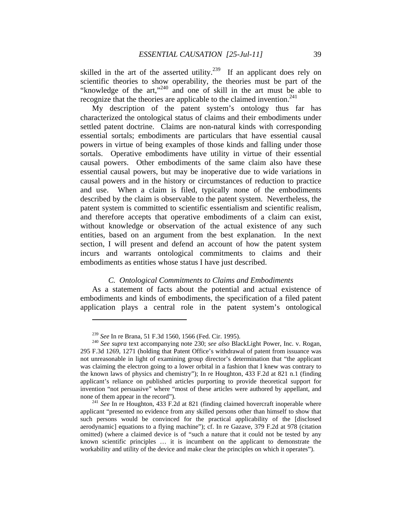skilled in the art of the asserted utility.<sup>239</sup> If an applicant does rely on scientific theories to show operability, the theories must be part of the "knowledge of the art,"240 and one of skill in the art must be able to recognize that the theories are applicable to the claimed invention.<sup>241</sup>

My description of the patent system's ontology thus far has characterized the ontological status of claims and their embodiments under settled patent doctrine. Claims are non-natural kinds with corresponding essential sortals; embodiments are particulars that have essential causal powers in virtue of being examples of those kinds and falling under those sortals. Operative embodiments have utility in virtue of their essential causal powers. Other embodiments of the same claim also have these essential causal powers, but may be inoperative due to wide variations in causal powers and in the history or circumstances of reduction to practice and use. When a claim is filed, typically none of the embodiments described by the claim is observable to the patent system. Nevertheless, the patent system is committed to scientific essentialism and scientific realism, and therefore accepts that operative embodiments of a claim can exist, without knowledge or observation of the actual existence of any such entities, based on an argument from the best explanation. In the next section, I will present and defend an account of how the patent system incurs and warrants ontological commitments to claims and their embodiments as entities whose status I have just described.

# *C. Ontological Commitments to Claims and Embodiments*

As a statement of facts about the potential and actual existence of embodiments and kinds of embodiments, the specification of a filed patent application plays a central role in the patent system's ontological

<sup>239</sup> *See* In re Brana, 51 F.3d 1560, 1566 (Fed. Cir. 1995). 240 *See supra* text accompanying note 230; *see also* BlackLight Power, Inc. v. Rogan, 295 F.3d 1269, 1271 (holding that Patent Office's withdrawal of patent from issuance was not unreasonable in light of examining group director's determination that "the applicant was claiming the electron going to a lower orbital in a fashion that I knew was contrary to the known laws of physics and chemistry"); In re Houghton, 433 F.2d at 821 n.1 (finding applicant's reliance on published articles purporting to provide theoretical support for invention "not persuasive" where "most of these articles were authored by appellant, and none of them appear in the record").<br><sup>241</sup> *See* In re Houghton, 433 F.2d at 821 (finding claimed hovercraft inoperable where

applicant "presented no evidence from any skilled persons other than himself to show that such persons would be convinced for the practical applicability of the [disclosed aerodynamic] equations to a flying machine"); cf. In re Gazave, 379 F.2d at 978 (citation omitted) (where a claimed device is of "such a nature that it could not be tested by any known scientific principles … it is incumbent on the applicant to demonstrate the workability and utility of the device and make clear the principles on which it operates").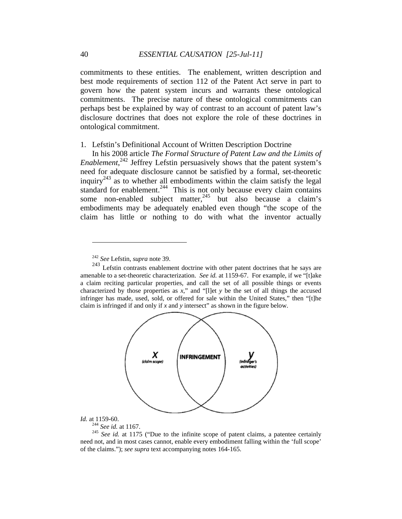commitments to these entities. The enablement, written description and best mode requirements of section 112 of the Patent Act serve in part to govern how the patent system incurs and warrants these ontological commitments. The precise nature of these ontological commitments can perhaps best be explained by way of contrast to an account of patent law's disclosure doctrines that does not explore the role of these doctrines in ontological commitment.

## 1. Lefstin's Definitional Account of Written Description Doctrine

In his 2008 article *The Formal Structure of Patent Law and the Limits of Enablement*, 242 Jeffrey Lefstin persuasively shows that the patent system's need for adequate disclosure cannot be satisfied by a formal, set-theoretic inquiry<sup>243</sup> as to whether all embodiments within the claim satisfy the legal standard for enablement.<sup>244</sup> This is not only because every claim contains some non-enabled subject matter,  $245$  but also because a claim's embodiments may be adequately enabled even though "the scope of the claim has little or nothing to do with what the inventor actually

 $\overline{a}$ 

<sup>&</sup>lt;sup>243</sup> Lefstin contrasts enablement doctrine with other patent doctrines that he says are amenable to a set-theoretic characterization. *See id.* at 1159-67. For example, if we "[t]ake a claim reciting particular properties, and call the set of all possible things or events characterized by those properties as *x*," and "[l]et *y* be the set of all things the accused infringer has made, used, sold, or offered for sale within the United States," then "[t]he claim is infringed if and only if *x* and *y* intersect" as shown in the figure below.



*Id.* at 1159-60.<br><sup>244</sup> *See id.* at 1167.<br><sup>245</sup> *See id.* at 1175 ("Due to the infinite scope of patent claims, a patentee certainly need not, and in most cases cannot, enable every embodiment falling within the 'full scope' of the claims."); *see supra* text accompanying notes 164-165.

<sup>242</sup> *See* Lefstin, *supra* note 39.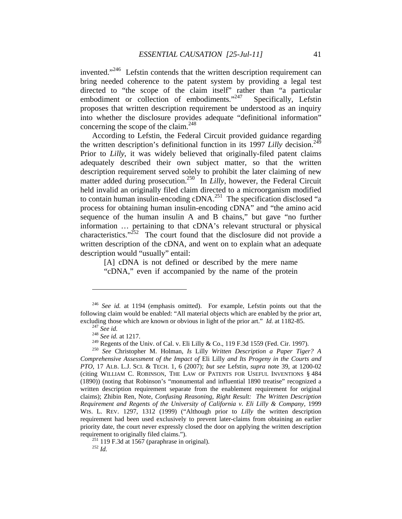invented."<sup>246</sup> Lefstin contends that the written description requirement can bring needed coherence to the patent system by providing a legal test directed to "the scope of the claim itself" rather than "a particular embodiment or collection of embodiments."<sup>247</sup> Specifically, Lefstin proposes that written description requirement be understood as an inquiry into whether the disclosure provides adequate "definitional information" concerning the scope of the claim. $^{248}$ 

According to Lefstin, the Federal Circuit provided guidance regarding the written description's definitional function in its 1997 *Lilly* decision.<sup>249</sup> Prior to *Lilly*, it was widely believed that originally-filed patent claims adequately described their own subject matter, so that the written description requirement served solely to prohibit the later claiming of new matter added during prosecution.<sup>250</sup> In *Lilly*, however, the Federal Circuit held invalid an originally filed claim directed to a microorganism modified to contain human insulin-encoding cDNA.<sup>251</sup> The specification disclosed "a process for obtaining human insulin-encoding cDNA" and "the amino acid sequence of the human insulin A and B chains," but gave "no further information … pertaining to that cDNA's relevant structural or physical characteristics."<sup>252</sup> The court found that the disclosure did not provide a written description of the cDNA, and went on to explain what an adequate description would "usually" entail:

[A] cDNA is not defined or described by the mere name "cDNA," even if accompanied by the name of the protein

<sup>&</sup>lt;sup>246</sup> *See id.* at 1194 (emphasis omitted). For example, Lefstin points out that the following claim would be enabled: "All material objects which are enabled by the prior art, excluding those which are known or obvious in light of the prior art." *Id.* at 1182-85.<br><sup>247</sup> *See id.* at 1217.<br><sup>249</sup> Regents of the Univ. of Cal. v. Eli Lilly & Co., 119 F.3d 1559 (Fed. Cir. 1997).

<sup>&</sup>lt;sup>250</sup> See Christopher M. Holman, *Is Lilly Written Description a Paper Tiger? A Comprehensive Assessment of the Impact of* Eli Lilly *and Its Progeny in the Courts and PTO*, 17 ALB. L.J. SCI. & TECH. 1, 6 (2007); *but see* Lefstin, *supra* note 39, at 1200-02 (citing WILLIAM C. ROBINSON, THE LAW OF PATENTS FOR USEFUL INVENTIONS § 484 (1890)) (noting that Robinson's "monumental and influential 1890 treatise" recognized a written description requirement separate from the enablement requirement for original claims); Zhibin Ren, Note, *Confusing Reasoning, Right Result: The Written Description Requirement and Regents of the University of California v. Eli Lilly & Company*, 1999 WIS. L. REV. 1297, 1312 (1999) ("Although prior to *Lilly* the written description requirement had been used exclusively to prevent later-claims from obtaining an earlier priority date, the court never expressly closed the door on applying the written description requirement to originally filed claims.").<br><sup>251</sup> 119 F.3d at 1567 (paraphrase in original).<br><sup>252</sup> *Id*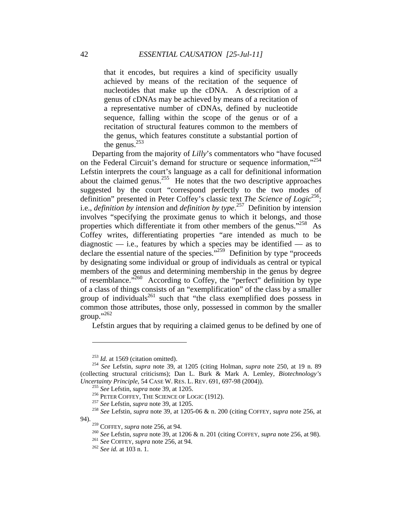that it encodes, but requires a kind of specificity usually achieved by means of the recitation of the sequence of nucleotides that make up the cDNA. A description of a genus of cDNAs may be achieved by means of a recitation of a representative number of cDNAs, defined by nucleotide sequence, falling within the scope of the genus or of a recitation of structural features common to the members of the genus, which features constitute a substantial portion of the genus. $253$ 

Departing from the majority of *Lilly*'s commentators who "have focused on the Federal Circuit's demand for structure or sequence information,"<sup>254</sup> Lefstin interprets the court's language as a call for definitional information about the claimed genus.<sup>255</sup> He notes that the two descriptive approaches suggested by the court "correspond perfectly to the two modes of definition" presented in Peter Coffey's classic text *The Science of Logic*256; i.e., *definition by intension* and *definition by type*. 257 Definition by intension involves "specifying the proximate genus to which it belongs, and those properties which differentiate it from other members of the genus."<sup>258</sup> As Coffey writes, differentiating properties "are intended as much to be diagnostic  $-$  i.e., features by which a species may be identified  $-$  as to declare the essential nature of the species."259 Definition by type "proceeds by designating some individual or group of individuals as central or typical members of the genus and determining membership in the genus by degree of resemblance."260 According to Coffey, the "perfect" definition by type of a class of things consists of an "exemplification" of the class by a smaller group of individuals<sup>261</sup> such that "the class exemplified does possess in common those attributes, those only, possessed in common by the smaller  $\text{group}$ ."262

Lefstin argues that by requiring a claimed genus to be defined by one of

<sup>253</sup> *Id.* at 1569 (citation omitted). 254 *See* Lefstin, *supra* note 39, at 1205 (citing Holman, *supra* note 250, at 19 n. 89 (collecting structural criticisms); Dan L. Burk & Mark A. Lemley, *Biotechnology's* 

<sup>&</sup>lt;sup>255</sup> See Lefstin, *supra* note 39, at 1205.<br><sup>256</sup> PETER COFFEY, THE SCIENCE OF LOGIC (1912).<br><sup>257</sup> See Lefstin, *supra* note 39, at 1205.<br><sup>258</sup> See Lefstin, *supra* note 39, at 1205-06 & n. 200 (citing COFFEY, *supra* no 94).<br>
<sup>259</sup> COFFEY, *supra* note 256, at 94.

<sup>&</sup>lt;sup>260</sup> See Lefstin, *supra* note 39, at 1206 & n. 201 (citing COFFEY, *supra* note 256, at 98).<br><sup>261</sup> See COFFEY, *supra* note 256, at 94.<br><sup>262</sup> See id. at 103 n. 1.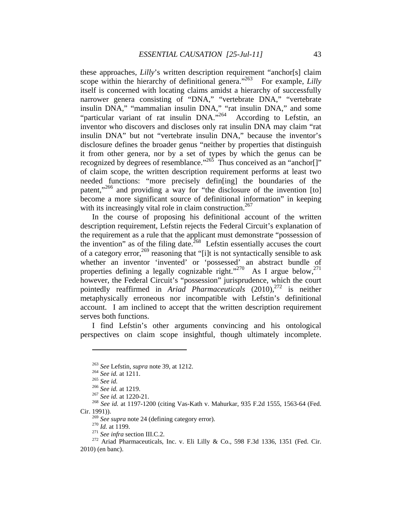these approaches, *Lilly*'s written description requirement "anchor[s] claim scope within the hierarchy of definitional genera."<sup>263</sup> For example, *Lilly* itself is concerned with locating claims amidst a hierarchy of successfully narrower genera consisting of "DNA," "vertebrate DNA," "vertebrate insulin DNA," "mammalian insulin DNA," "rat insulin DNA," and some "particular variant of rat insulin  $DNA.^{0.264}$  According to Lefstin, an inventor who discovers and discloses only rat insulin DNA may claim "rat insulin DNA" but not "vertebrate insulin DNA," because the inventor's disclosure defines the broader genus "neither by properties that distinguish it from other genera, nor by a set of types by which the genus can be recognized by degrees of resemblance."<sup>265</sup> Thus conceived as an "anchor<sup>[]"</sup> of claim scope, the written description requirement performs at least two needed functions: "more precisely defin[ing] the boundaries of the patent,<sup>"266</sup> and providing a way for "the disclosure of the invention [to] become a more significant source of definitional information" in keeping with its increasingly vital role in claim construction.<sup>267</sup>

In the course of proposing his definitional account of the written description requirement, Lefstin rejects the Federal Circuit's explanation of the requirement as a rule that the applicant must demonstrate "possession of the invention" as of the filing date.<sup>268</sup> Lefstin essentially accuses the court of a category error,  $269$  reasoning that "[i]t is not syntactically sensible to ask whether an inventor 'invented' or 'possessed' an abstract bundle of properties defining a legally cognizable right."<sup>270</sup> As I argue below,<sup>271</sup> however, the Federal Circuit's "possession" jurisprudence, which the court pointedly reaffirmed in *Ariad Pharmaceuticals* (2010),<sup>272</sup> is neither metaphysically erroneous nor incompatible with Lefstin's definitional account. I am inclined to accept that the written description requirement serves both functions.

I find Lefstin's other arguments convincing and his ontological perspectives on claim scope insightful, though ultimately incomplete.

<sup>&</sup>lt;sup>263</sup> See Lefstin, *supra* note 39, at 1212.<br>
<sup>264</sup> See id. at 1211.<br>
<sup>265</sup> See id. at 1219.<br>
<sup>267</sup> See id. at 1220-21.<br>
<sup>267</sup> See id. at 1220-21.<br>
<sup>268</sup> See id. at 1197-1200 (citing Vas-Kath v. Mahurkar, 935 F.2d 1555, 1 Cir. 1991)).<br><sup>269</sup> See supra note 24 (defining category error).

<sup>&</sup>lt;sup>270</sup> *Id.* at 1199.<br><sup>271</sup> *See infra* section III.C.2.<br><sup>272</sup> Ariad Pharmaceuticals, Inc. v. Eli Lilly & Co., 598 F.3d 1336, 1351 (Fed. Cir. 2010) (en banc).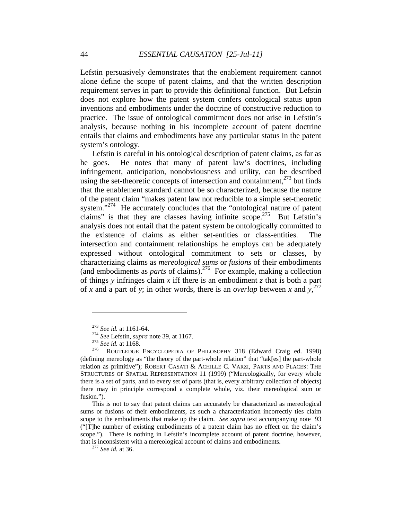Lefstin persuasively demonstrates that the enablement requirement cannot alone define the scope of patent claims, and that the written description requirement serves in part to provide this definitional function. But Lefstin does not explore how the patent system confers ontological status upon inventions and embodiments under the doctrine of constructive reduction to practice. The issue of ontological commitment does not arise in Lefstin's analysis, because nothing in his incomplete account of patent doctrine entails that claims and embodiments have any particular status in the patent system's ontology.

Lefstin is careful in his ontological description of patent claims, as far as he goes. He notes that many of patent law's doctrines, including infringement, anticipation, nonobviousness and utility, can be described using the set-theoretic concepts of intersection and containment,  $2^{73}$  but finds that the enablement standard cannot be so characterized, because the nature of the patent claim "makes patent law not reducible to a simple set-theoretic system."<sup>274</sup> He accurately concludes that the "ontological nature of patent" claims" is that they are classes having infinite scope.<sup>275</sup> But Lefstin's analysis does not entail that the patent system be ontologically committed to the existence of claims as either set-entities or class-entities. The intersection and containment relationships he employs can be adequately expressed without ontological commitment to sets or classes, by characterizing claims as *mereological sums* or *fusions* of their embodiments (and embodiments as *parts* of claims).<sup>276</sup> For example, making a collection of things *y* infringes claim *x* iff there is an embodiment *z* that is both a part of *x* and a part of *y*; in other words, there is an *overlap* between *x* and  $y$ ,<sup>277</sup>,

<sup>&</sup>lt;sup>273</sup> *See id.* at 1161-64.<br><sup>274</sup> *See* Lefstin, *supra* note 39, at 1167.<br><sup>275</sup> *See id.* at 1168.<br><sup>276</sup> ROUTLEDGE ENCYCLOPEDIA OF PHILOSOPHY 318 (Edward Craig ed. 1998) (defining mereology as "the theory of the part-whole relation" that "tak[es] the part-whole relation as primitive"); ROBERT CASATI & ACHILLE C. VARZI, PARTS AND PLACES: THE STRUCTURES OF SPATIAL REPRESENTATION 11 (1999) ("Mereologically, for every whole there is a set of parts, and to every set of parts (that is, every arbitrary collection of objects) there may in principle correspond a complete whole, viz. their mereological sum or fusion.").

This is not to say that patent claims can accurately be characterized as mereological sums or fusions of their embodiments, as such a characterization incorrectly ties claim scope to the embodiments that make up the claim. *See supra* text accompanying note 93 ("[T]he number of existing embodiments of a patent claim has no effect on the claim's scope."). There is nothing in Lefstin's incomplete account of patent doctrine, however, that is inconsistent with a mereological account of claims and embodiments. 277 *See id.* at 36.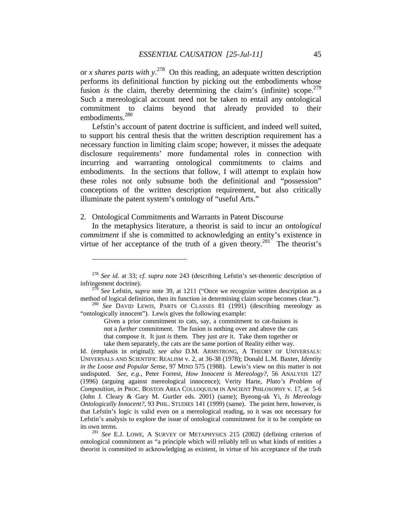or *x shares parts with y*. 278 On this reading, an adequate written description performs its definitional function by picking out the embodiments whose fusion *is* the claim, thereby determining the claim's (infinite) scope.<sup>279</sup> Such a mereological account need not be taken to entail any ontological commitment to claims beyond that already provided to their embodiments.<sup>280</sup>

Lefstin's account of patent doctrine is sufficient, and indeed well suited, to support his central thesis that the written description requirement has a necessary function in limiting claim scope; however, it misses the adequate disclosure requirements' more fundamental roles in connection with incurring and warranting ontological commitments to claims and embodiments. In the sections that follow, I will attempt to explain how these roles not only subsume both the definitional and "possession" conceptions of the written description requirement, but also critically illuminate the patent system's ontology of "useful Arts."

## 2. Ontological Commitments and Warrants in Patent Discourse

 $\overline{a}$ 

In the metaphysics literature, a theorist is said to incur an *ontological commitment* if she is committed to acknowledging an entity's existence in virtue of her acceptance of the truth of a given theory.<sup>281</sup> The theorist's

<sup>278</sup> *See id.* at 33; *cf. supra* note 243 (describing Lefstin's set-theoretic description of infringement doctrine).

<sup>&</sup>lt;sup>279</sup> *See* Lefstin, *supra* note 39, at 1211 ("Once we recognize written description as a method of logical definition, then its function in determining claim scope becomes clear.").

<sup>&</sup>lt;sup>280</sup> See DAVID LEWIS, PARTS OF CLASSES 81 (1991) (describing mereology as "ontologically innocent"). Lewis gives the following example:

Given a prior commitment to cats, say, a commitment to cat-fusions is not a *further* commitment. The fusion is nothing over and above the cats that compose it. It just *is* them. They just *are* it. Take them together or take them separately, the cats are the same portion of Reality either way.

Id. (emphasis in original); *see also* D.M. ARMSTRONG, A THEORY OF UNIVERSALS: UNIVERSALS AND SCIENTIFIC REALISM v. 2, at 36-38 (1978); Donald L.M. Baxter, *Identity in the Loose and Popular Sense*, 97 MIND 575 (1988). Lewis's view on this matter is not undisputed. *See, e.g.*, Peter Forrest, *How Innocent is Mereology?*, 56 ANALYSIS 127 (1996) (arguing against mereological innocence); Verity Harte, *Plato's Problem of Composition*, *in* PROC. BOSTON AREA COLLOQUIUM IN ANCIENT PHILOSOPHY v. 17, at 5-6 (John J. Cleary & Gary M. Gurtler eds. 2001) (same); Byeong-uk Yi, *Is Mereology Ontologically Innocent?*, 93 PHIL. STUDIES 141 (1999) (same). The point here, however, is that Lefstin's logic is valid even on a mereological reading, so it was not necessary for Lefstin's analysis to explore the issue of ontological commitment for it to be complete on its own terms. 281 *See* E.J. LOWE, A SURVEY OF METAPHYSICS 215 (2002) (defining criterion of

ontological commitment as "a principle which will reliably tell us what kinds of entities a theorist is committed to acknowledging as existent, in virtue of his acceptance of the truth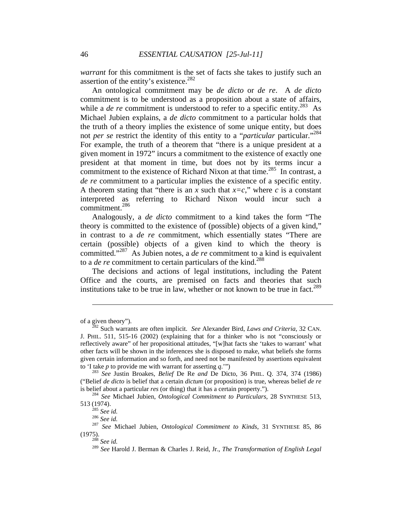*warrant* for this commitment is the set of facts she takes to justify such an assertion of the entity's existence.<sup>282</sup>

An ontological commitment may be *de dicto* or *de re*. A *de dicto* commitment is to be understood as a proposition about a state of affairs, while a *de re* commitment is understood to refer to a specific entity.<sup>283</sup> As Michael Jubien explains, a *de dicto* commitment to a particular holds that the truth of a theory implies the existence of some unique entity, but does not *per se* restrict the identity of this entity to a "*particular* particular."284 For example, the truth of a theorem that "there is a unique president at a given moment in 1972" incurs a commitment to the existence of exactly one president at that moment in time, but does not by its terms incur a commitment to the existence of Richard Nixon at that time.<sup>285</sup> In contrast, a *de re* commitment to a particular implies the existence of a specific entity. A theorem stating that "there is an  $x$  such that  $x=c$ ," where  $c$  is a constant interpreted as referring to Richard Nixon would incur such a commitment.286

Analogously, a *de dicto* commitment to a kind takes the form "The theory is committed to the existence of (possible) objects of a given kind," in contrast to a *de re* commitment, which essentially states "There are certain (possible) objects of a given kind to which the theory is committed."287 As Jubien notes, a *de re* commitment to a kind is equivalent to a *de re* commitment to certain particulars of the kind.<sup>288</sup>

The decisions and actions of legal institutions, including the Patent Office and the courts, are premised on facts and theories that such institutions take to be true in law, whether or not known to be true in fact.<sup>289</sup>

of a given theory"). 282 Such warrants are often implicit. *See* Alexander Bird, *Laws and Criteria*, 32 CAN. J. PHIL. 511, 515-16 (2002) (explaining that for a thinker who is not "consciously or reflectively aware" of her propositional attitudes, "[w]hat facts she 'takes to warrant' what other facts will be shown in the inferences she is disposed to make, what beliefs she forms given certain information and so forth, and need not be manifested by assertions equivalent to 'I take  $p$  to provide me with warrant for asserting  $q$ .")

<sup>&</sup>lt;sup>283</sup> See Justin Broakes, *Belief* De Re *and* De Dicto, 36 PHIL. Q. 374, 374 (1986) ("Belief *de dicto* is belief that a certain *dictum* (or proposition) is true, whereas belief *de re*

<sup>&</sup>lt;sup>284</sup> See Michael Jubien, *Ontological Commitment to Particulars*, 28 SYNTHESE 513, 513 (1974). 285 *See id.* <sup>286</sup> *See id.* <sup>287</sup> *See* Michael Jubien, *Ontological Commitment to Kinds*, 31 SYNTHESE 85, 86

<sup>(1975). 288</sup> *See id.*

<sup>289</sup> *See* Harold J. Berman & Charles J. Reid, Jr., *The Transformation of English Legal*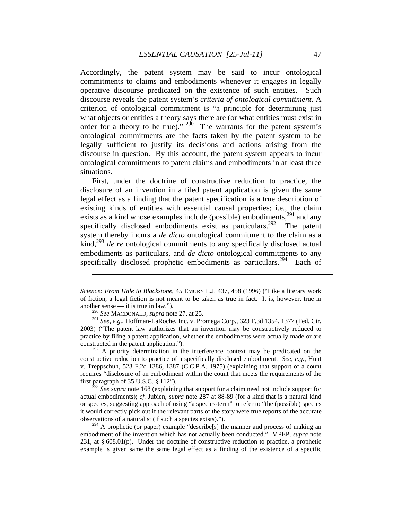Accordingly, the patent system may be said to incur ontological commitments to claims and embodiments whenever it engages in legally operative discourse predicated on the existence of such entities. Such discourse reveals the patent system's *criteria of ontological commitment*. A criterion of ontological commitment is "a principle for determining just what objects or entities a theory says there are (or what entities must exist in order for a theory to be true)."  $2^{50}$  The warrants for the patent system's ontological commitments are the facts taken by the patent system to be legally sufficient to justify its decisions and actions arising from the discourse in question. By this account, the patent system appears to incur ontological commitments to patent claims and embodiments in at least three situations.

First, under the doctrine of constructive reduction to practice, the disclosure of an invention in a filed patent application is given the same legal effect as a finding that the patent specification is a true description of existing kinds of entities with essential causal properties; i.e., the claim exists as a kind whose examples include (possible) embodiments,  $291$  and any specifically disclosed embodiments exist as particulars.<sup>292</sup> The patent system thereby incurs a *de dicto* ontological commitment to the claim as a kind,<sup>293</sup> *de re* ontological commitments to any specifically disclosed actual embodiments as particulars, and *de dicto* ontological commitments to any specifically disclosed prophetic embodiments as particulars.<sup>294</sup> Each of

 $\overline{a}$ 

 $292$  A priority determination in the interference context may be predicated on the constructive reduction to practice of a specifically disclosed embodiment. *See, e.g.*, Hunt v. Treppschuh, 523 F.2d 1386, 1387 (C.C.P.A. 1975) (explaining that support of a count requires "disclosure of an embodiment within the count that meets the requirements of the first paragraph of 35 U.S.C. § 112").

<sup>293</sup> *See supra* note 168 (explaining that support for a claim need not include support for actual embodiments); *cf.* Jubien, *supra* note 287 at 88-89 (for a kind that is a natural kind or species, suggesting approach of using "a species-term" to refer to "the (possible) species it would correctly pick out if the relevant parts of the story were true reports of the accurate observations of a naturalist (if such a species exists).").

 $294$  A prophetic (or paper) example "describe<sup>[s]</sup> the manner and process of making an embodiment of the invention which has not actually been conducted." MPEP, *supra* note 231, at § 608.01(p). Under the doctrine of constructive reduction to practice, a prophetic example is given same the same legal effect as a finding of the existence of a specific

*Science: From Hale to Blackstone*, 45 EMORY L.J. 437, 458 (1996) ("Like a literary work of fiction, a legal fiction is not meant to be taken as true in fact. It is, however, true in another sense — it is true in law.").

<sup>290</sup> *See* MACDONALD, *supra* note 27, at 25.

<sup>291</sup> *See, e.g.*, Hoffman-LaRoche, Inc. v. Promega Corp., 323 F.3d 1354, 1377 (Fed. Cir. 2003) ("The patent law authorizes that an invention may be constructively reduced to practice by filing a patent application, whether the embodiments were actually made or are constructed in the patent application.").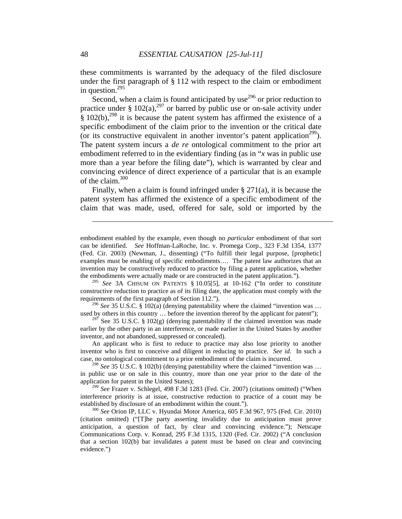these commitments is warranted by the adequacy of the filed disclosure under the first paragraph of § 112 with respect to the claim or embodiment in question. $295$ 

Second, when a claim is found anticipated by use<sup> $296$ </sup> or prior reduction to practice under § 102(a),<sup>297</sup> or barred by public use or on-sale activity under  $\frac{8}{3}$  102(b),<sup>298</sup> it is because the patent system has affirmed the existence of a specific embodiment of the claim prior to the invention or the critical date (or its constructive equivalent in another inventor's patent application<sup>299</sup>). The patent system incurs a *de re* ontological commitment to the prior art embodiment referred to in the evidentiary finding (as in "*x* was in public use more than a year before the filing date"), which is warranted by clear and convincing evidence of direct experience of a particular that is an example of the claim. $300$ 

Finally, when a claim is found infringed under  $\S 271(a)$ , it is because the patent system has affirmed the existence of a specific embodiment of the claim that was made, used, offered for sale, sold or imported by the

embodiment enabled by the example, even though no *particular* embodiment of that sort can be identified. *See* Hoffman-LaRoche, Inc. v. Promega Corp., 323 F.3d 1354, 1377 (Fed. Cir. 2003) (Newman, J., dissenting) ("To fulfill their legal purpose, [prophetic] examples must be enabling of specific embodiments…. The patent law authorizes that an invention may be constructively reduced to practice by filing a patent application, whether the embodiments were actually made or are constructed in the patent application.").

<sup>295</sup> *See* 3A CHISUM ON PATENTS § 10.05[5], at 10-162 ("In order to constitute constructive reduction to practice as of its filing date, the application must comply with the requirements of the first paragraph of Section 112.").

<sup>296</sup> See 35 U.S.C. § 102(a) (denying patentability where the claimed "invention was ... used by others in this country … before the invention thereof by the applicant for patent");

<sup>297</sup> See 35 U.S.C. § 102(g) (denying patentability if the claimed invention was made earlier by the other party in an interference, or made earlier in the United States by another inventor, and not abandoned, suppressed or concealed).

An applicant who is first to reduce to practice may also lose priority to another inventor who is first to conceive and diligent in reducing to practice. *See id.* In such a case, no ontological commitment to a prior embodiment of the claim is incurred.

<sup>298</sup> *See* 35 U.S.C. § 102(b) (denying patentability where the claimed "invention was … in public use or on sale in this country, more than one year prior to the date of the application for patent in the United States);

<sup>299</sup> *See* Frazer v. Schlegel, 498 F.3d 1283 (Fed. Cir. 2007) (citations omitted) ("When interference priority is at issue, constructive reduction to practice of a count may be established by disclosure of an embodiment within the count."). 300 *See* Orion IP, LLC v. Hyundai Motor America, 605 F.3d 967, 975 (Fed. Cir. 2010)

(citation omitted) ("[T]he party asserting invalidity due to anticipation must prove anticipation, a question of fact, by clear and convincing evidence."); Netscape Communications Corp. v. Konrad, 295 F.3d 1315, 1320 (Fed. Cir. 2002) ("A conclusion that a section 102(b) bar invalidates a patent must be based on clear and convincing evidence.")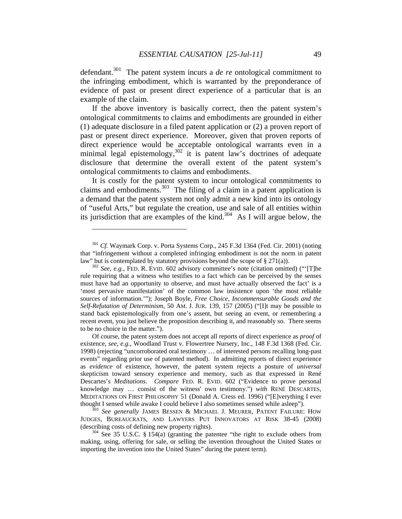defendant.301 The patent system incurs a *de re* ontological commitment to the infringing embodiment, which is warranted by the preponderance of evidence of past or present direct experience of a particular that is an example of the claim.

If the above inventory is basically correct, then the patent system's ontological commitments to claims and embodiments are grounded in either (1) adequate disclosure in a filed patent application or (2) a proven report of past or present direct experience. Moreover, given that proven reports of direct experience would be acceptable ontological warrants even in a minimal legal epistemology, $302$  it is patent law's doctrines of adequate disclosure that determine the overall extent of the patent system's ontological commitments to claims and embodiments.

It is costly for the patent system to incur ontological commitments to claims and embodiments.<sup>303</sup> The filing of a claim in a patent application is a demand that the patent system not only admit a new kind into its ontology of "useful Arts," but regulate the creation, use and sale of all entities within its jurisdiction that are examples of the kind.<sup>304</sup> As I will argue below, the

 $\overline{a}$ 

JUDGES, BUREAUCRATS, AND LAWYERS PUT INNOVATORS AT RISK 38-45 (2008) (describing costs of defining new property rights).

 $304$  See 35 U.S.C. § 154(a) (granting the patentee "the right to exclude others from making, using, offering for sale, or selling the invention throughout the United States or importing the invention into the United States" during the patent term).

<sup>301</sup> *Cf.* Waymark Corp. v. Porta Systems Corp., 245 F.3d 1364 (Fed. Cir. 2001) (noting that "infringement without a completed infringing embodiment is not the norm in patent law" but is contemplated by statutory provisions beyond the scope of § 271(a)). 302 *See, e.g.*, FED. R. EVID. 602 advisory committee's note (citation omitted) ("'[T]he

rule requiring that a witness who testifies to a fact which can be perceived by the senses must have had an opportunity to observe, and must have actually observed the fact' is a 'most pervasive manifestation' of the common law insistence upon 'the most reliable sources of information.'"); Joseph Boyle, *Free Choice, Incommensurable Goods and the Self-Refutation of Determinism*, 50 AM. J. JUR. 139, 157 (2005) ("[I]t may be possible to stand back epistemologically from one's assent, but seeing an event, or remembering a recent event, you just believe the proposition describing it, and reasonably so. There seems to be no choice in the matter.").

Of course, the patent system does not accept all reports of direct experience as *proof* of existence, *see, e.g.*, Woodland Trust v. Flowertree Nursery, Inc., 148 F.3d 1368 (Fed. Cir. 1998) (rejecting "uncorroborated oral testimony … of interested persons recalling long-past events" regarding prior use of patented method). In admitting reports of direct experience as *evidence* of existence, however, the patent system rejects a posture of *universal* skepticism toward sensory experience and memory, such as that expressed in René Descartes's *Meditations*. *Compare* FED. R. EVID. 602 ("Evidence to prove personal knowledge may … consist of the witness' own testimony.") *with* RENÉ DESCARTES, MEDITATIONS ON FIRST PHILOSOPHY 51 (Donald A. Cress ed. 1996) ("[E]verything I ever thought I sensed while awake I could believe I also sometimes sensed while asleep"). 303 *See generally* JAMES BESSEN & MICHAEL J. MEURER, PATENT FAILURE: HOW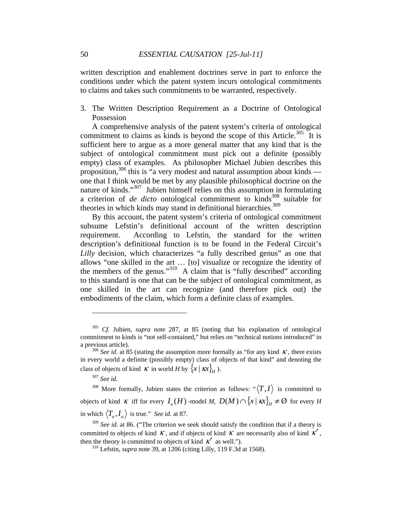written description and enablement doctrines serve in part to enforce the conditions under which the patent system incurs ontological commitments to claims and takes such commitments to be warranted, respectively.

3. The Written Description Requirement as a Doctrine of Ontological Possession

A comprehensive analysis of the patent system's criteria of ontological commitment to claims as kinds is beyond the scope of this Article.<sup>305</sup> It is sufficient here to argue as a more general matter that any kind that is the subject of ontological commitment must pick out a definite (possibly empty) class of examples. As philosopher Michael Jubien describes this proposition,306 this is "a very modest and natural assumption about kinds one that I think would be met by any plausible philosophical doctrine on the nature of kinds."307 Jubien himself relies on this assumption in formulating a criterion of *de dicto* ontological commitment to kinds<sup>308</sup> suitable for theories in which kinds may stand in definitional hierarchies.<sup>309</sup>

By this account, the patent system's criteria of ontological commitment subsume Lefstin's definitional account of the written description requirement. According to Lefstin, the standard for the written description's definitional function is to be found in the Federal Circuit's *Lilly* decision, which characterizes "a fully described genus" as one that allows "one skilled in the art … [to] visualize or recognize the identity of the members of the genus." $310$  A claim that is "fully described" according to this standard is one that can be the subject of ontological commitment, as one skilled in the art can recognize (and therefore pick out) the embodiments of the claim, which form a definite class of examples.

<sup>305</sup> *Cf.* Jubien, *supra* note 287, at 85 (noting that his explanation of ontological commitment to kinds is "not self-contained," but relies on "technical notions introduced" in a previous article).<br><sup>306</sup> *See id.* at 85 (stating the assumption more formally as "for any kind  $\kappa$ , there exists

in every world a definite (possibly empty) class of objects of that kind" and denoting the class of objects of kind  $\boldsymbol{K}$  in world *H* by  $\{x \mid \boldsymbol{K} \}_{H}$ .

<sup>307</sup> *See id.*

<sup>&</sup>lt;sup>308</sup> More formally, Jubien states the criterion as follows: " $\langle T, I \rangle$  is committed to objects of kind *K* iff for every  $I_u(H)$  -model *M*,  $D(M) \cap \{x \mid kx\}$  ≠ Ø for every *H* in which  $\langle T_u, I_u \rangle$  is true." *See id.* at 87.

<sup>&</sup>lt;sup>309</sup> See id. at 86. ("The criterion we seek should satisfy the condition that if a theory is committed to objects of kind  $\kappa$ , and if objects of kind  $\kappa$  are necessarily also of kind  $\kappa'$ , then the theory is committed to objects of kind  $\kappa'$  as well.").<br><sup>310</sup> Lefstin, *supra* note 39, at 1206 (citing Lilly, 119 F.3d at 1568).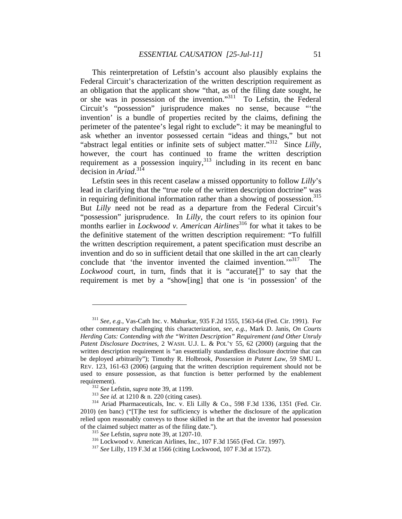This reinterpretation of Lefstin's account also plausibly explains the Federal Circuit's characterization of the written description requirement as an obligation that the applicant show "that, as of the filing date sought, he or she was in possession of the invention."311 To Lefstin, the Federal Circuit's "possession" jurisprudence makes no sense, because "'the invention' is a bundle of properties recited by the claims, defining the perimeter of the patentee's legal right to exclude": it may be meaningful to ask whether an inventor possessed certain "ideas and things," but not "abstract legal entities or infinite sets of subject matter."312 Since *Lilly*, however, the court has continued to frame the written description requirement as a possession inquiry,  $313$  including in its recent en banc decision in *Ariad*. 314

Lefstin sees in this recent caselaw a missed opportunity to follow *Lilly*'s lead in clarifying that the "true role of the written description doctrine" was in requiring definitional information rather than a showing of possession.<sup>315</sup> But *Lilly* need not be read as a departure from the Federal Circuit's "possession" jurisprudence. In *Lilly*, the court refers to its opinion four months earlier in *Lockwood v. American Airlines*<sup>316</sup> for what it takes to be the definitive statement of the written description requirement: "To fulfill the written description requirement, a patent specification must describe an invention and do so in sufficient detail that one skilled in the art can clearly conclude that 'the inventor invented the claimed invention.'"<sup>317</sup> The *Lockwood* court, in turn, finds that it is "accurate[]" to say that the requirement is met by a "show[ing] that one is 'in possession' of the

<sup>311</sup> *See, e.g.*, Vas-Cath Inc. v. Mahurkar, 935 F.2d 1555, 1563-64 (Fed. Cir. 1991). For other commentary challenging this characterization, *see, e.g.*, Mark D. Janis, *On Courts Herding Cats: Contending with the "Written Description" Requirement (and Other Unruly Patent Disclosure Doctrines*, 2 WASH. U.J. L. & POL'Y 55, 62 (2000) (arguing that the written description requirement is "an essentially standardless disclosure doctrine that can be deployed arbitrarily"); Timothy R. Holbrook, *Possession in Patent Law*, 59 SMU L. REV. 123, 161-63 (2006) (arguing that the written description requirement should not be used to ensure possession, as that function is better performed by the enablement

requirement).<br><sup>312</sup> *See* Lefstin, *supra* note 39, at 1199.<br><sup>313</sup> *See id.* at 1210 & n. 220 (citing cases).<br><sup>314</sup> Ariad Pharmaceuticals, Inc. v. Eli Lilly & Co., 598 F.3d 1336, 1351 (Fed. Cir. 2010) (en banc) ("[T]he test for sufficiency is whether the disclosure of the application relied upon reasonably conveys to those skilled in the art that the inventor had possession % of the claimed subject matter as of the filing date.").<br>
<sup>315</sup> See Lefstin, *supra* note 39, at 1207-10.<br>
<sup>316</sup> Lockwood v. American Airlines, Inc., 107 F.3d 1565 (Fed. Cir. 1997).<br>
<sup>317</sup> See Lilly, 119 F.3d at 1566 (ci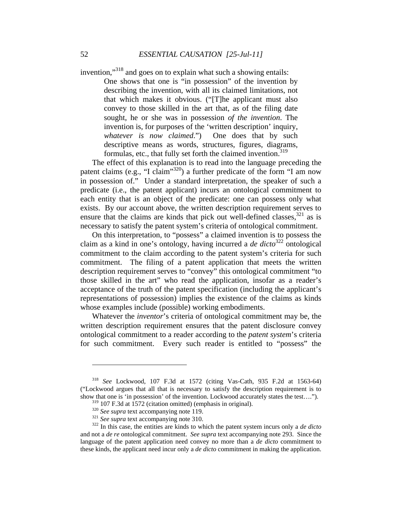invention,<sup>318</sup> and goes on to explain what such a showing entails:

One shows that one is "in possession" of the invention by describing the invention, with all its claimed limitations, not that which makes it obvious. ("[T]he applicant must also convey to those skilled in the art that, as of the filing date sought, he or she was in possession *of the invention*. The invention is, for purposes of the 'written description' inquiry, *whatever is now claimed*.") One does that by such descriptive means as words, structures, figures, diagrams, formulas, etc., that fully set forth the claimed invention.<sup>319</sup>

The effect of this explanation is to read into the language preceding the patent claims (e.g., "I claim"<sup>320</sup>) a further predicate of the form "I am now in possession of." Under a standard interpretation, the speaker of such a predicate (i.e., the patent applicant) incurs an ontological commitment to each entity that is an object of the predicate: one can possess only what exists. By our account above, the written description requirement serves to ensure that the claims are kinds that pick out well-defined classes,  $321$  as is necessary to satisfy the patent system's criteria of ontological commitment.

On this interpretation, to "possess" a claimed invention is to possess the claim as a kind in one's ontology, having incurred a *de dicto*<sup>322</sup> ontological commitment to the claim according to the patent system's criteria for such commitment. The filing of a patent application that meets the written description requirement serves to "convey" this ontological commitment "to those skilled in the art" who read the application, insofar as a reader's acceptance of the truth of the patent specification (including the applicant's representations of possession) implies the existence of the claims as kinds whose examples include (possible) working embodiments.

Whatever the *inventor*'s criteria of ontological commitment may be, the written description requirement ensures that the patent disclosure convey ontological commitment to a reader according to the *patent system*'s criteria for such commitment. Every such reader is entitled to "possess" the

<sup>318</sup> *See* Lockwood, 107 F.3d at 1572 (citing Vas-Cath, 935 F.2d at 1563-64) ("Lockwood argues that all that is necessary to satisfy the description requirement is to show that one is 'in possession' of the invention. Lockwood accurately states the test....").<br><sup>319</sup> 107 F.3d at 1572 (citation omitted) (emphasis in original).

<sup>&</sup>lt;sup>320</sup> See supra text accompanying note 119.<br><sup>321</sup> See supra text accompanying note 310.<br><sup>322</sup> In this case, the entities are kinds to which the patent system incurs only a *de dicto* and not a *de re* ontological commitment. *See supra* text accompanying note 293. Since the language of the patent application need convey no more than a *de dicto* commitment to these kinds, the applicant need incur only a *de dicto* commitment in making the application.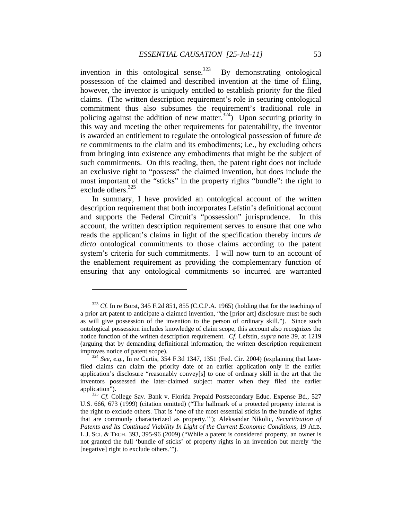invention in this ontological sense.<sup>323</sup> By demonstrating ontological possession of the claimed and described invention at the time of filing, however, the inventor is uniquely entitled to establish priority for the filed claims. (The written description requirement's role in securing ontological commitment thus also subsumes the requirement's traditional role in policing against the addition of new matter.<sup>324</sup>) Upon securing priority in this way and meeting the other requirements for patentability, the inventor is awarded an entitlement to regulate the ontological possession of future *de re* commitments to the claim and its embodiments; i.e., by excluding others from bringing into existence any embodiments that might be the subject of such commitments. On this reading, then, the patent right does not include an exclusive right to "possess" the claimed invention, but does include the most important of the "sticks" in the property rights "bundle": the right to exclude others.<sup>325</sup>

In summary, I have provided an ontological account of the written description requirement that both incorporates Lefstin's definitional account and supports the Federal Circuit's "possession" jurisprudence. In this account, the written description requirement serves to ensure that one who reads the applicant's claims in light of the specification thereby incurs *de dicto* ontological commitments to those claims according to the patent system's criteria for such commitments. I will now turn to an account of the enablement requirement as providing the complementary function of ensuring that any ontological commitments so incurred are warranted

<sup>323</sup> *Cf.* In re Borst, 345 F.2d 851, 855 (C.C.P.A. 1965) (holding that for the teachings of a prior art patent to anticipate a claimed invention, "the [prior art] disclosure must be such as will give possession of the invention to the person of ordinary skill."). Since such ontological possession includes knowledge of claim scope, this account also recognizes the notice function of the written description requirement. *Cf.* Lefstin, *supra* note 39, at 1219 (arguing that by demanding definitional information, the written description requirement improves notice of patent scope). 324 *See, e.g.*, In re Curtis, 354 F.3d 1347, 1351 (Fed. Cir. 2004) (explaining that later-

filed claims can claim the priority date of an earlier application only if the earlier application's disclosure "reasonably convey[s] to one of ordinary skill in the art that the inventors possessed the later-claimed subject matter when they filed the earlier application"). 325 *Cf.* College Sav. Bank v. Florida Prepaid Postsecondary Educ. Expense Bd., 527

U.S. 666, 673 (1999) (citation omitted) ("The hallmark of a protected property interest is the right to exclude others. That is 'one of the most essential sticks in the bundle of rights that are commonly characterized as property.'"); Aleksandar Nikolic, *Securitization of Patents and Its Continued Viability In Light of the Current Economic Conditions*, 19 ALB. L.J. SCI. & TECH. 393, 395-96 (2009) ("While a patent is considered property, an owner is not granted the full 'bundle of sticks' of property rights in an invention but merely 'the [negative] right to exclude others.'").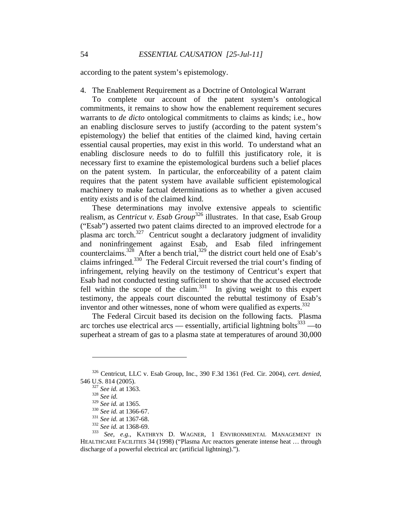according to the patent system's epistemology.

4. The Enablement Requirement as a Doctrine of Ontological Warrant

To complete our account of the patent system's ontological commitments, it remains to show how the enablement requirement secures warrants to *de dicto* ontological commitments to claims as kinds; i.e., how an enabling disclosure serves to justify (according to the patent system's epistemology) the belief that entities of the claimed kind, having certain essential causal properties, may exist in this world. To understand what an enabling disclosure needs to do to fulfill this justificatory role, it is necessary first to examine the epistemological burdens such a belief places on the patent system. In particular, the enforceability of a patent claim requires that the patent system have available sufficient epistemological machinery to make factual determinations as to whether a given accused entity exists and is of the claimed kind.

These determinations may involve extensive appeals to scientific realism, as *Centricut v. Esab Group*<sup>326</sup> illustrates. In that case, Esab Group ("Esab") asserted two patent claims directed to an improved electrode for a plasma arc torch.<sup>327</sup> Centricut sought a declaratory judgment of invalidity and noninfringement against Esab, and Esab filed infringement counterclaims.<sup>328</sup> After a bench trial,<sup>329</sup> the district court held one of Esab's claims infringed.330 The Federal Circuit reversed the trial court's finding of infringement, relying heavily on the testimony of Centricut's expert that Esab had not conducted testing sufficient to show that the accused electrode fell within the scope of the claim.<sup>331</sup> In giving weight to this expert testimony, the appeals court discounted the rebuttal testimony of Esab's inventor and other witnesses, none of whom were qualified as experts.<sup>332</sup>

The Federal Circuit based its decision on the following facts. Plasma arc torches use electrical arcs — essentially, artificial lightning bolts<sup>333</sup> — to superheat a stream of gas to a plasma state at temperatures of around 30,000

<sup>&</sup>lt;sup>326</sup> Centricut, LLC v. Esab Group, Inc., 390 F.3d 1361 (Fed. Cir. 2004), *cert. denied*, 546 U.S. 814 (2005).

<sup>527</sup> *See id.* at 1363.<br><sup>328</sup> *See id.* 329 *See id.* at 1365.

<sup>329</sup> *See id.* at 1365. 330 *See id.* at 1366-67. 331 *See id.* at 1367-68. 332 *See id.* at 1368-69. 333 *See, e.g.*, KATHRYN D. WAGNER, 1 ENVIRONMENTAL MANAGEMENT IN HEALTHCARE FACILITIES 34 (1998) ("Plasma Arc reactors generate intense heat … through discharge of a powerful electrical arc (artificial lightning).").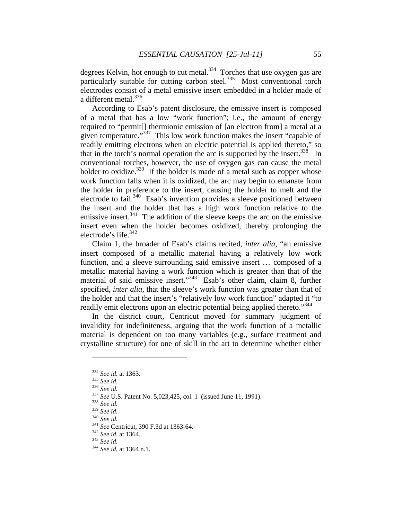degrees Kelvin, hot enough to cut metal.<sup>334</sup> Torches that use oxygen gas are particularly suitable for cutting carbon steel.<sup>335</sup> Most conventional torch electrodes consist of a metal emissive insert embedded in a holder made of a different metal.<sup>336</sup>

According to Esab's patent disclosure, the emissive insert is composed of a metal that has a low "work function"; i.e., the amount of energy required to "permit[] thermionic emission of [an electron from] a metal at a given temperature." $\frac{337}{100}$  This low work function makes the insert "capable of readily emitting electrons when an electric potential is applied thereto," so that in the torch's normal operation the arc is supported by the insert.<sup>338</sup> In conventional torches, however, the use of oxygen gas can cause the metal holder to oxidize.<sup>339</sup> If the holder is made of a metal such as copper whose work function falls when it is oxidized, the arc may begin to emanate from the holder in preference to the insert, causing the holder to melt and the electrode to fail. $340$  Esab's invention provides a sleeve positioned between the insert and the holder that has a high work function relative to the emissive insert. $341$  The addition of the sleeve keeps the arc on the emissive insert even when the holder becomes oxidized, thereby prolonging the electrode's life.342

Claim 1, the broader of Esab's claims recited, *inter alia*, "an emissive insert composed of a metallic material having a relatively low work function, and a sleeve surrounding said emissive insert … composed of a metallic material having a work function which is greater than that of the material of said emissive insert."<sup>343</sup> Esab's other claim, claim 8, further specified, *inter alia*, that the sleeve's work function was greater than that of the holder and that the insert's "relatively low work function" adapted it "to readily emit electrons upon an electric potential being applied thereto."<sup>344</sup>

In the district court, Centricut moved for summary judgment of invalidity for indefiniteness, arguing that the work function of a metallic material is dependent on too many variables (e.g., surface treatment and crystalline structure) for one of skill in the art to determine whether either

<sup>&</sup>lt;sup>334</sup> *See id.* at 1363.<br><sup>335</sup> *See id.*<br><sup>336</sup> *See id.* 337 *See* U.S. Patent No. 5,023,425, col. 1 (issued June 11, 1991).<br><sup>338</sup> *See id.* <sup>339</sup> *See id.* 

<sup>339</sup> *See id.* <sup>340</sup> *See id.* <sup>341</sup> *See* Centricut, 390 F.3d at 1363-64. 342 *See id*. at 1364. 343 *See id.* <sup>344</sup> *See id.* at 1364 n.1.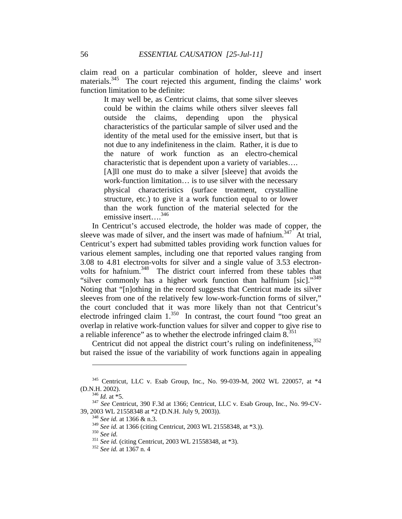claim read on a particular combination of holder, sleeve and insert materials.345 The court rejected this argument, finding the claims' work function limitation to be definite:

It may well be, as Centricut claims, that some silver sleeves could be within the claims while others silver sleeves fall outside the claims, depending upon the physical characteristics of the particular sample of silver used and the identity of the metal used for the emissive insert, but that is not due to any indefiniteness in the claim. Rather, it is due to the nature of work function as an electro-chemical characteristic that is dependent upon a variety of variables…. [A]ll one must do to make a silver [sleeve] that avoids the work-function limitation… is to use silver with the necessary physical characteristics (surface treatment, crystalline structure, etc.) to give it a work function equal to or lower than the work function of the material selected for the emissive insert....<sup>346</sup>

In Centricut's accused electrode, the holder was made of copper, the sleeve was made of silver, and the insert was made of hafnium.<sup>347</sup> At trial, Centricut's expert had submitted tables providing work function values for various element samples, including one that reported values ranging from 3.08 to 4.81 electron-volts for silver and a single value of 3.53 electronvolts for hafnium.<sup>348</sup> The district court inferred from these tables that "silver commonly has a higher work function than halfnium [sic]."<sup>349</sup> Noting that "[n]othing in the record suggests that Centricut made its silver sleeves from one of the relatively few low-work-function forms of silver," the court concluded that it was more likely than not that Centricut's electrode infringed claim  $1^{350}$  In contrast, the court found "too great an overlap in relative work-function values for silver and copper to give rise to a reliable inference" as to whether the electrode infringed claim  $8^{351}$ 

Centricut did not appeal the district court's ruling on indefiniteness,  $352$ but raised the issue of the variability of work functions again in appealing

<sup>345</sup> Centricut, LLC v. Esab Group, Inc., No. 99-039-M, 2002 WL 220057, at \*4 (D.N.H. 2002). 346 *Id.* at \*5. 347 *See* Centricut, 390 F.3d at 1366; Centricut, LLC v. Esab Group, Inc., No. 99-CV-

<sup>39, 2003</sup> WL 21558348 at \*2 (D.N.H. July 9, 2003)). 348 *See id.* at 1366 & n.3.

<sup>&</sup>lt;sup>349</sup> *See id.* at 1366 (citing Centricut, 2003 WL 21558348, at \*3.)).<br><sup>350</sup> *See id.* (citing Centricut, 2003 WL 21558348, at \*3).<br><sup>352</sup> *See id.* at 1367 n. 4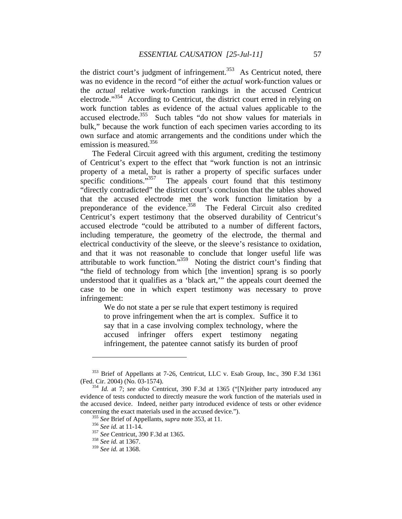the district court's judgment of infringement.<sup>353</sup> As Centricut noted, there was no evidence in the record "of either the *actual* work-function values or the *actual* relative work-function rankings in the accused Centricut electrode."354 According to Centricut, the district court erred in relying on work function tables as evidence of the actual values applicable to the accused electrode.<sup>355</sup> Such tables "do not show values for materials in bulk," because the work function of each specimen varies according to its own surface and atomic arrangements and the conditions under which the emission is measured.<sup>356</sup>

The Federal Circuit agreed with this argument, crediting the testimony of Centricut's expert to the effect that "work function is not an intrinsic property of a metal, but is rather a property of specific surfaces under specific conditions."<sup>357</sup> The appeals court found that this testimony "directly contradicted" the district court's conclusion that the tables showed that the accused electrode met the work function limitation by a preponderance of the evidence.<sup>358</sup> The Federal Circuit also credited Centricut's expert testimony that the observed durability of Centricut's accused electrode "could be attributed to a number of different factors, including temperature, the geometry of the electrode, the thermal and electrical conductivity of the sleeve, or the sleeve's resistance to oxidation, and that it was not reasonable to conclude that longer useful life was attributable to work function."<sup>359</sup> Noting the district court's finding that "the field of technology from which [the invention] sprang is so poorly understood that it qualifies as a 'black art,'" the appeals court deemed the case to be one in which expert testimony was necessary to prove infringement:

We do not state a per se rule that expert testimony is required to prove infringement when the art is complex. Suffice it to say that in a case involving complex technology, where the accused infringer offers expert testimony negating infringement, the patentee cannot satisfy its burden of proof

<sup>353</sup> Brief of Appellants at 7-26, Centricut, LLC v. Esab Group, Inc., 390 F.3d 1361 (Fed. Cir. 2004) (No. 03-1574). 354 *Id.* at 7; *see also* Centricut, 390 F.3d at 1365 ("[N]either party introduced any

evidence of tests conducted to directly measure the work function of the materials used in the accused device. Indeed, neither party introduced evidence of tests or other evidence concerning the exact materials used in the accused device.").<br>
<sup>355</sup> See Brief of Appellants, *supra* note 353, at 11.<br>
<sup>356</sup> See id. at 11-14.<br>
<sup>357</sup> See Centricut, 390 F.3d at 1365.<br>
<sup>358</sup> See id. at 1367.

<sup>359</sup> *See id.* at 1368.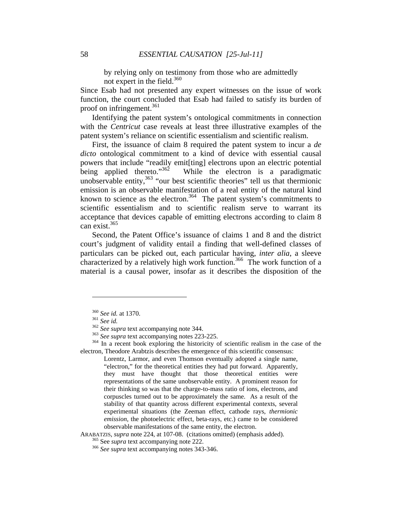by relying only on testimony from those who are admittedly not expert in the field.<sup>360</sup>

Since Esab had not presented any expert witnesses on the issue of work function, the court concluded that Esab had failed to satisfy its burden of proof on infringement.<sup>361</sup>

Identifying the patent system's ontological commitments in connection with the *Centricut* case reveals at least three illustrative examples of the patent system's reliance on scientific essentialism and scientific realism.

First, the issuance of claim 8 required the patent system to incur a *de dicto* ontological commitment to a kind of device with essential causal powers that include "readily emit[ting] electrons upon an electric potential being applied thereto."<sup>362</sup> While the electron is a paradigmatic While the electron is a paradigmatic unobservable entity,<sup>363</sup> "our best scientific theories" tell us that thermionic emission is an observable manifestation of a real entity of the natural kind known to science as the electron.<sup>364</sup> The patent system's commitments to scientific essentialism and to scientific realism serve to warrant its acceptance that devices capable of emitting electrons according to claim 8 can exist.<sup>365</sup>

Second, the Patent Office's issuance of claims 1 and 8 and the district court's judgment of validity entail a finding that well-defined classes of particulars can be picked out, each particular having, *inter alia*, a sleeve characterized by a relatively high work function.<sup>366</sup> The work function of a material is a causal power, insofar as it describes the disposition of the

 $\overline{a}$ 

Lorentz, Larmor, and even Thomson eventually adopted a single name, "electron," for the theoretical entities they had put forward. Apparently, they must have thought that those theoretical entities were representations of the same unobservable entity. A prominent reason for their thinking so was that the charge-to-mass ratio of ions, electrons, and corpuscles turned out to be approximately the same. As a result of the stability of that quantity across different experimental contexts, several experimental situations (the Zeeman effect, cathode rays, *thermionic emission*, the photoelectric effect, beta-rays, etc.) came to be considered observable manifestations of the same entity, the electron.

ARABATZIS, *supra* note 224, at 107-08. (citations omitted) (emphasis added).<br><sup>365</sup> See *supra* text accompanying note 222.<br><sup>366</sup> See *supra* text accompanying notes 343-346.

<sup>&</sup>lt;sup>360</sup> See id. at 1370.<br><sup>361</sup> See id.<br><sup>362</sup> See supra text accompanying note 344.<br><sup>363</sup> See supra text accompanying notes 223-225.<br><sup>364</sup> In a recent book exploring the historicity of scientific realism in the case of the electron, Theodore Arabtzis describes the emergence of this scientific consensus: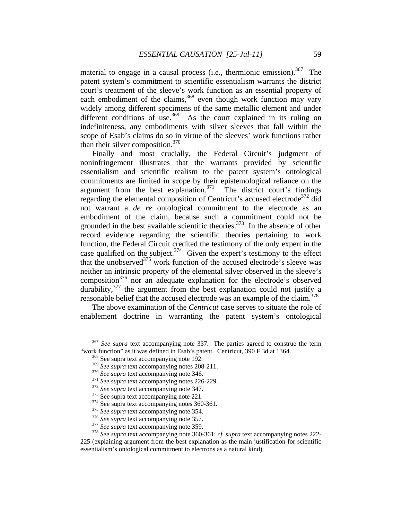material to engage in a causal process (i.e., thermionic emission).<sup>367</sup> The patent system's commitment to scientific essentialism warrants the district court's treatment of the sleeve's work function as an essential property of each embodiment of the claims,<sup>368</sup> even though work function may vary widely among different specimens of the same metallic element and under different conditions of use.<sup>369</sup> As the court explained in its ruling on indefiniteness, any embodiments with silver sleeves that fall within the scope of Esab's claims do so in virtue of the sleeves' work functions rather than their silver composition. $370$ 

Finally and most crucially, the Federal Circuit's judgment of noninfringement illustrates that the warrants provided by scientific essentialism and scientific realism to the patent system's ontological commitments are limited in scope by their epistemological reliance on the argument from the best explanation.<sup>371</sup> The district court's findings regarding the elemental composition of Centricut's accused electrode<sup>372</sup> did not warrant a *de re* ontological commitment to the electrode as an embodiment of the claim, because such a commitment could not be grounded in the best available scientific theories.<sup>373</sup> In the absence of other record evidence regarding the scientific theories pertaining to work function, the Federal Circuit credited the testimony of the only expert in the case qualified on the subject. $374$  Given the expert's testimony to the effect that the unobserved<sup>375</sup> work function of the accused electrode's sleeve was neither an intrinsic property of the elemental silver observed in the sleeve's composition<sup>376</sup> nor an adequate explanation for the electrode's observed durability, $377$  the argument from the best explanation could not justify a reasonable belief that the accused electrode was an example of the claim.<sup>378</sup>

The above examination of the *Centricut* case serves to situate the role of enablement doctrine in warranting the patent system's ontological

<sup>&</sup>lt;sup>367</sup> See supra text accompanying note 337. The parties agreed to construe the term "work function" as it was defined in Esab's patent. Centricut, 390 F.3d at 1364.<br><sup>368</sup> See supra text accompanying note 192.<br><sup>369</sup> See supra text accompanying notes 208-211.

<sup>&</sup>lt;sup>369</sup> See supra text accompanying notes 208-211.<br><sup>370</sup> See supra text accompanying note 346.<br><sup>371</sup> See supra text accompanying notes 226-229.<br><sup>372</sup> See supra text accompanying note 347.<br><sup>373</sup> See supra text accompanying no 225 (explaining argument from the best explanation as the main justification for scientific essentialism's ontological commitment to electrons as a natural kind).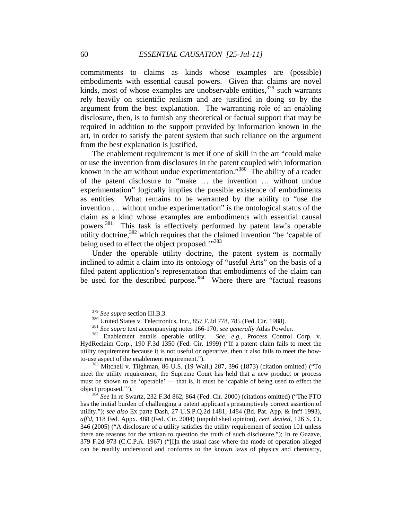commitments to claims as kinds whose examples are (possible) embodiments with essential causal powers. Given that claims are novel kinds, most of whose examples are unobservable entities,  $379$  such warrants rely heavily on scientific realism and are justified in doing so by the argument from the best explanation. The warranting role of an enabling disclosure, then, is to furnish any theoretical or factual support that may be required in addition to the support provided by information known in the art, in order to satisfy the patent system that such reliance on the argument from the best explanation is justified.

The enablement requirement is met if one of skill in the art "could make or use the invention from disclosures in the patent coupled with information known in the art without undue experimentation."<sup>380</sup> The ability of a reader of the patent disclosure to "make … the invention … without undue experimentation" logically implies the possible existence of embodiments as entities. What remains to be warranted by the ability to "use the invention … without undue experimentation" is the ontological status of the claim as a kind whose examples are embodiments with essential causal powers.381 This task is effectively performed by patent law's operable utility doctrine,  $382$  which requires that the claimed invention "be 'capable of being used to effect the object proposed."<sup>383</sup>

Under the operable utility doctrine, the patent system is normally inclined to admit a claim into its ontology of "useful Arts" on the basis of a filed patent application's representation that embodiments of the claim can be used for the described purpose.<sup>384</sup> Where there are "factual reasons"

<sup>&</sup>lt;sup>379</sup> See supra section III.B.3.<br><sup>380</sup> United States v. Telectronics, Inc., 857 F.2d 778, 785 (Fed. Cir. 1988).<br><sup>381</sup> See supra text accompanying notes 166-170; *see generally* Atlas Powder.<br><sup>382</sup> Enablement entails opera HydReclaim Corp., 190 F.3d 1350 (Fed. Cir. 1999) ("If a patent claim fails to meet the utility requirement because it is not useful or operative, then it also fails to meet the howto-use aspect of the enablement requirement.").<br><sup>383</sup> Mitchell v. Tilghman, 86 U.S. (19 Wall.) 287, 396 (1873) (citation omitted) ("To

meet the utility requirement, the Supreme Court has held that a new product or process must be shown to be 'operable' — that is, it must be 'capable of being used to effect the

object proposed.'"). 384 *See* In re Swartz, 232 F.3d 862, 864 (Fed. Cir. 2000) (citations omitted) ("The PTO has the initial burden of challenging a patent applicant's presumptively correct assertion of utility."); *see also* Ex parte Dash, 27 U.S.P.Q.2d 1481, 1484 (Bd. Pat. App. & Int'f 1993), *aff'd*, 118 Fed. Appx. 488 (Fed. Cir. 2004) (unpublished opinion), *cert. denied*, 126 S. Ct. 346 (2005) ("A disclosure of a utility satisfies the utility requirement of section 101 unless there are reasons for the artisan to question the truth of such disclosure."); In re Gazave, 379 F.2d 973 (C.C.P.A. 1967) ("[I]n the usual case where the mode of operation alleged can be readily understood and conforms to the known laws of physics and chemistry,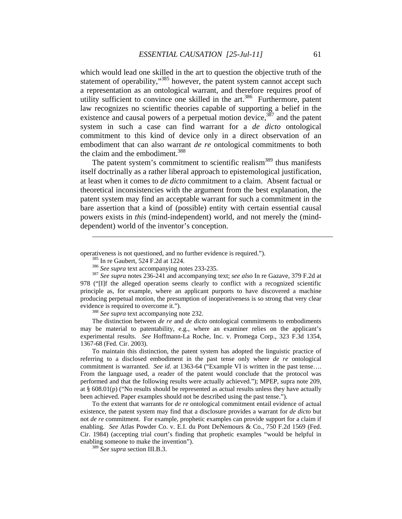which would lead one skilled in the art to question the objective truth of the statement of operability,"<sup>385</sup> however, the patent system cannot accept such a representation as an ontological warrant, and therefore requires proof of utility sufficient to convince one skilled in the art.<sup>386</sup> Furthermore, patent law recognizes no scientific theories capable of supporting a belief in the existence and causal powers of a perpetual motion device,  $387$  and the patent system in such a case can find warrant for a *de dicto* ontological commitment to this kind of device only in a direct observation of an embodiment that can also warrant *de re* ontological commitments to both the claim and the embodiment.<sup>388</sup>

The patent system's commitment to scientific realism<sup>389</sup> thus manifests itself doctrinally as a rather liberal approach to epistemological justification, at least when it comes to *de dicto* commitment to a claim. Absent factual or theoretical inconsistencies with the argument from the best explanation, the patent system may find an acceptable warrant for such a commitment in the bare assertion that a kind of (possible) entity with certain essential causal powers exists in *this* (mind-independent) world, and not merely the (minddependent) world of the inventor's conception.

 $\overline{a}$ 

The distinction between *de re* and *de dicto* ontological commitments to embodiments may be material to patentability, e.g., where an examiner relies on the applicant's experimental results. *See* Hoffmann-La Roche, Inc. v. Promega Corp., 323 F.3d 1354, 1367-68 (Fed. Cir. 2003).

To maintain this distinction, the patent system has adopted the linguistic practice of referring to a disclosed embodiment in the past tense only where *de re* ontological commitment is warranted. *See id.* at 1363-64 ("Example VI is written in the past tense…. From the language used, a reader of the patent would conclude that the protocol was performed and that the following results were actually achieved."); MPEP, supra note 209, at § 608.01(p) ("No results should be represented as actual results unless they have actually been achieved. Paper examples should not be described using the past tense.").

To the extent that warrants for *de re* ontological commitment entail evidence of actual existence, the patent system may find that a disclosure provides a warrant for *de dicto* but not *de re* commitment. For example, prophetic examples can provide support for a claim if enabling. *See* Atlas Powder Co. v. E.I. du Pont DeNemours & Co., 750 F.2d 1569 (Fed. Cir. 1984) (accepting trial court's finding that prophetic examples "would be helpful in enabling someone to make the invention").

<sup>389</sup> *See supra* section III.B.3.

operativeness is not questioned, and no further evidence is required.").<br><sup>385</sup> In re Gaubert, 524 F.2d at 1224.<br><sup>386</sup> See supra text accompanying notes 233-235.<br><sup>387</sup> See supra notes 236-241 and accompanying text; see also 978 ("[I]f the alleged operation seems clearly to conflict with a recognized scientific principle as, for example, where an applicant purports to have discovered a machine producing perpetual motion, the presumption of inoperativeness is so strong that very clear evidence is required to overcome it."). 388 *See supra* text accompanying note 232.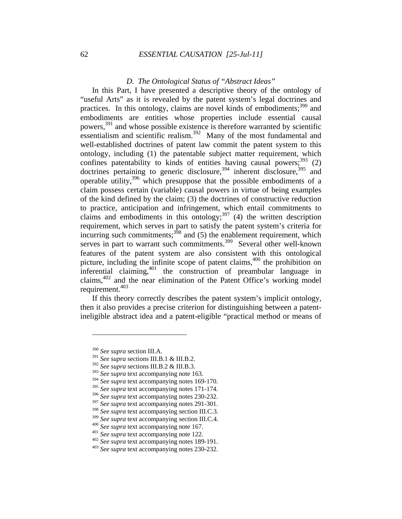# *D. The Ontological Status of "Abstract Ideas"*

In this Part, I have presented a descriptive theory of the ontology of "useful Arts" as it is revealed by the patent system's legal doctrines and practices. In this ontology, claims are novel kinds of embodiments;  $390$  and embodiments are entities whose properties include essential causal powers,391 and whose possible existence is therefore warranted by scientific essentialism and scientific realism.<sup>392</sup> Many of the most fundamental and well-established doctrines of patent law commit the patent system to this ontology, including (1) the patentable subject matter requirement, which confines patentability to kinds of entities having causal powers; $393$  (2) doctrines pertaining to generic disclosure,  $394$  inherent disclosure,  $395$  and operable utility,  $396$  which presuppose that the possible embodiments of a claim possess certain (variable) causal powers in virtue of being examples of the kind defined by the claim; (3) the doctrines of constructive reduction to practice, anticipation and infringement, which entail commitments to claims and embodiments in this ontology; $397$  (4) the written description requirement, which serves in part to satisfy the patent system's criteria for incurring such commitments; $3^{38}$  and (5) the enablement requirement, which serves in part to warrant such commitments.<sup>399</sup> Several other well-known features of the patent system are also consistent with this ontological picture, including the infinite scope of patent claims,<sup>400</sup> the prohibition on inferential claiming,<sup>401</sup> the construction of preambular language in claims,402 and the near elimination of the Patent Office's working model requirement.<sup>403</sup>

If this theory correctly describes the patent system's implicit ontology, then it also provides a precise criterion for distinguishing between a patentineligible abstract idea and a patent-eligible "practical method or means of

 $\overline{a}$ 

<sup>397</sup> *See supra* text accompanying notes 291-301.

<sup>390</sup> *See supra* section III.A.

<sup>391</sup> *See supra* sections III.B.1 & III.B.2.

<sup>392</sup> *See supra* sections III.B.2 & III.B.3.

<sup>&</sup>lt;sup>393</sup> See supra text accompanying note 163.

<sup>&</sup>lt;sup>394</sup> See supra text accompanying notes 169-170.

<sup>395</sup> *See supra* text accompanying notes 171-174.

<sup>396</sup> *See supra* text accompanying notes 230-232.

<sup>&</sup>lt;sup>398</sup> See supra text accompanying section III.C.3.<br><sup>399</sup> See supra text accompanying section III.C.4.

<sup>&</sup>lt;sup>400</sup> See supra text accompanying note 167.<br><sup>401</sup> See supra text accompanying note 122.<br><sup>402</sup> See supra text accompanying notes 189-191.<br><sup>403</sup> See supra text accompanying notes 230-232.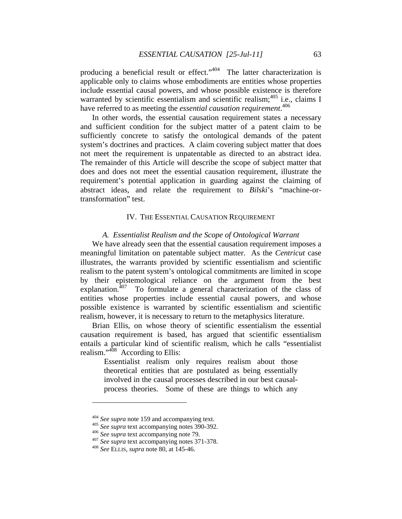producing a beneficial result or effect."404 The latter characterization is applicable only to claims whose embodiments are entities whose properties include essential causal powers, and whose possible existence is therefore warranted by scientific essentialism and scientific realism;<sup>405</sup> i.e., claims I have referred to as meeting the *essential causation requirement*. 406

In other words, the essential causation requirement states a necessary and sufficient condition for the subject matter of a patent claim to be sufficiently concrete to satisfy the ontological demands of the patent system's doctrines and practices. A claim covering subject matter that does not meet the requirement is unpatentable as directed to an abstract idea. The remainder of this Article will describe the scope of subject matter that does and does not meet the essential causation requirement, illustrate the requirement's potential application in guarding against the claiming of abstract ideas, and relate the requirement to *Bilski*'s "machine-ortransformation" test.

# IV. THE ESSENTIAL CAUSATION REQUIREMENT

# *A. Essentialist Realism and the Scope of Ontological Warrant*

We have already seen that the essential causation requirement imposes a meaningful limitation on patentable subject matter. As the *Centricut* case illustrates, the warrants provided by scientific essentialism and scientific realism to the patent system's ontological commitments are limited in scope by their epistemological reliance on the argument from the best explanation.<sup>407</sup> To formulate a general characterization of the class of To formulate a general characterization of the class of entities whose properties include essential causal powers, and whose possible existence is warranted by scientific essentialism and scientific realism, however, it is necessary to return to the metaphysics literature.

Brian Ellis, on whose theory of scientific essentialism the essential causation requirement is based, has argued that scientific essentialism entails a particular kind of scientific realism, which he calls "essentialist realism."<sup>408</sup> According to Ellis:

Essentialist realism only requires realism about those theoretical entities that are postulated as being essentially involved in the causal processes described in our best causalprocess theories. Some of these are things to which any

<sup>&</sup>lt;sup>404</sup> See supra note 159 and accompanying text.<br><sup>405</sup> See supra text accompanying notes 390-392.<br><sup>406</sup> See supra text accompanying note 79.<br><sup>407</sup> See supra text accompanying notes 371-378.<br><sup>408</sup> See ELLIS, *supra* note 80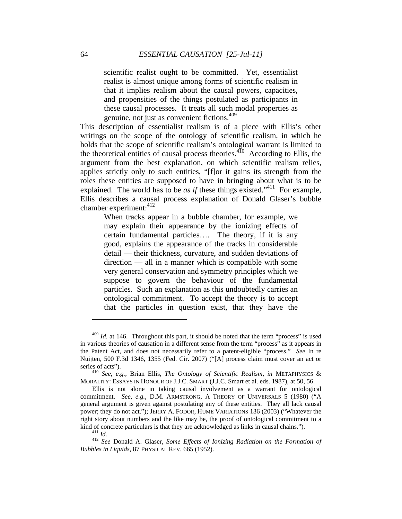scientific realist ought to be committed. Yet, essentialist realist is almost unique among forms of scientific realism in that it implies realism about the causal powers, capacities, and propensities of the things postulated as participants in these causal processes. It treats all such modal properties as genuine, not just as convenient fictions.<sup>409</sup>

This description of essentialist realism is of a piece with Ellis's other writings on the scope of the ontology of scientific realism, in which he holds that the scope of scientific realism's ontological warrant is limited to the theoretical entities of causal process theories.<sup>410</sup> According to Ellis, the argument from the best explanation, on which scientific realism relies, applies strictly only to such entities, "[f]or it gains its strength from the roles these entities are supposed to have in bringing about what is to be explained. The world has to be *as if* these things existed."<sup>411</sup> For example, Ellis describes a causal process explanation of Donald Glaser's bubble chamber experiment: $4^{12}$ 

When tracks appear in a bubble chamber, for example, we may explain their appearance by the ionizing effects of certain fundamental particles…. The theory, if it is any good, explains the appearance of the tracks in considerable detail — their thickness, curvature, and sudden deviations of direction — all in a manner which is compatible with some very general conservation and symmetry principles which we suppose to govern the behaviour of the fundamental particles. Such an explanation as this undoubtedly carries an ontological commitment. To accept the theory is to accept that the particles in question exist, that they have the

<sup>&</sup>lt;sup>409</sup> *Id.* at 146. Throughout this part, it should be noted that the term "process" is used in various theories of causation in a different sense from the term "process" as it appears in the Patent Act, and does not necessarily refer to a patent-eligible "process." *See* In re Nuijten, 500 F.3d 1346, 1355 (Fed. Cir. 2007) ("[A] process claim must cover an act or series of acts"). 410 *See, e.g.*, Brian Ellis, *The Ontology of Scientific Realism*, *in* METAPHYSICS &

MORALITY: ESSAYS IN HONOUR OF J.J.C. SMART (J.J.C. Smart et al. eds. 1987), at 50, 56.

Ellis is not alone in taking causal involvement as a warrant for ontological commitment. *See, e.g.*, D.M. ARMSTRONG, A THEORY OF UNIVERSALS 5 (1980) ("A general argument is given against postulating any of these entities. They all lack causal power; they do not act."); JERRY A. FODOR, HUME VARIATIONS 136 (2003) ("Whatever the right story about numbers and the like may be, the proof of ontological commitment to a kind of concrete particulars is that they are acknowledged as links in causal chains."). 411 *Id.* <sup>412</sup> *See* Donald A. Glaser, *Some Effects of Ionizing Radiation on the Formation of* 

*Bubbles in Liquids*, 87 PHYSICAL REV. 665 (1952).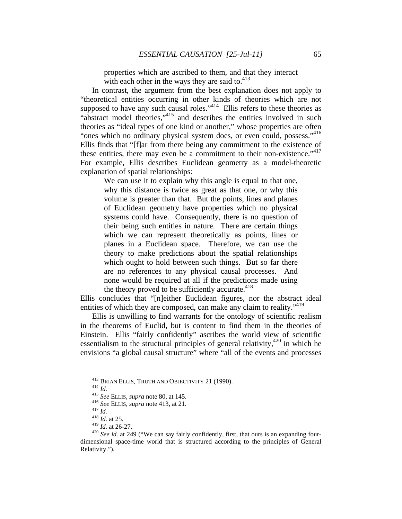properties which are ascribed to them, and that they interact with each other in the ways they are said to. $413$ 

In contrast, the argument from the best explanation does not apply to "theoretical entities occurring in other kinds of theories which are not supposed to have any such causal roles." $414$  Ellis refers to these theories as "abstract model theories,"<sup>415</sup> and describes the entities involved in such theories as "ideal types of one kind or another," whose properties are often "ones which no ordinary physical system does, or even could, possess."<sup>416</sup> Ellis finds that "[f]ar from there being any commitment to the existence of these entities, there may even be a commitment to their non-existence. $1417$ For example, Ellis describes Euclidean geometry as a model-theoretic explanation of spatial relationships:

We can use it to explain why this angle is equal to that one, why this distance is twice as great as that one, or why this volume is greater than that. But the points, lines and planes of Euclidean geometry have properties which no physical systems could have. Consequently, there is no question of their being such entities in nature. There are certain things which we can represent theoretically as points, lines or planes in a Euclidean space. Therefore, we can use the theory to make predictions about the spatial relationships which ought to hold between such things. But so far there are no references to any physical causal processes. And none would be required at all if the predictions made using the theory proved to be sufficiently accurate. $418$ 

Ellis concludes that "[n]either Euclidean figures, nor the abstract ideal entities of which they are composed, can make any claim to reality."<sup>419</sup>

Ellis is unwilling to find warrants for the ontology of scientific realism in the theorems of Euclid, but is content to find them in the theories of Einstein. Ellis "fairly confidently" ascribes the world view of scientific essentialism to the structural principles of general relativity,  $420$  in which he envisions "a global causal structure" where "all of the events and processes

<sup>413</sup> BRIAN ELLIS, TRUTH AND OBJECTIVITY 21 (1990).<br>
<sup>414</sup> *Id.*<br>
<sup>415</sup> *See* ELLIS, *supra* note 80, at 145.<br>
<sup>416</sup> *See* ELLIS, *supra* note 413, at 21.<br>
<sup>417</sup> *Id.*<br>
<sup>418</sup> *Id.* at 25.<br>
<sup>419</sup> *Id.* at 26-27.

<sup>&</sup>lt;sup>420</sup> *See id.* at 249 ("We can say fairly confidently, first, that ours is an expanding fourdimensional space-time world that is structured according to the principles of General Relativity.").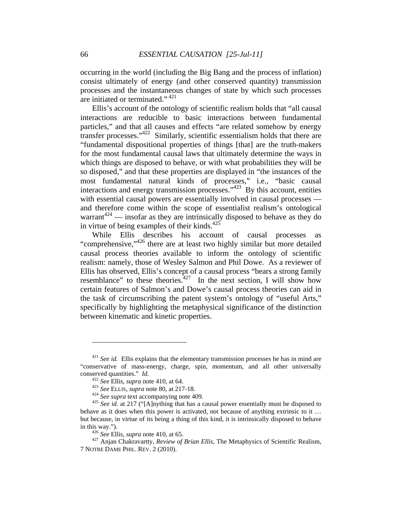occurring in the world (including the Big Bang and the process of inflation) consist ultimately of energy (and other conserved quantity) transmission processes and the instantaneous changes of state by which such processes are initiated or terminated." 421

Ellis's account of the ontology of scientific realism holds that "all causal interactions are reducible to basic interactions between fundamental particles," and that all causes and effects "are related somehow by energy transfer processes." $422$  Similarly, scientific essentialism holds that there are "fundamental dispositional properties of things [that] are the truth-makers for the most fundamental causal laws that ultimately determine the ways in which things are disposed to behave, or with what probabilities they will be so disposed," and that these properties are displayed in "the instances of the most fundamental natural kinds of processes," i.e., "basic causal interactions and energy transmission processes." $423$  By this account, entities with essential causal powers are essentially involved in causal processes and therefore come within the scope of essentialist realism's ontological warrant $424$  — insofar as they are intrinsically disposed to behave as they do in virtue of being examples of their kinds. $425$ 

While Ellis describes his account of causal processes as "comprehensive,"426 there are at least two highly similar but more detailed causal process theories available to inform the ontology of scientific realism: namely, those of Wesley Salmon and Phil Dowe. As a reviewer of Ellis has observed, Ellis's concept of a causal process "bears a strong family resemblance" to these theories.<sup>427</sup> In the next section, I will show how certain features of Salmon's and Dowe's causal process theories can aid in the task of circumscribing the patent system's ontology of "useful Arts," specifically by highlighting the metaphysical significance of the distinction between kinematic and kinetic properties.

<sup>&</sup>lt;sup>421</sup> *See id.* Ellis explains that the elementary transmission processes he has in mind are "conservative of mass-energy, charge, spin, momentum, and all other universally conserved quantities."  $Id$ .

<sup>&</sup>lt;sup>422</sup> See Ellis, *supra* note 410, at 64.<br><sup>423</sup> See ELLIS, *supra* note 80, at 217-18.<br><sup>424</sup> See supra text accompanying note 409.<br><sup>425</sup> See id. at 217 ("[A]nything that has a causal power essentially must be disposed to behave as it does when this power is activated, not because of anything extrinsic to it … but because, in virtue of its being a thing of this kind, it is intrinsically disposed to behave in this way."). 426 *See* Ellis, *supra* note 410, at 65. 427 Anjan Chakravartty, *Review of Brian Ellis,* The Metaphysics of Scientific Realism,

<sup>7</sup> NOTRE DAME PHIL. REV. 2 (2010).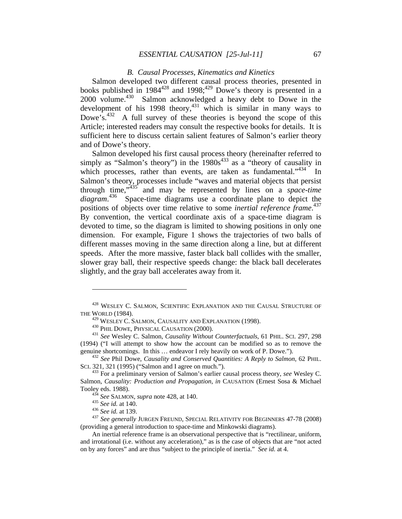#### *B. Causal Processes, Kinematics and Kinetics*

Salmon developed two different causal process theories, presented in books published in 1984<sup>428</sup> and 1998;<sup>429</sup> Dowe's theory is presented in a 2000 volume.<sup>430</sup> Salmon acknowledged a heavy debt to Dowe in the development of his 1998 theory, $431$  which is similar in many ways to Dowe's.<sup>432</sup> A full survey of these theories is beyond the scope of this Article; interested readers may consult the respective books for details. It is sufficient here to discuss certain salient features of Salmon's earlier theory and of Dowe's theory.

Salmon developed his first causal process theory (hereinafter referred to simply as "Salmon's theory") in the  $1980s^{433}$  as a "theory of causality in which processes, rather than events, are taken as fundamental."<sup>434</sup> In Salmon's theory, processes include "waves and material objects that persist through time,"435 and may be represented by lines on a *space-time diagram*. 436 Space-time diagrams use a coordinate plane to depict the positions of objects over time relative to some *inertial reference frame*. 437 By convention, the vertical coordinate axis of a space-time diagram is devoted to time, so the diagram is limited to showing positions in only one dimension. For example, Figure 1 shows the trajectories of two balls of different masses moving in the same direction along a line, but at different speeds. After the more massive, faster black ball collides with the smaller, slower gray ball, their respective speeds change: the black ball decelerates slightly, and the gray ball accelerates away from it.

 $^{428}$  WESLEY C. SALMON, SCIENTIFIC EXPLANATION AND THE CAUSAL STRUCTURE OF THE WORLD (1984).<br><sup>429</sup> WESLEY C. SALMON, CAUSALITY AND EXPLANATION (1998).

<sup>&</sup>lt;sup>430</sup> PHIL DOWE, PHYSICAL CAUSATION (2000).<br><sup>431</sup> *See* Wesley C. Salmon, *Causality Without Counterfactuals*, 61 PHIL. SCI. 297, 298 (1994) ("I will attempt to show how the account can be modified so as to remove the genuine shortcomings. In this … endeavor I rely heavily on work of P. Dowe."). 432 *See* Phil Dowe, *Causality and Conserved Quantities: A Reply to Salmon*, 62 PHIL.

SCI. 321, 321 (1995) ("Salmon and I agree on much.").

<sup>433</sup> For a preliminary version of Salmon's earlier causal process theory, *see* Wesley C. Salmon, *Causality: Production and Propagation*, *in* CAUSATION (Ernest Sosa & Michael Tooley eds. 1988). 434 *See* SALMON, *supra* note 428, at 140. 435 *See id.* at 140. 436 *See id.* at 139. 437 *See generally* JURGEN FREUND, SPECIAL RELATIVITY FOR BEGINNERS 47-78 (2008)

<sup>(</sup>providing a general introduction to space-time and Minkowski diagrams).

An inertial reference frame is an observational perspective that is "rectilinear, uniform, and irrotational (i.e. without any acceleration)," as is the case of objects that are "not acted on by any forces" and are thus "subject to the principle of inertia." *See id.* at 4.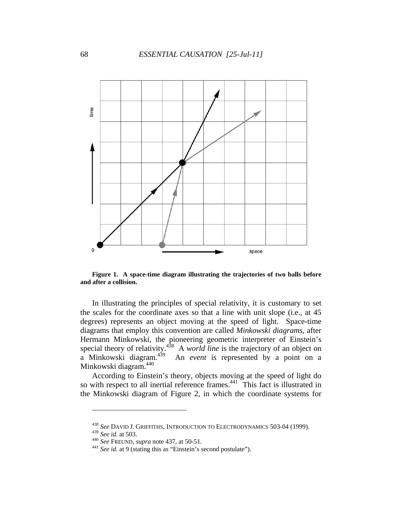

**Figure 1. A space-time diagram illustrating the trajectories of two balls before and after a collision.** 

In illustrating the principles of special relativity, it is customary to set the scales for the coordinate axes so that a line with unit slope (i.e., at 45 degrees) represents an object moving at the speed of light. Space-time diagrams that employ this convention are called *Minkowski diagrams*, after Hermann Minkowski, the pioneering geometric interpreter of Einstein's special theory of relativity.<sup>438</sup> A *world line* is the trajectory of an object on a Minkowski diagram.439 An *event* is represented by a point on a Minkowski diagram.<sup>440</sup>

According to Einstein's theory, objects moving at the speed of light do so with respect to all inertial reference frames.<sup>441</sup> This fact is illustrated in the Minkowski diagram of Figure 2, in which the coordinate systems for

<sup>438</sup> *See* DAVID J. GRIFFITHS, INTRODUCTION TO ELECTRODYNAMICS 503-04 (1999).

<sup>439</sup> *See id.* at 503. 440 *See* FREUND, *supra* note 437, at 50-51. 441 *See id.* at 9 (stating this as "Einstein's second postulate").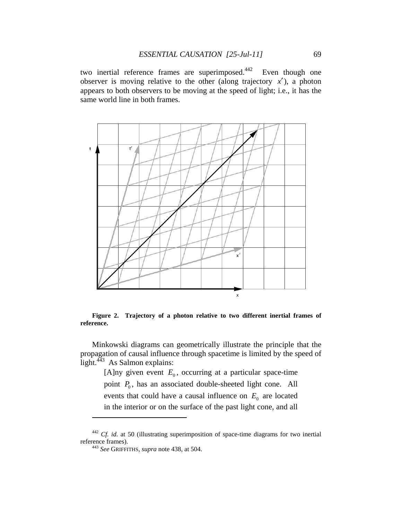two inertial reference frames are superimposed.<sup>442</sup> Even though one observer is moving relative to the other (along trajectory  $x'$ ), a photon appears to both observers to be moving at the speed of light; i.e., it has the same world line in both frames.



**Figure 2. Trajectory of a photon relative to two different inertial frames of reference.** 

Minkowski diagrams can geometrically illustrate the principle that the propagation of causal influence through spacetime is limited by the speed of light. $443$  As Salmon explains:

[A]ny given event  $E_0$ , occurring at a particular space-time point  $P_0$ , has an associated double-sheeted light cone. All events that could have a causal influence on  $E_0$  are located in the interior or on the surface of the past light cone, and all

<sup>442</sup> *Cf. id.* at 50 (illustrating superimposition of space-time diagrams for two inertial reference frames). 443 *See* GRIFFITHS, *supra* note 438, at 504.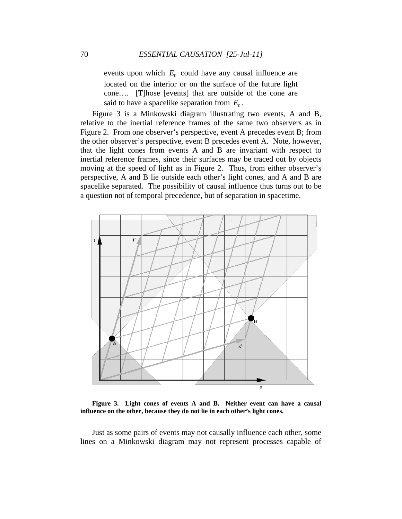events upon which  $E_0$  could have any causal influence are located on the interior or on the surface of the future light cone…. [T]hose [events] that are outside of the cone are said to have a spacelike separation from  $E_0$ .

Figure 3 is a Minkowski diagram illustrating two events, A and B, relative to the inertial reference frames of the same two observers as in Figure 2. From one observer's perspective, event A precedes event B; from the other observer's perspective, event B precedes event A. Note, however, that the light cones from events A and B are invariant with respect to inertial reference frames, since their surfaces may be traced out by objects moving at the speed of light as in Figure 2. Thus, from either observer's perspective, A and B lie outside each other's light cones, and A and B are spacelike separated. The possibility of causal influence thus turns out to be a question not of temporal precedence, but of separation in spacetime.



**Figure 3. Light cones of events A and B. Neither event can have a causal influence on the other, because they do not lie in each other's light cones.** 

Just as some pairs of events may not causally influence each other, some lines on a Minkowski diagram may not represent processes capable of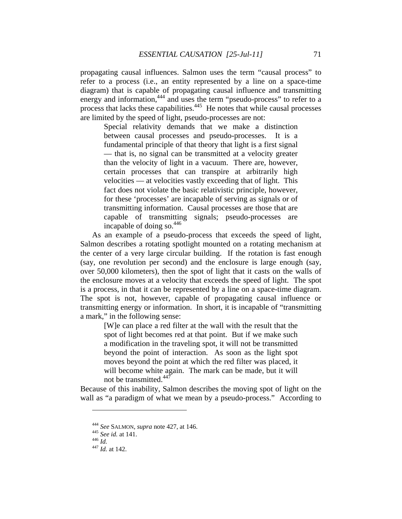propagating causal influences. Salmon uses the term "causal process" to refer to a process (i.e., an entity represented by a line on a space-time diagram) that is capable of propagating causal influence and transmitting energy and information,<sup>444</sup> and uses the term "pseudo-process" to refer to a process that lacks these capabilities.<sup>445</sup> He notes that while causal processes are limited by the speed of light, pseudo-processes are not:

Special relativity demands that we make a distinction between causal processes and pseudo-processes. It is a fundamental principle of that theory that light is a first signal — that is, no signal can be transmitted at a velocity greater than the velocity of light in a vacuum. There are, however, certain processes that can transpire at arbitrarily high velocities — at velocities vastly exceeding that of light. This fact does not violate the basic relativistic principle, however, for these 'processes' are incapable of serving as signals or of transmitting information. Causal processes are those that are capable of transmitting signals; pseudo-processes are incapable of doing so. $446$ 

As an example of a pseudo-process that exceeds the speed of light, Salmon describes a rotating spotlight mounted on a rotating mechanism at the center of a very large circular building. If the rotation is fast enough (say, one revolution per second) and the enclosure is large enough (say, over 50,000 kilometers), then the spot of light that it casts on the walls of the enclosure moves at a velocity that exceeds the speed of light. The spot is a process, in that it can be represented by a line on a space-time diagram. The spot is not, however, capable of propagating causal influence or transmitting energy or information. In short, it is incapable of "transmitting a mark," in the following sense:

[W]e can place a red filter at the wall with the result that the spot of light becomes red at that point. But if we make such a modification in the traveling spot, it will not be transmitted beyond the point of interaction. As soon as the light spot moves beyond the point at which the red filter was placed, it will become white again. The mark can be made, but it will not be transmitted.<sup>447</sup>

Because of this inability, Salmon describes the moving spot of light on the wall as "a paradigm of what we mean by a pseudo-process." According to

<sup>444</sup> *See* SALMON, *supra* note 427, at 146. 445 *See id.* at 141. 446 *Id.* <sup>447</sup> *Id.* at 142.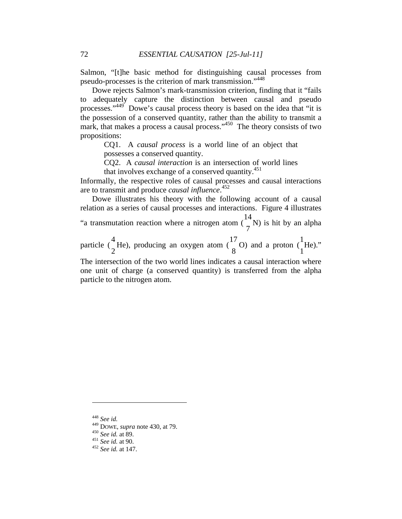Salmon, "[t]he basic method for distinguishing causal processes from pseudo-processes is the criterion of mark transmission."448

Dowe rejects Salmon's mark-transmission criterion, finding that it "fails to adequately capture the distinction between causal and pseudo processes."449 Dowe's causal process theory is based on the idea that "it is the possession of a conserved quantity, rather than the ability to transmit a mark, that makes a process a causal process."<sup>450</sup> The theory consists of two propositions:

CQ1. A *causal process* is a world line of an object that possesses a conserved quantity.

CQ2. A *causal interaction* is an intersection of world lines

that involves exchange of a conserved quantity. $451$ 

Informally, the respective roles of causal processes and causal interactions are to transmit and produce *causal influence*. 452

Dowe illustrates his theory with the following account of a causal relation as a series of causal processes and interactions. Figure 4 illustrates

"a transmutation reaction where a nitrogen atom  $\begin{pmatrix} 7 \\ 7 \end{pmatrix}$ 14 N) is hit by an alpha

particle  $\binom{1}{2}$ 4 He), producing an oxygen atom  $\binom{8}{8}$ 17 O) and a proton  $\begin{pmatrix} 1 \end{pmatrix}$ 1  $He)$ ."

The intersection of the two world lines indicates a causal interaction where one unit of charge (a conserved quantity) is transferred from the alpha particle to the nitrogen atom.

<sup>448</sup> *See id.*

<sup>449</sup> DOWE, *supra* note 430, at 79. 450 *See id.* at 89. 451 *See id.* at 90. 452 *See id.* at 147.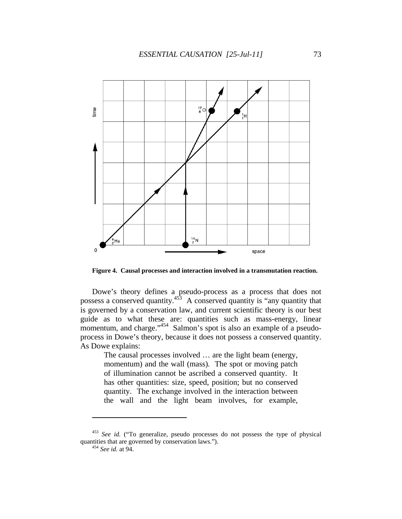

**Figure 4. Causal processes and interaction involved in a transmutation reaction.** 

Dowe's theory defines a pseudo-process as a process that does not possess a conserved quantity.<sup>453</sup> A conserved quantity is "any quantity that is governed by a conservation law, and current scientific theory is our best guide as to what these are: quantities such as mass-energy, linear momentum, and charge."<sup>454</sup> Salmon's spot is also an example of a pseudoprocess in Dowe's theory, because it does not possess a conserved quantity. As Dowe explains:

The causal processes involved … are the light beam (energy, momentum) and the wall (mass). The spot or moving patch of illumination cannot be ascribed a conserved quantity. It has other quantities: size, speed, position; but no conserved quantity. The exchange involved in the interaction between the wall and the light beam involves, for example,

<sup>453</sup> *See id.* ("To generalize, pseudo processes do not possess the type of physical quantities that are governed by conservation laws."). 454 *See id.* at 94.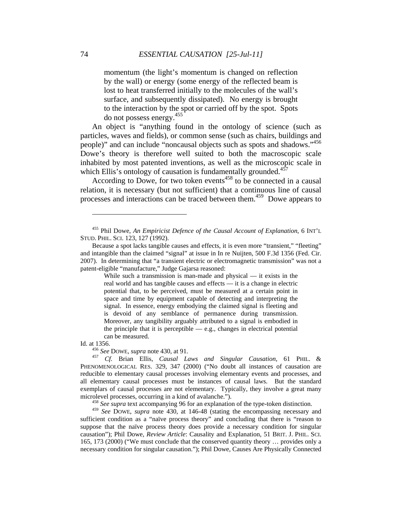momentum (the light's momentum is changed on reflection by the wall) or energy (some energy of the reflected beam is lost to heat transferred initially to the molecules of the wall's surface, and subsequently dissipated). No energy is brought to the interaction by the spot or carried off by the spot. Spots do not possess energy.455

An object is "anything found in the ontology of science (such as particles, waves and fields), or common sense (such as chairs, buildings and people)" and can include "noncausal objects such as spots and shadows."<sup>456</sup> Dowe's theory is therefore well suited to both the macroscopic scale inhabited by most patented inventions, as well as the microscopic scale in which Ellis's ontology of causation is fundamentally grounded.<sup>45</sup>

According to Dowe, for two token events<sup> $458$ </sup> to be connected in a causal relation, it is necessary (but not sufficient) that a continuous line of causal processes and interactions can be traced between them.459 Dowe appears to

While such a transmission is man-made and physical — it exists in the real world and has tangible causes and effects — it is a change in electric potential that, to be perceived, must be measured at a certain point in space and time by equipment capable of detecting and interpreting the signal. In essence, energy embodying the claimed signal is fleeting and is devoid of any semblance of permanence during transmission. Moreover, any tangibility arguably attributed to a signal is embodied in the principle that it is perceptible  $-$  e.g., changes in electrical potential can be measured.

 $\overline{a}$ 

Id. at 1356. 456 *See* DOWE, *supra* note 430, at 91. 457 *Cf.* Brian Ellis, *Causal Laws and Singular Causation*, 61 PHIL. & PHENOMENOLOGICAL RES. 329, 347 (2000) ("No doubt all instances of causation are reducible to elementary causal processes involving elementary events and processes, and all elementary causal processes must be instances of causal laws. But the standard exemplars of causal processes are not elementary. Typically, they involve a great many microlevel processes, occurring in a kind of avalanche.").<br><sup>458</sup> *See supra* text accompanying 96 for an explanation of the type-token distinction.

<sup>459</sup> *See* DOWE, *supra* note 430, at 146-48 (stating the encompassing necessary and sufficient condition as a "naïve process theory" and concluding that there is "reason to suppose that the naïve process theory does provide a necessary condition for singular causation"); Phil Dowe, *Review Article*: Causality and Explanation, 51 BRIT. J. PHIL. SCI. 165, 173 (2000) ("We must conclude that the conserved quantity theory … provides only a necessary condition for singular causation."); Phil Dowe, Causes Are Physically Connected

<sup>455</sup> Phil Dowe, *An Empiricist Defence of the Causal Account of Explanation*, 6 INT'L STUD. PHIL. SCI. 123, 127 (1992).

Because a spot lacks tangible causes and effects, it is even more "transient," "fleeting" and intangible than the claimed "signal" at issue in In re Nuijten, 500 F.3d 1356 (Fed. Cir. 2007). In determining that "a transient electric or electromagnetic transmission" was not a patent-eligible "manufacture," Judge Gajarsa reasoned: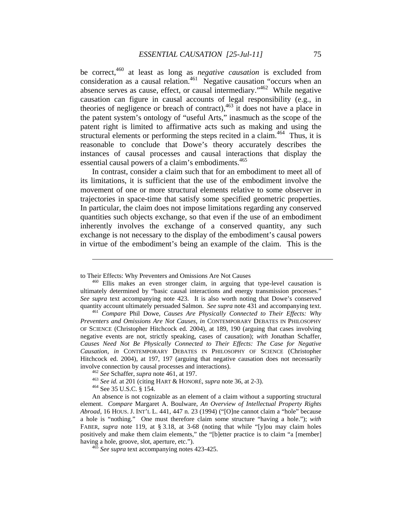be correct,<sup>460</sup> at least as long as *negative causation* is excluded from consideration as a causal relation.<sup>461</sup> Negative causation "occurs when an absence serves as cause, effect, or causal intermediary."462 While negative causation can figure in causal accounts of legal responsibility (e.g., in theories of negligence or breach of contract), $463$  it does not have a place in the patent system's ontology of "useful Arts," inasmuch as the scope of the patent right is limited to affirmative acts such as making and using the structural elements or performing the steps recited in a claim.<sup>464</sup> Thus, it is reasonable to conclude that Dowe's theory accurately describes the instances of causal processes and causal interactions that display the essential causal powers of a claim's embodiments.<sup>465</sup>

In contrast, consider a claim such that for an embodiment to meet all of its limitations, it is sufficient that the use of the embodiment involve the movement of one or more structural elements relative to some observer in trajectories in space-time that satisfy some specified geometric properties. In particular, the claim does not impose limitations regarding any conserved quantities such objects exchange, so that even if the use of an embodiment inherently involves the exchange of a conserved quantity, any such exchange is not necessary to the display of the embodiment's causal powers in virtue of the embodiment's being an example of the claim. This is the

to Their Effects: Why Preventers and Omissions Are Not Causes<br><sup>460</sup> Ellis makes an even stronger claim, in arguing that type-level causation is ultimately determined by "basic causal interactions and energy transmission processes." *See supra* text accompanying note 423. It is also worth noting that Dowe's conserved quantity account ultimately persuaded Salmon. *See supra* note 431 and accompanying text. 461 *Compare* Phil Dowe, *Causes Are Physically Connected to Their Effects: Why* 

*Preventers and Omissions Are Not Causes*, *in* CONTEMPORARY DEBATES IN PHILOSOPHY OF SCIENCE (Christopher Hitchcock ed. 2004), at 189, 190 (arguing that cases involving negative events are not, strictly speaking, cases of causation); *with* Jonathan Schaffer, *Causes Need Not Be Physically Connected to Their Effects: The Case for Negative Causation*, *in* CONTEMPORARY DEBATES IN PHILOSOPHY OF SCIENCE (Christopher Hitchcock ed. 2004), at 197, 197 (arguing that negative causation does not necessarily involve connection by causal processes and interactions). 462 *See* Schaffer, *supra* note 461, at 197. 463 *See id.* at 201 (citing HART & HONORÉ, *supra* note 36, at 2-3). 464 See 35 U.S.C. § 154.

An absence is not cognizable as an element of a claim without a supporting structural element. *Compare* Margaret A. Boulware, *An Overview of Intellectual Property Rights Abroad*, 16 HOUS. J. INT'L L. 441, 447 n. 23 (1994) ("[O]ne cannot claim a "hole" because a hole is "nothing." One must therefore claim some structure "having a hole."); *with* FABER, *supra* note 119, at § 3.18, at 3-68 (noting that while "[y]ou may claim holes positively and make them claim elements," the "[b]etter practice is to claim "a [member] having a hole, groove, slot, aperture, etc.").

<sup>&</sup>lt;sup>465</sup> See supra text accompanying notes 423-425.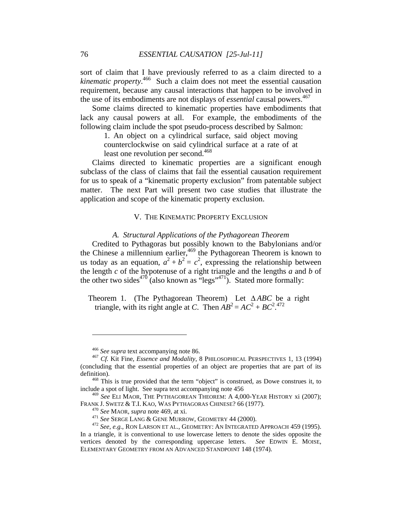sort of claim that I have previously referred to as a claim directed to a *kinematic property*. 466 Such a claim does not meet the essential causation requirement, because any causal interactions that happen to be involved in the use of its embodiments are not displays of *essential* causal powers.<sup>467</sup>

Some claims directed to kinematic properties have embodiments that lack any causal powers at all. For example, the embodiments of the following claim include the spot pseudo-process described by Salmon:

1. An object on a cylindrical surface, said object moving counterclockwise on said cylindrical surface at a rate of at least one revolution per second.<sup>468</sup>

Claims directed to kinematic properties are a significant enough subclass of the class of claims that fail the essential causation requirement for us to speak of a "kinematic property exclusion" from patentable subject matter. The next Part will present two case studies that illustrate the application and scope of the kinematic property exclusion.

## V. THE KINEMATIC PROPERTY EXCLUSION

## *A. Structural Applications of the Pythagorean Theorem*

Credited to Pythagoras but possibly known to the Babylonians and/or the Chinese a millennium earlier,<sup>469</sup> the Pythagorean Theorem is known to us today as an equation,  $a^2 + b^2 = c^2$ , expressing the relationship between the length *c* of the hypotenuse of a right triangle and the lengths *a* and *b* of the other two sides<sup>470</sup> (also known as "legs"<sup>471</sup>). Stated more formally:

Theorem 1. (The Pythagorean Theorem) Let Δ *ABC* be a right triangle, with its right angle at *C*. Then  $AB^2 = AC^2 + BC^2$ .

<sup>466</sup> *See supra* text accompanying note 86. 467 *Cf.* Kit Fine, *Essence and Modality*, 8 PHILOSOPHICAL PERSPECTIVES 1, 13 (1994) (concluding that the essential properties of an object are properties that are part of its definition). 468 This is true provided that the term "object" is construed, as Dowe construes it, to

include a spot of light. See supra text accompanying note 456

<sup>469</sup> *See* ELI MAOR, THE PYTHAGOREAN THEOREM: A 4,000-YEAR HISTORY xi (2007); FRANK J. SWETZ & T.I. KAO, WAS PYTHAGORAS CHINESE? 66 (1977).<br><sup>470</sup> *See* MAOR, *supra* note 469, at xi.<br><sup>471</sup> *See* SERGE LANG & GENE MURROW, GEOMETRY 44 (2000).<br><sup>472</sup> *See, e.g.*, RON LARSON ET AL., GEOMETRY: AN INTEGRA

In a triangle, it is conventional to use lowercase letters to denote the sides opposite the vertices denoted by the corresponding uppercase letters. *See* EDWIN E. MOISE, ELEMENTARY GEOMETRY FROM AN ADVANCED STANDPOINT 148 (1974).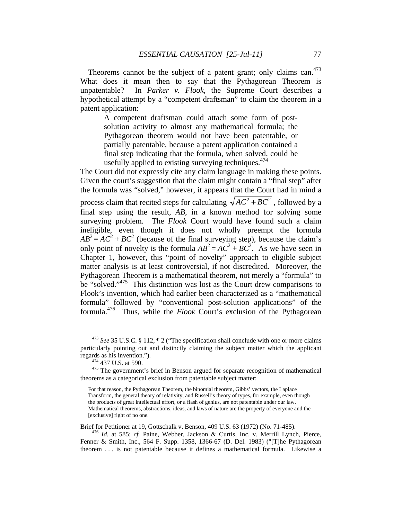Theorems cannot be the subject of a patent grant; only claims can. $473$ What does it mean then to say that the Pythagorean Theorem is unpatentable? In *Parker v. Flook*, the Supreme Court describes a hypothetical attempt by a "competent draftsman" to claim the theorem in a patent application:

A competent draftsman could attach some form of postsolution activity to almost any mathematical formula; the Pythagorean theorem would not have been patentable, or partially patentable, because a patent application contained a final step indicating that the formula, when solved, could be usefully applied to existing surveying techniques.  $474$ 

The Court did not expressly cite any claim language in making these points. Given the court's suggestion that the claim might contain a "final step" after the formula was "solved," however, it appears that the Court had in mind a process claim that recited steps for calculating  $\sqrt{AC^2 + BC^2}$ , followed by a final step using the result, *AB*, in a known method for solving some surveying problem. The *Flook* Court would have found such a claim ineligible, even though it does not wholly preempt the formula  $AB^2 = AC^2 + BC^2$  (because of the final surveying step), because the claim's only point of novelty is the formula  $AB^2 = AC^2 + BC^2$ . As we have seen in Chapter 1, however, this "point of novelty" approach to eligible subject matter analysis is at least controversial, if not discredited. Moreover, the Pythagorean Theorem is a mathematical theorem, not merely a "formula" to be "solved."<sup>475</sup> This distinction was lost as the Court drew comparisons to Flook's invention, which had earlier been characterized as a "mathematical formula" followed by "conventional post-solution applications" of the formula.476 Thus, while the *Flook* Court's exclusion of the Pythagorean

Brief for Petitioner at 19, Gottschalk v. Benson, 409 U.S. 63 (1972) (No. 71-485).<br><sup>476</sup> *Id.* at 585; *cf.* Paine, Webber, Jackson & Curtis, Inc. v. Merrill Lynch, Pierce,

<sup>473</sup> *See* 35 U.S.C. § 112, ¶ 2 ("The specification shall conclude with one or more claims particularly pointing out and distinctly claiming the subject matter which the applicant regards as his invention.").<br><sup>474</sup> 437 U.S. at 590.<br><sup>475</sup> The government's brief in Benson argued for separate recognition of mathematical

theorems as a categorical exclusion from patentable subject matter:

For that reason, the Pythagorean Theorem, the binomial theorem, Gibbs' vectors, the Laplace Transform, the general theory of relativity, and Russell's theory of types, for example, even though the products of great intellectual effort, or a flash of genius, are not patentable under our law. Mathematical theorems, abstractions, ideas, and laws of nature are the property of everyone and the [exclusive] right of no one.

Fenner & Smith, Inc., 564 F. Supp. 1358, 1366-67 (D. Del. 1983) ("[T]he Pythagorean theorem . . . is not patentable because it defines a mathematical formula. Likewise a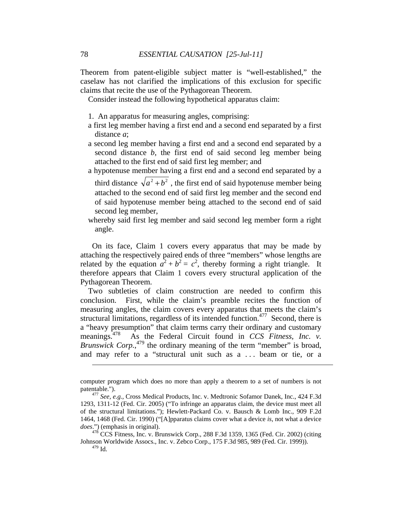Theorem from patent-eligible subject matter is "well-established," the caselaw has not clarified the implications of this exclusion for specific claims that recite the use of the Pythagorean Theorem.

Consider instead the following hypothetical apparatus claim:

- 1. An apparatus for measuring angles, comprising:
- a first leg member having a first end and a second end separated by a first distance *a*;
- a second leg member having a first end and a second end separated by a second distance *b*, the first end of said second leg member being attached to the first end of said first leg member; and
- a hypotenuse member having a first end and a second end separated by a third distance  $\sqrt{a^2 + b^2}$ , the first end of said hypotenuse member being attached to the second end of said first leg member and the second end of said hypotenuse member being attached to the second end of said second leg member,
- whereby said first leg member and said second leg member form a right angle.

On its face, Claim 1 covers every apparatus that may be made by attaching the respectively paired ends of three "members" whose lengths are related by the equation  $a^2 + b^2 = c^2$ , thereby forming a right triangle. It therefore appears that Claim 1 covers every structural application of the Pythagorean Theorem.

Two subtleties of claim construction are needed to confirm this conclusion. First, while the claim's preamble recites the function of measuring angles, the claim covers every apparatus that meets the claim's structural limitations, regardless of its intended function.<sup>477</sup> Second, there is a "heavy presumption" that claim terms carry their ordinary and customary meanings.  $478$  As the Federal Circuit found in CCS Fitness, Inc. v. As the Federal Circuit found in *CCS Fitness, Inc. v.* Brunswick Corp.<sup>479</sup> the ordinary meaning of the term "member" is broad, and may refer to a "structural unit such as a . . . beam or tie, or a

computer program which does no more than apply a theorem to a set of numbers is not patentable."). 477 *See, e.g.*, Cross Medical Products, Inc. v. Medtronic Sofamor Danek, Inc., 424 F.3d

<sup>1293, 1311-12 (</sup>Fed. Cir. 2005) ("To infringe an apparatus claim, the device must meet all of the structural limitations."); Hewlett-Packard Co. v. Bausch & Lomb Inc., 909 F.2d 1464, 1468 (Fed. Cir. 1990) ("[A]pparatus claims cover what a device *is*, not what a device *does*.") (emphasis in original).

<sup>478</sup> CCS Fitness, Inc. v. Brunswick Corp., 288 F.3d 1359, 1365 (Fed. Cir. 2002) (citing Johnson Worldwide Assocs., Inc. v. Zebco Corp., 175 F.3d 985, 989 (Fed. Cir. 1999)). 479 Id.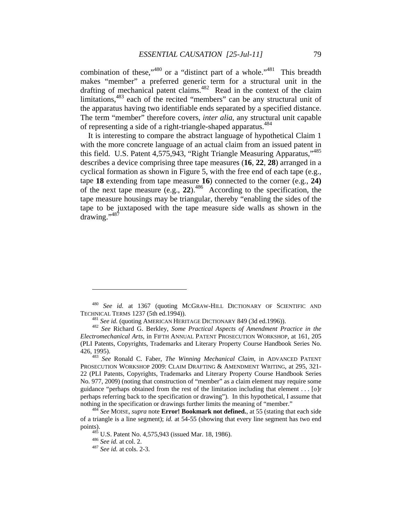combination of these," $480$  or a "distinct part of a whole." $481$  This breadth makes "member" a preferred generic term for a structural unit in the drafting of mechanical patent claims.<sup>482</sup> Read in the context of the claim limitations,483 each of the recited "members" can be any structural unit of the apparatus having two identifiable ends separated by a specified distance. The term "member" therefore covers, *inter alia*, any structural unit capable of representing a side of a right-triangle-shaped apparatus.<sup>484</sup>

It is interesting to compare the abstract language of hypothetical Claim 1 with the more concrete language of an actual claim from an issued patent in this field. U.S. Patent 4,575,943, "Right Triangle Measuring Apparatus,"<sup>485</sup> describes a device comprising three tape measures (**16**, **22**, **28**) arranged in a cyclical formation as shown in Figure 5, with the free end of each tape (e.g., tape **18** extending from tape measure **16**) connected to the corner (e.g., **24)** of the next tape measure (e.g., **22**).486 According to the specification, the tape measure housings may be triangular, thereby "enabling the sides of the tape to be juxtaposed with the tape measure side walls as shown in the drawing."<sup>487</sup>

<sup>480</sup> *See id.* at 1367 (quoting MCGRAW-HILL DICTIONARY OF SCIENTIFIC AND TECHNICAL TERMS 1237 (5th ed.1994)).<br><sup>481</sup> *See id.* (quoting AMERICAN HERITAGE DICTIONARY 849 (3d ed.1996)).<br><sup>482</sup> *See* Richard G. Berkley, *Some Practical Aspects of Amendment Practice in the* 

*Electromechanical Arts*, in FIFTH ANNUAL PATENT PROSECUTION WORKSHOP, at 161, 205 (PLI Patents, Copyrights, Trademarks and Literary Property Course Handbook Series No. 426, 1995). 483 *See* Ronald C. Faber, *The Winning Mechanical Claim*, in ADVANCED PATENT

PROSECUTION WORKSHOP 2009: CLAIM DRAFTING & AMENDMENT WRITING, at 295, 321- 22 (PLI Patents, Copyrights, Trademarks and Literary Property Course Handbook Series No. 977, 2009) (noting that construction of "member" as a claim element may require some guidance "perhaps obtained from the rest of the limitation including that element . . . [o]r perhaps referring back to the specification or drawing"). In this hypothetical, I assume that

<sup>&</sup>lt;sup>484</sup> See MOISE, *supra* note **Error! Bookmark not defined.**, at 55 (stating that each side of a triangle is a line segment); *id.* at 54-55 (showing that every line segment has two end points).<br><sup>485</sup> U.S. Patent No. 4,575,943 (issued Mar. 18, 1986).<br><sup>486</sup> *See id.* at col. 2.<br><sup>487</sup> *See id.* at cols. 2-3.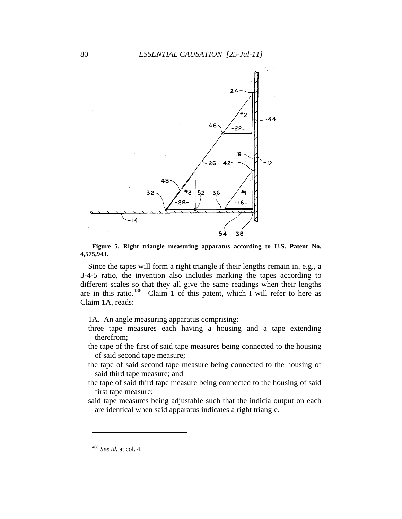

**Figure 5. Right triangle measuring apparatus according to U.S. Patent No. 4,575,943.** 

Since the tapes will form a right triangle if their lengths remain in, e.g., a 3-4-5 ratio, the invention also includes marking the tapes according to different scales so that they all give the same readings when their lengths are in this ratio.<sup>488</sup> Claim 1 of this patent, which I will refer to here as Claim 1A, reads:

- 1A. An angle measuring apparatus comprising:
- three tape measures each having a housing and a tape extending therefrom;
- the tape of the first of said tape measures being connected to the housing of said second tape measure;
- the tape of said second tape measure being connected to the housing of said third tape measure; and
- the tape of said third tape measure being connected to the housing of said first tape measure;
- said tape measures being adjustable such that the indicia output on each are identical when said apparatus indicates a right triangle.

<sup>488</sup> *See id.* at col. 4.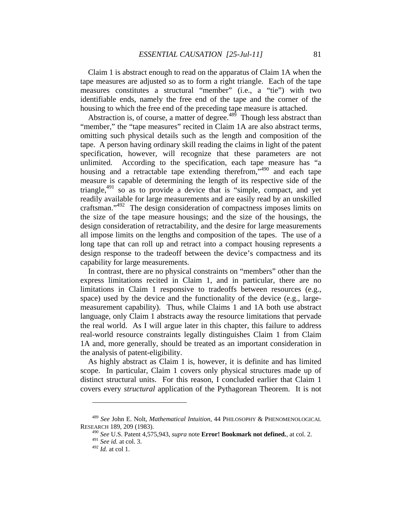Claim 1 is abstract enough to read on the apparatus of Claim 1A when the tape measures are adjusted so as to form a right triangle. Each of the tape measures constitutes a structural "member" (i.e., a "tie") with two identifiable ends, namely the free end of the tape and the corner of the housing to which the free end of the preceding tape measure is attached.

Abstraction is, of course, a matter of degree.<sup>489</sup> Though less abstract than "member," the "tape measures" recited in Claim 1A are also abstract terms, omitting such physical details such as the length and composition of the tape. A person having ordinary skill reading the claims in light of the patent specification, however, will recognize that these parameters are not unlimited. According to the specification, each tape measure has "a housing and a retractable tape extending therefrom,<sup>1490</sup> and each tape measure is capable of determining the length of its respective side of the triangle, $491$  so as to provide a device that is "simple, compact, and yet readily available for large measurements and are easily read by an unskilled craftsman."492 The design consideration of compactness imposes limits on the size of the tape measure housings; and the size of the housings, the design consideration of retractability, and the desire for large measurements all impose limits on the lengths and composition of the tapes. The use of a long tape that can roll up and retract into a compact housing represents a design response to the tradeoff between the device's compactness and its capability for large measurements.

In contrast, there are no physical constraints on "members" other than the express limitations recited in Claim 1, and in particular, there are no limitations in Claim 1 responsive to tradeoffs between resources (e.g., space) used by the device and the functionality of the device (e.g., largemeasurement capability). Thus, while Claims 1 and 1A both use abstract language, only Claim 1 abstracts away the resource limitations that pervade the real world. As I will argue later in this chapter, this failure to address real-world resource constraints legally distinguishes Claim 1 from Claim 1A and, more generally, should be treated as an important consideration in the analysis of patent-eligibility.

As highly abstract as Claim 1 is, however, it is definite and has limited scope. In particular, Claim 1 covers only physical structures made up of distinct structural units. For this reason, I concluded earlier that Claim 1 covers every *structural* application of the Pythagorean Theorem. It is not

<sup>489</sup> *See* John E. Nolt, *Mathematical Intuition*, 44 PHILOSOPHY & PHENOMENOLOGICAL RESEARCH 189, 209 (1983).

<sup>490</sup> *See* U.S. Patent 4,575,943, *supra* note **Error! Bookmark not defined.**, at col. 2.

<sup>491</sup> *See id.* at col. 3.

 $492$  *Id.* at col 1.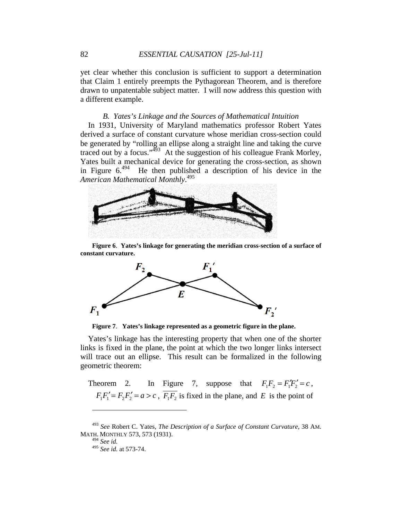yet clear whether this conclusion is sufficient to support a determination that Claim 1 entirely preempts the Pythagorean Theorem, and is therefore drawn to unpatentable subject matter. I will now address this question with a different example.

## *B. Yates's Linkage and the Sources of Mathematical Intuition*

In 1931, University of Maryland mathematics professor Robert Yates derived a surface of constant curvature whose meridian cross-section could be generated by "rolling an ellipse along a straight line and taking the curve traced out by a focus."<sup>493</sup> At the suggestion of his colleague Frank Morley, Yates built a mechanical device for generating the cross-section, as shown in Figure  $6.494$  He then published a description of his device in the *American Mathematical Monthly*. 495



**Figure 6**. **Yates's linkage for generating the meridian cross-section of a surface of constant curvature.** 



**Figure 7**. **Yates's linkage represented as a geometric figure in the plane.** 

Yates's linkage has the interesting property that when one of the shorter links is fixed in the plane, the point at which the two longer links intersect will trace out an ellipse. This result can be formalized in the following geometric theorem:

Theorem 2. In Figure 7, suppose that  $F_1F_2 = F_1'F_2' = c$ ,  $F_1F_1' = F_2F_2' = a > c$ ,  $\overline{F_1F_2}$  is fixed in the plane, and *E* is the point of

<sup>493</sup> *See* Robert C. Yates, *The Description of a Surface of Constant Curvature*, 38 AM. MATH. MONTHLY 573, 573 (1931).

<sup>494</sup> *See id.*

<sup>495</sup> *See id.* at 573-74.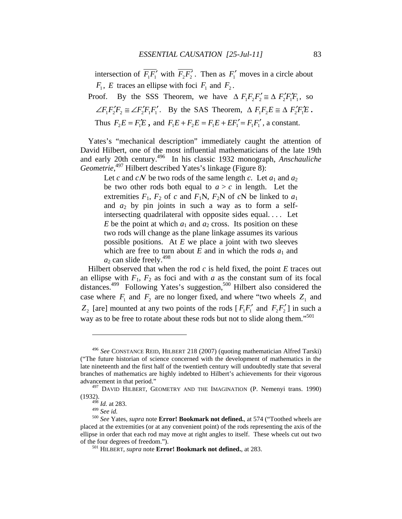intersection of  $F_1F_1'$  with  $F_2F_2'$ . Then as  $F_1'$  moves in a circle about  $F_1$ , *E* traces an ellipse with foci  $F_1$  and  $F_2$ .

Proof. By the SSS Theorem, we have  $\Delta F_1 F_2 F_2' \cong \Delta F_2' F_1' F_1$ , so  $\angle F_1 F_2' F_2 \cong \angle F_2' F_1 F_1'$ . By the SAS Theorem,  $\Delta F_1 F_2 E \cong \Delta F_2' F_1' E$ . Thus  $F_2E = F_1'E$ , and  $F_1E + F_2E = F_1E + EF_1' = F_1F_1'$ , a constant.

Yates's "mechanical description" immediately caught the attention of David Hilbert, one of the most influential mathematicians of the late 19th and early 20th century.496 In his classic 1932 monograph, *Anschauliche*  Geometrie,<sup>497</sup> Hilbert described Yates's linkage (Figure 8):

Let *c* and *cN* be two rods of the same length *c*. Let  $a_1$  and  $a_2$ be two other rods both equal to  $a > c$  in length. Let the extremities  $F_1$ ,  $F_2$  of *c* and  $F_1$ N,  $F_2$ N of *c*N be linked to  $a_1$ and *a*2 by pin joints in such a way as to form a selfintersecting quadrilateral with opposite sides equal. . . . Let  $E$  be the point at which  $a_1$  and  $a_2$  cross. Its position on these two rods will change as the plane linkage assumes its various possible positions. At *E* we place a joint with two sleeves which are free to turn about  $E$  and in which the rods  $a_1$  and  $a_2$  can slide freely.<sup>498</sup>

Hilbert observed that when the rod *c* is held fixed, the point *E* traces out an ellipse with  $F_1$ ,  $F_2$  as foci and with  $a$  as the constant sum of its focal distances.<sup>499</sup> Following Yates's suggestion,<sup>500</sup> Hilbert also considered the case where  $F_1$  and  $F_2$  are no longer fixed, and where "two wheels  $Z_1$  and  $Z_2$  [are] mounted at any two points of the rods  $[F_1F'_1$  and  $F_2F'_2$ ] in such a way as to be free to rotate about these rods but not to slide along them."<sup>501</sup>

<sup>496</sup> *See* CONSTANCE REID, HILBERT 218 (2007) (quoting mathematician Alfred Tarski) ("The future historian of science concerned with the development of mathematics in the late nineteenth and the first half of the twentieth century will undoubtedly state that several branches of mathematics are highly indebted to Hilbert's achievements for their vigorous advancement in that period."

<sup>&</sup>lt;sup>497</sup> DAVID HILBERT, GEOMETRY AND THE IMAGINATION (P. Nemenyi trans. 1990) (1932).

<sup>498</sup> *Id.* at 283.

<sup>499</sup> *See id.* <sup>500</sup> *See* Yates, *supra* note **Error! Bookmark not defined.**, at 574 ("Toothed wheels are placed at the extremities (or at any convenient point) of the rods representing the axis of the ellipse in order that each rod may move at right angles to itself. These wheels cut out two of the four degrees of freedom."). 501 HILBERT, *supra* note **Error! Bookmark not defined.**, at 283.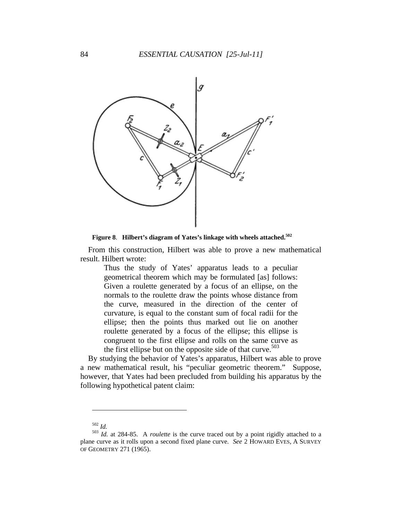

Figure 8. Hilbert's diagram of Yates's linkage with wheels attached.<sup>502</sup>

From this construction, Hilbert was able to prove a new mathematical result. Hilbert wrote:

Thus the study of Yates' apparatus leads to a peculiar geometrical theorem which may be formulated [as] follows: Given a roulette generated by a focus of an ellipse, on the normals to the roulette draw the points whose distance from the curve, measured in the direction of the center of curvature, is equal to the constant sum of focal radii for the ellipse; then the points thus marked out lie on another roulette generated by a focus of the ellipse; this ellipse is congruent to the first ellipse and rolls on the same curve as the first ellipse but on the opposite side of that curve. $503$ 

By studying the behavior of Yates's apparatus, Hilbert was able to prove a new mathematical result, his "peculiar geometric theorem." Suppose, however, that Yates had been precluded from building his apparatus by the following hypothetical patent claim:

<sup>502</sup> *Id.* <sup>503</sup> *Id.* at 284-85. A *roulette* is the curve traced out by a point rigidly attached to a plane curve as it rolls upon a second fixed plane curve. *See* 2 HOWARD EVES, A SURVEY OF GEOMETRY 271 (1965).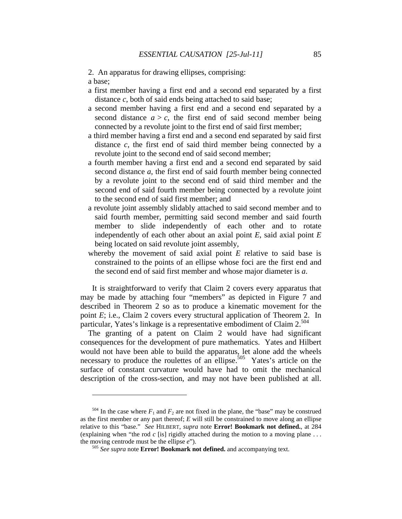2. An apparatus for drawing ellipses, comprising: a base;

- a first member having a first end and a second end separated by a first distance *c*, both of said ends being attached to said base;
- a second member having a first end and a second end separated by a second distance  $a > c$ , the first end of said second member being connected by a revolute joint to the first end of said first member;
- a third member having a first end and a second end separated by said first distance *c*, the first end of said third member being connected by a revolute joint to the second end of said second member;
- a fourth member having a first end and a second end separated by said second distance *a*, the first end of said fourth member being connected by a revolute joint to the second end of said third member and the second end of said fourth member being connected by a revolute joint to the second end of said first member; and
- a revolute joint assembly slidably attached to said second member and to said fourth member, permitting said second member and said fourth member to slide independently of each other and to rotate independently of each other about an axial point *E*, said axial point *E* being located on said revolute joint assembly,
- whereby the movement of said axial point *E* relative to said base is constrained to the points of an ellipse whose foci are the first end and the second end of said first member and whose major diameter is *a*.

It is straightforward to verify that Claim 2 covers every apparatus that may be made by attaching four "members" as depicted in Figure 7 and described in Theorem 2 so as to produce a kinematic movement for the point *E*; i.e., Claim 2 covers every structural application of Theorem 2. In particular, Yates's linkage is a representative embodiment of Claim  $2.504$ 

The granting of a patent on Claim 2 would have had significant consequences for the development of pure mathematics. Yates and Hilbert would not have been able to build the apparatus, let alone add the wheels necessary to produce the roulettes of an ellipse.<sup>505</sup> Yates's article on the surface of constant curvature would have had to omit the mechanical description of the cross-section, and may not have been published at all.

<sup>&</sup>lt;sup>504</sup> In the case where  $F_1$  and  $F_2$  are not fixed in the plane, the "base" may be construed as the first member or any part thereof; *E* will still be constrained to move along an ellipse relative to this "base." *See* HILBERT, *supra* note **Error! Bookmark not defined.**, at 284 (explaining when "the rod  $c$  [is] rigidly attached during the motion to a moving plane ... the moving centrode must be the ellipse *e*"). 505 *See supra* note **Error! Bookmark not defined.** and accompanying text.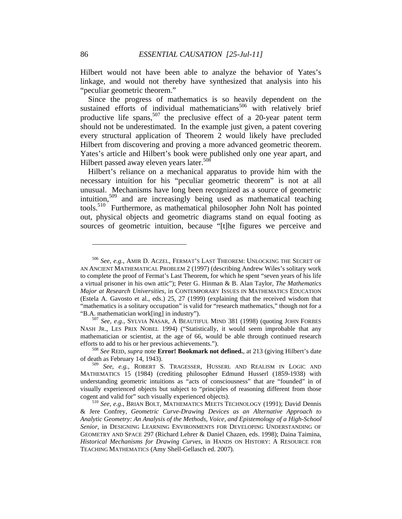Hilbert would not have been able to analyze the behavior of Yates's linkage, and would not thereby have synthesized that analysis into his "peculiar geometric theorem."

Since the progress of mathematics is so heavily dependent on the sustained efforts of individual mathematicians<sup>506</sup> with relatively brief productive life spans,  $507$  the preclusive effect of a 20-year patent term should not be underestimated. In the example just given, a patent covering every structural application of Theorem 2 would likely have precluded Hilbert from discovering and proving a more advanced geometric theorem. Yates's article and Hilbert's book were published only one year apart, and Hilbert passed away eleven years later.<sup>508</sup>

Hilbert's reliance on a mechanical apparatus to provide him with the necessary intuition for his "peculiar geometric theorem" is not at all unusual. Mechanisms have long been recognized as a source of geometric intuition,509 and are increasingly being used as mathematical teaching tools.510 Furthermore, as mathematical philosopher John Nolt has pointed out, physical objects and geometric diagrams stand on equal footing as sources of geometric intuition, because "[t]he figures we perceive and

<sup>506</sup> *See, e.g.*, AMIR D. ACZEL, FERMAT'S LAST THEOREM: UNLOCKING THE SECRET OF AN ANCIENT MATHEMATICAL PROBLEM 2 (1997) (describing Andrew Wiles's solitary work to complete the proof of Fermat's Last Theorem, for which he spent "seven years of his life a virtual prisoner in his own attic"); Peter G. Hinman & B. Alan Taylor, *The Mathematics Major at Research Universities*, in CONTEMPORARY ISSUES IN MATHEMATICS EDUCATION (Estela A. Gavosto et al., eds.) 25, 27 (1999) (explaining that the received wisdom that "mathematics is a solitary occupation" is valid for "research mathematics," though not for a "B.A. mathematician work[ing] in industry"). 507 *See, e.g.*, SYLVIA NASAR, A BEAUTIFUL MIND 381 (1998) (quoting JOHN FORBES

NASH JR., LES PRIX NOBEL 1994) ("Statistically, it would seem improbable that any mathematician or scientist, at the age of 66, would be able through continued research efforts to add to his or her previous achievements."). 508 *See* REID, *supra* note **Error! Bookmark not defined.**, at 213 (giving Hilbert's date

of death as February 14, 1943).

<sup>509</sup> *See, e.g.*, ROBERT S. TRAGESSER, HUSSERL AND REALISM IN LOGIC AND MATHEMATICS 15 (1984) (crediting philosopher Edmund Husserl (1859-1938) with understanding geometric intuitions as "acts of consciousness" that are "founded" in of visually experienced objects but subject to "principles of reasoning different from those cogent and valid for" such visually experienced objects). 510 *See, e.g.*, BRIAN BOLT, MATHEMATICS MEETS TECHNOLOGY (1991); David Dennis

<sup>&</sup>amp; Jere Confrey, *Geometric Curve-Drawing Devices as an Alternative Approach to Analytic Geometry: An Analysis of the Methods, Voice, and Epistemology of a High-School Senior*, in DESIGNING LEARNING ENVIRONMENTS FOR DEVELOPING UNDERSTANDING OF GEOMETRY AND SPACE 297 (Richard Lehrer & Daniel Chazen, eds. 1998); Daina Taimina, *Historical Mechanisms for Drawing Curves*, in HANDS ON HISTORY: A RESOURCE FOR TEACHING MATHEMATICS (Amy Shell-Gellasch ed. 2007).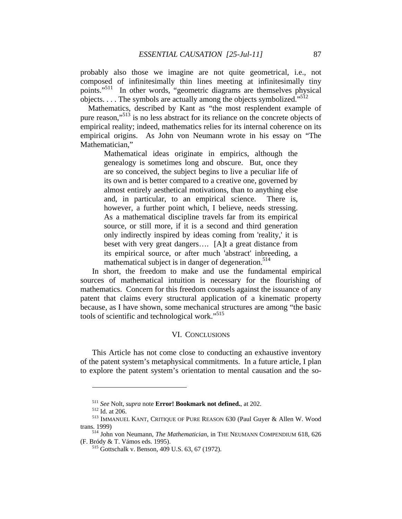probably also those we imagine are not quite geometrical, i.e., not composed of infinitesimally thin lines meeting at infinitesimally tiny points."511 In other words, "geometric diagrams are themselves physical objects.... The symbols are actually among the objects symbolized."<sup>512</sup>

Mathematics, described by Kant as "the most resplendent example of pure reason,"513 is no less abstract for its reliance on the concrete objects of empirical reality; indeed, mathematics relies for its internal coherence on its empirical origins. As John von Neumann wrote in his essay on "The Mathematician,"

Mathematical ideas originate in empirics, although the genealogy is sometimes long and obscure. But, once they are so conceived, the subject begins to live a peculiar life of its own and is better compared to a creative one, governed by almost entirely aesthetical motivations, than to anything else and, in particular, to an empirical science. There is, however, a further point which, I believe, needs stressing. As a mathematical discipline travels far from its empirical source, or still more, if it is a second and third generation only indirectly inspired by ideas coming from 'reality,' it is beset with very great dangers…. [A]t a great distance from its empirical source, or after much 'abstract' inbreeding, a mathematical subject is in danger of degeneration.<sup>514</sup>

In short, the freedom to make and use the fundamental empirical sources of mathematical intuition is necessary for the flourishing of mathematics. Concern for this freedom counsels against the issuance of any patent that claims every structural application of a kinematic property because, as I have shown, some mechanical structures are among "the basic tools of scientific and technological work."<sup>515</sup>

## VI. CONCLUSIONS

This Article has not come close to conducting an exhaustive inventory of the patent system's metaphysical commitments. In a future article, I plan to explore the patent system's orientation to mental causation and the so-

<sup>&</sup>lt;sup>511</sup> *See* Nolt, *supra* note **Error! Bookmark not defined.**, at 202.<br><sup>512</sup> Id. at 206.<br><sup>513</sup> IMMANUEL KANT, CRITIQUE OF PURE REASON 630 (Paul Guyer & Allen W. Wood

trans. 1999)<br><sup>514</sup> John von Neumann, *The Mathematician*, in THE NEUMANN COMPENDIUM 618, 626<br>(F. Bródy & T. Vámos eds. 1995).

 $515$  Gottschalk v. Benson, 409 U.S. 63, 67 (1972).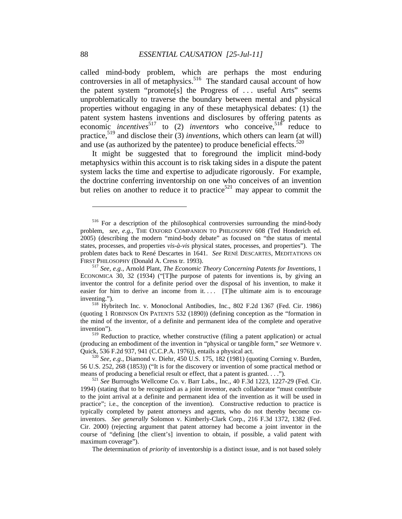called mind-body problem, which are perhaps the most enduring controversies in all of metaphysics.<sup>516</sup> The standard causal account of how the patent system "promote[s] the Progress of . . . useful Arts" seems unproblematically to traverse the boundary between mental and physical properties without engaging in any of these metaphysical debates: (1) the patent system hastens inventions and disclosures by offering patents as economic *incentives*<sup>517</sup> to (2) *inventors* who conceive,<sup>518</sup> reduce to practice,<sup>519</sup> and disclose their  $\overrightarrow{3}$  *inventions*, which others can learn (at will) and use (as authorized by the patentee) to produce beneficial effects.<sup>520</sup>

It might be suggested that to foreground the implicit mind-body metaphysics within this account is to risk taking sides in a dispute the patent system lacks the time and expertise to adjudicate rigorously. For example, the doctrine conferring inventorship on one who conceives of an invention but relies on another to reduce it to practice<sup>521</sup> may appear to commit the

<sup>516</sup> For a description of the philosophical controversies surrounding the mind-body problem, *see, e.g.*, THE OXFORD COMPANION TO PHILOSOPHY 608 (Ted Honderich ed. 2005) (describing the modern "mind-body debate" as focused on "the status of mental states, processes, and properties *vis-à-vis* physical states, processes, and properties"). The problem dates back to René Descartes in 1641. *See* RENÉ DESCARTES, MEDITATIONS ON FIRST PHILOSOPHY (Donald A. Cress tr. 1993). 517 *See, e.g.*, Arnold Plant, *The Economic Theory Concerning Patents for Inventions*, 1

ECONOMICA 30, 32 (1934) ("[T]he purpose of patents for inventions is, by giving an inventor the control for a definite period over the disposal of his invention, to make it easier for him to derive an income from it.... [T]he ultimate aim is to encourage inventing.").<br><sup>518</sup> Hybritech Inc. v. Monoclonal Antibodies, Inc., 802 F.2d 1367 (Fed. Cir. 1986)

<sup>(</sup>quoting 1 ROBINSON ON PATENTS 532 (1890)) (defining conception as the "formation in the mind of the inventor, of a definite and permanent idea of the complete and operative invention").

<sup>&</sup>lt;sup>519</sup> Reduction to practice, whether constructive (filing a patent application) or actual (producing an embodiment of the invention in "physical or tangible form," *see* Wetmore v. Quick, 536 F.2d 937, 941 (C.C.P.A. 1976)), entails a physical act. 520 *See, e.g.*, Diamond v. Diehr, 450 U.S. 175, 182 (1981) (quoting Corning v. Burden,

<sup>56</sup> U.S. 252, 268 (1853)) ("It is for the discovery or invention of some practical method or means of producing a beneficial result or effect, that a patent is granted....").

<sup>&</sup>lt;sup>521</sup> See Burroughs Wellcome Co. v. Barr Labs., Inc., 40 F.3d 1223, 1227-29 (Fed. Cir. 1994) (stating that to be recognized as a joint inventor, each collaborator "must contribute to the joint arrival at a definite and permanent idea of the invention as it will be used in practice"; i.e., the conception of the invention). Constructive reduction to practice is typically completed by patent attorneys and agents, who do not thereby become coinventors. *See generally* Solomon v. Kimberly-Clark Corp., 216 F.3d 1372, 1382 (Fed. Cir. 2000) (rejecting argument that patent attorney had become a joint inventor in the course of "defining [the client's] invention to obtain, if possible, a valid patent with maximum coverage").

The determination of *priority* of inventorship is a distinct issue, and is not based solely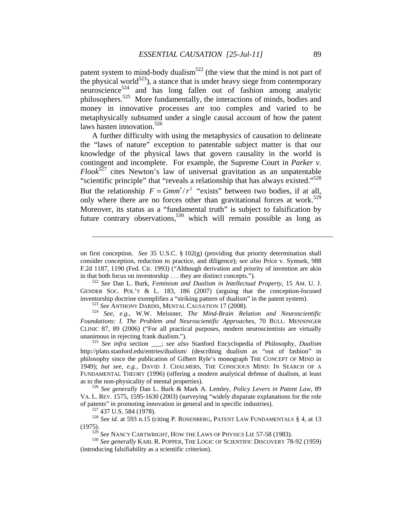patent system to mind-body dualism<sup>522</sup> (the view that the mind is not part of the physical world<sup>523</sup>), a stance that is under heavy siege from contemporary neuroscience<sup>524</sup> and has long fallen out of fashion among analytic philosophers.525 More fundamentally, the interactions of minds, bodies and money in innovative processes are too complex and varied to be metaphysically subsumed under a single causal account of how the patent laws hasten innovation.<sup>526</sup>

A further difficulty with using the metaphysics of causation to delineate the "laws of nature" exception to patentable subject matter is that our knowledge of the physical laws that govern causality in the world is contingent and incomplete. For example, the Supreme Court in *Parker v. Flook*527 cites Newton's law of universal gravitation as an unpatentable "scientific principle" that "reveals a relationship that has always existed."528 But the relationship  $F = Gmm'/r^2$  "exists" between two bodies, if at all, only where there are no forces other than gravitational forces at work.<sup>529</sup> Moreover, its status as a "fundamental truth" is subject to falsification by future contrary observations,<sup>530</sup> which will remain possible as long as

GENDER SOC. POL'Y & L. 183, 186 (2007) (arguing that the conception-focused inventorship doctrine exemplifies a "striking pattern of dualism" in the patent system).<br><sup>523</sup> See ANTHONY DARDIS, MENTAL CAUSATION 17 (2008).<br><sup>524</sup> See, e.g., W.W. Meissner, *The Mind-Brain Relation and Neuroscientific* 

VA. L. REV. 1575, 1595-1630 (2003) (surveying "widely disparate explanations for the role

 $\overline{a}$ 

<sup>527</sup> 437 U.S. 584 (1978).<br><sup>528</sup> *See id.* at 593 n.15 (citing P. ROSENBERG, PATENT LAW FUNDAMENTALS § 4, at 13 (1975).<br><sup>529</sup> See NANCY CARTWRIGHT, HOW THE LAWS OF PHYSICS LIE 57-58 (1983).

on first conception. *See* 35 U.S.C. § 102(g) (providing that priority determination shall consider conception, reduction to practice, and diligence); *see also* Price v. Symsek, 988 F.2d 1187, 1190 (Fed. Cir. 1993) ("Although derivation and priority of invention are akin in that both focus on inventorship . . . they are distinct concepts."). 522 *See* Dan L. Burk, *Feminism and Dualism in Intellectual Property*, 15 AM. U. J.

*Foundations: I. The Problem and Neuroscientific Approaches*, 70 BULL. MENNINGER CLINIC 87, 89 (2006) ("For all practical purposes, modern neuroscientists are virtually unanimous in rejecting frank dualism."). 525 *See infra* section \_\_\_; *see also* Stanford Encyclopedia of Philosophy, *Dualism*

http://plato.stanford.edu/entries/dualism/ (describing dualism as "out of fashion" in philosophy since the publication of Gilbert Ryle's monograph THE CONCEPT OF MIND in 1949); *but see, e.g.*, DAVID J. CHALMERS, THE CONSCIOUS MIND: IN SEARCH OF A FUNDAMENTAL THEORY (1996) (offering a modern analytical defense of dualism, at least as to the non-physicality of mental properties). 526 *See generally* Dan L. Burk & Mark A. Lemley, *Policy Levers in Patent Law*, 89

<sup>&</sup>lt;sup>530</sup> See generally KARL R. POPPER, THE LOGIC OF SCIENTIFIC DISCOVERY 78-92 (1959) (introducing falsifiability as a scientific criterion).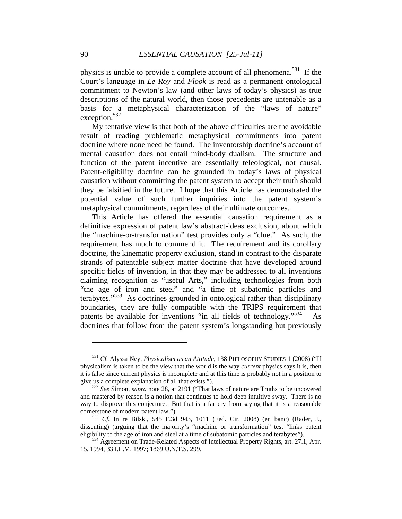physics is unable to provide a complete account of all phenomena.<sup>531</sup> If the Court's language in *Le Roy* and *Flook* is read as a permanent ontological commitment to Newton's law (and other laws of today's physics) as true descriptions of the natural world, then those precedents are untenable as a basis for a metaphysical characterization of the "laws of nature" exception.<sup>532</sup>

My tentative view is that both of the above difficulties are the avoidable result of reading problematic metaphysical commitments into patent doctrine where none need be found. The inventorship doctrine's account of mental causation does not entail mind-body dualism. The structure and function of the patent incentive are essentially teleological, not causal. Patent-eligibility doctrine can be grounded in today's laws of physical causation without committing the patent system to accept their truth should they be falsified in the future. I hope that this Article has demonstrated the potential value of such further inquiries into the patent system's metaphysical commitments, regardless of their ultimate outcomes.

This Article has offered the essential causation requirement as a definitive expression of patent law's abstract-ideas exclusion, about which the "machine-or-transformation" test provides only a "clue." As such, the requirement has much to commend it. The requirement and its corollary doctrine, the kinematic property exclusion, stand in contrast to the disparate strands of patentable subject matter doctrine that have developed around specific fields of invention, in that they may be addressed to all inventions claiming recognition as "useful Arts," including technologies from both "the age of iron and steel" and "a time of subatomic particles and terabytes."533 As doctrines grounded in ontological rather than disciplinary boundaries, they are fully compatible with the TRIPS requirement that patents be available for inventions "in all fields of technology." $534$  As doctrines that follow from the patent system's longstanding but previously

<sup>531</sup> *Cf.* Alyssa Ney, *Physicalism as an Attitude*, 138 PHILOSOPHY STUDIES 1 (2008) ("If physicalism is taken to be the view that the world is the way *current* physics says it is, then it is false since current physics is incomplete and at this time is probably not in a position to give us a complete explanation of all that exists."). 532 *See* Simon, *supra* note 28, at 2191 ("That laws of nature are Truths to be uncovered

and mastered by reason is a notion that continues to hold deep intuitive sway. There is no way to disprove this conjecture. But that is a far cry from saying that it is a reasonable cornerstone of modern patent law."). 533 *Cf.* In re Bilski, 545 F.3d 943, 1011 (Fed. Cir. 2008) (en banc) (Rader, J.,

dissenting) (arguing that the majority's "machine or transformation" test "links patent eligibility to the age of iron and steel at a time of subatomic particles and terabytes"). 534 Agreement on Trade-Related Aspects of Intellectual Property Rights, art. 27.1, Apr.

<sup>15, 1994, 33</sup> I.L.M. 1997; 1869 U.N.T.S. 299.